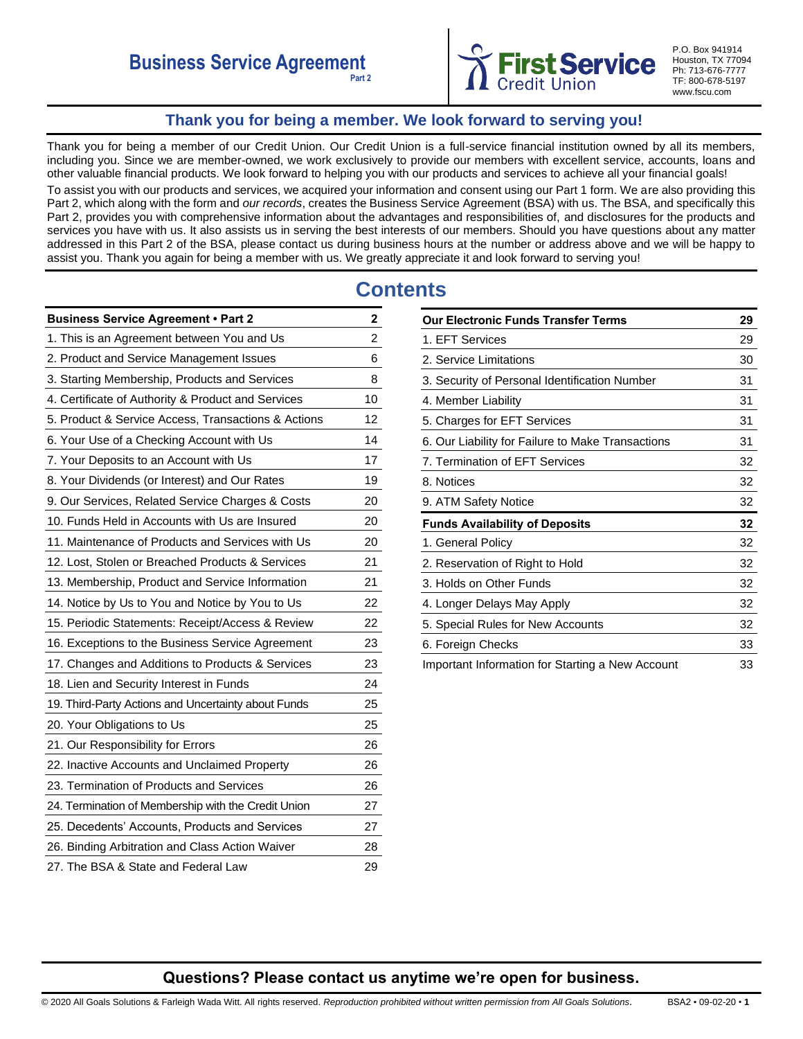

P.O. Box 941914 Houston, TX 77094 Ph: 713-676-7777 TF: 800-678-5197 www.fscu.com

# **Thank you for being a member. We look forward to serving you!**

<span id="page-0-0"></span>Thank you for being a member of our Credit Union. Our Credit Union is a full-service financial institution owned by all its members, including you. Since we are member-owned, we work exclusively to provide our members with excellent service, accounts, loans and other valuable financial products. We look forward to helping you with our products and services to achieve all your financial goals! To assist you with our products and services, we acquired your information and consent using our Part 1 form. We are also providing this Part 2, which along with the form and *our records*, creates the Business Service Agreement (BSA) with us. The BSA, and specifically this Part 2, provides you with comprehensive information about the advantages and responsibilities of, and disclosures for the products and services you have with us. It also assists us in serving the best interests of our members. Should you have questions about any matter addressed in this Part 2 of the BSA, please contact us during business hours at the number or address above and we will be happy to assist you. Thank you again for being a member with us. We greatly appreciate it and look forward to serving you!

# **Contents**

| <b>Business Service Agreement . Part 2</b>          | 2           |
|-----------------------------------------------------|-------------|
| 1. This is an Agreement between You and Us          | $\mathbf 2$ |
| 2. Product and Service Management Issues            | 6           |
| 3. Starting Membership, Products and Services       | 8           |
| 4. Certificate of Authority & Product and Services  | 10          |
| 5. Product & Service Access, Transactions & Actions | 12          |
| 6. Your Use of a Checking Account with Us           | 14          |
| 7. Your Deposits to an Account with Us              | 17          |
| 8. Your Dividends (or Interest) and Our Rates       | 19          |
| 9. Our Services, Related Service Charges & Costs    | 20          |
| 10. Funds Held in Accounts with Us are Insured      | 20          |
| 11. Maintenance of Products and Services with Us    | 20          |
| 12. Lost, Stolen or Breached Products & Services    | 21          |
| 13. Membership, Product and Service Information     | 21          |
| 14. Notice by Us to You and Notice by You to Us     | 22          |
| 15. Periodic Statements: Receipt/Access & Review    | 22          |
| 16. Exceptions to the Business Service Agreement    | 23          |
| 17. Changes and Additions to Products & Services    | 23          |
| 18. Lien and Security Interest in Funds             | 24          |
| 19. Third-Party Actions and Uncertainty about Funds | 25          |
| 20. Your Obligations to Us                          | 25          |
| 21. Our Responsibility for Errors                   | 26          |
| 22. Inactive Accounts and Unclaimed Property        | 26          |
| 23. Termination of Products and Services            | 26          |
| 24. Termination of Membership with the Credit Union | 27          |
| 25. Decedents' Accounts, Products and Services      | 27          |
| 26. Binding Arbitration and Class Action Waiver     | 28          |
| 27. The BSA & State and Federal Law                 | 29          |

| <b>Our Electronic Funds Transfer Terms</b>        | 29 |
|---------------------------------------------------|----|
| 1. EFT Services                                   | 29 |
| 2. Service Limitations                            | 30 |
| 3. Security of Personal Identification Number     | 31 |
| 4. Member Liability                               | 31 |
| 5. Charges for EFT Services                       | 31 |
| 6. Our Liability for Failure to Make Transactions | 31 |
| 7. Termination of EFT Services                    | 32 |
| 8. Notices                                        | 32 |
| 9. ATM Safety Notice                              | 32 |
| <b>Funds Availability of Deposits</b>             | 32 |
| 1. General Policy                                 | 32 |
| 2. Reservation of Right to Hold                   | 32 |
| 3. Holds on Other Funds                           | 32 |
| 4. Longer Delays May Apply                        | 32 |
| 5. Special Rules for New Accounts                 | 32 |
| 6. Foreign Checks                                 | 33 |
| Important Information for Starting a New Account  | 33 |

# **Questions? Please contact us anytime we're open for business.**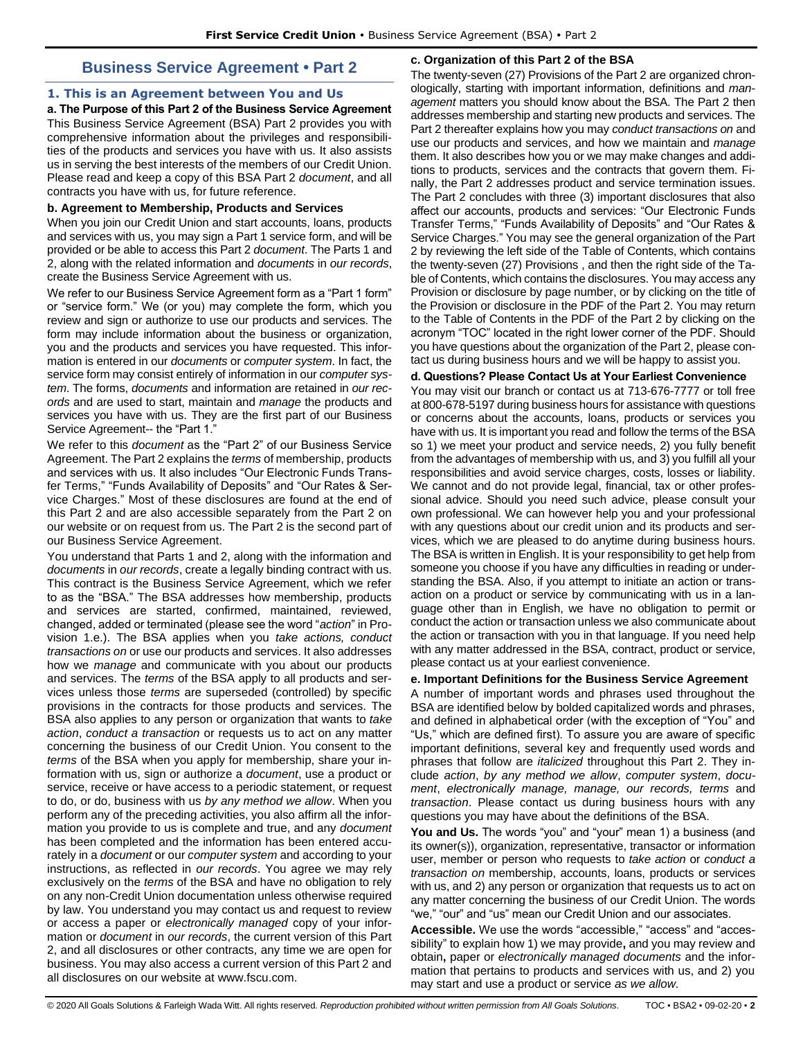# **Business Service Agreement • Part 2**

## <span id="page-1-1"></span><span id="page-1-0"></span>**1. This is an Agreement between You and Us**

**a. The Purpose of this Part 2 of the Business Service Agreement**  This Business Service Agreement (BSA) Part 2 provides you with comprehensive information about the privileges and responsibilities of the products and services you have with us. It also assists us in serving the best interests of the members of our Credit Union. Please read and keep a copy of this BSA Part 2 *document*, and all contracts you have with us, for future reference.

### **b. Agreement to Membership, Products and Services**

When you join our Credit Union and start accounts, loans, products and services with us, you may sign a Part 1 service form, and will be provided or be able to access this Part 2 *document*. The Parts 1 and 2, along with the related information and *documents* in *our records*, create the Business Service Agreement with us.

We refer to our Business Service Agreement form as a "Part 1 form" or "service form." We (or you) may complete the form, which you review and sign or authorize to use our products and services. The form may include information about the business or organization, you and the products and services you have requested. This information is entered in our *documents* or *computer system*. In fact, the service form may consist entirely of information in our *computer system*. The forms, *documents* and information are retained in *our records* and are used to start, maintain and *manage* the products and services you have with us. They are the first part of our Business Service Agreement-- the "Part 1."

We refer to this *document* as the "Part 2" of our Business Service Agreement. The Part 2 explains the *terms* of membership, products and services with us. It also includes "Our Electronic Funds Transfer Terms," "Funds Availability of Deposits" and "Our Rates & Service Charges." Most of these disclosures are found at the end of this Part 2 and are also accessible separately from the Part 2 on our website or on request from us. The Part 2 is the second part of our Business Service Agreement.

You understand that Parts 1 and 2, along with the information and *documents* in *our records*, create a legally binding contract with us. This contract is the Business Service Agreement, which we refer to as the "BSA." The BSA addresses how membership, products and services are started, confirmed, maintained, reviewed, changed, added or terminated (please see the word "*action*" in Provision 1.e.). The BSA applies when you *take actions, conduct transactions on* or use our products and services. It also addresses how we *manage* and communicate with you about our products and services. The *terms* of the BSA apply to all products and services unless those *terms* are superseded (controlled) by specific provisions in the contracts for those products and services. The BSA also applies to any person or organization that wants to *take action*, *conduct a transaction* or requests us to act on any matter concerning the business of our Credit Union. You consent to the *terms* of the BSA when you apply for membership, share your information with us, sign or authorize a *document*, use a product or service, receive or have access to a periodic statement, or request to do, or do, business with us *by any method we allow*. When you perform any of the preceding activities, you also affirm all the information you provide to us is complete and true, and any *document* has been completed and the information has been entered accurately in a *document* or our *computer system* and according to your instructions, as reflected in *our records*. You agree we may rely exclusively on the *terms* of the BSA and have no obligation to rely on any non-Credit Union documentation unless otherwise required by law. You understand you may contact us and request to review or access a paper or *electronically managed* copy of your information or *document* in *our records*, the current version of this Part 2, and all disclosures or other contracts, any time we are open for business. You may also access a current version of this Part 2 and all disclosures on our website at www.fscu.com.

### **c. Organization of this Part 2 of the BSA**

The twenty-seven (27) Provisions of the Part 2 are organized chronologically, starting with important information, definitions and *management* matters you should know about the BSA. The Part 2 then addresses membership and starting new products and services. The Part 2 thereafter explains how you may *conduct transactions on* and use our products and services, and how we maintain and *manage*  them. It also describes how you or we may make changes and additions to products, services and the contracts that govern them. Finally, the Part 2 addresses product and service termination issues. The Part 2 concludes with three (3) important disclosures that also affect our accounts, products and services: "Our Electronic Funds Transfer Terms," "Funds Availability of Deposits" and "Our Rates & Service Charges." You may see the general organization of the Part 2 by reviewing the left side of the Table of Contents, which contains the twenty-seven (27) Provisions , and then the right side of the Table of Contents, which contains the disclosures. You may access any Provision or disclosure by page number, or by clicking on the title of the Provision or disclosure in the PDF of the Part 2. You may return to the Table of Contents in the PDF of the Part 2 by clicking on the acronym "TOC" located in the right lower corner of the PDF. Should you have questions about the organization of the Part 2, please contact us during business hours and we will be happy to assist you.

### **d. Questions? Please Contact Us at Your Earliest Convenience**

You may visit our branch or contact us at 713-676-7777 or toll free at 800-678-5197 during business hours for assistance with questions or concerns about the accounts, loans, products or services you have with us. It is important you read and follow the terms of the BSA so 1) we meet your product and service needs, 2) you fully benefit from the advantages of membership with us, and 3) you fulfill all your responsibilities and avoid service charges, costs, losses or liability. We cannot and do not provide legal, financial, tax or other professional advice. Should you need such advice, please consult your own professional. We can however help you and your professional with any questions about our credit union and its products and services, which we are pleased to do anytime during business hours. The BSA is written in English. It is your responsibility to get help from someone you choose if you have any difficulties in reading or understanding the BSA. Also, if you attempt to initiate an action or transaction on a product or service by communicating with us in a language other than in English, we have no obligation to permit or conduct the action or transaction unless we also communicate about the action or transaction with you in that language. If you need help with any matter addressed in the BSA, contract, product or service, please contact us at your earliest convenience.

### **e. Important Definitions for the Business Service Agreement**

A number of important words and phrases used throughout the BSA are identified below by bolded capitalized words and phrases, and defined in alphabetical order (with the exception of "You" and "Us," which are defined first). To assure you are aware of specific important definitions, several key and frequently used words and phrases that follow are *italicized* throughout this Part 2. They include *action*, *by any method we allow*, *computer system*, *document*, *electronically manage, manage, our records, terms* and *transaction*. Please contact us during business hours with any questions you may have about the definitions of the BSA.

**You and Us.** The words "you" and "your" mean 1) a business (and its owner(s)), organization, representative, transactor or information user, member or person who requests to *take action* or *conduct a transaction on* membership, accounts, loans, products or services with us, and 2) any person or organization that requests us to act on any matter concerning the business of our Credit Union. The words "we," "our" and "us" mean our Credit Union and our associates.

**Accessible.** We use the words "accessible," "access" and "accessibility" to explain how 1) we may provide**,** and you may review and obtain**,** paper or *electronically managed documents* and the information that pertains to products and services with us, and 2) you may start and use a product or service *as we allow.*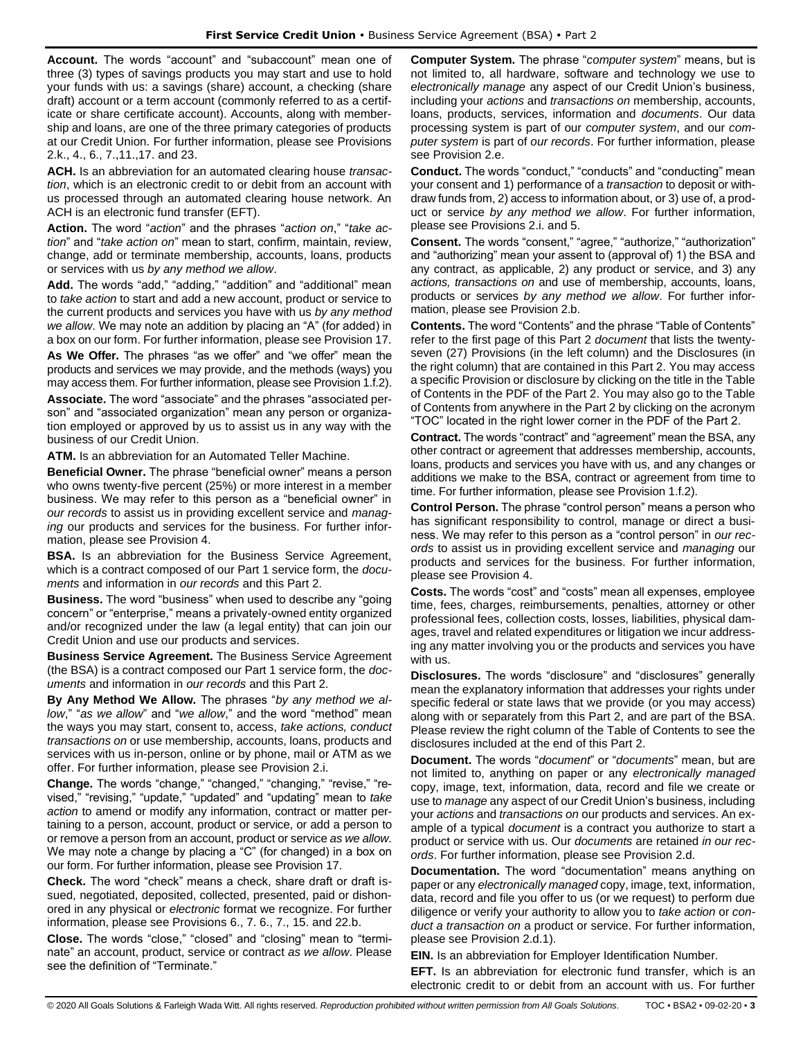**Account.** The words "account" and "subaccount" mean one of three (3) types of savings products you may start and use to hold your funds with us: a savings (share) account, a checking (share draft) account or a term account (commonly referred to as a certificate or share certificate account). Accounts, along with membership and loans, are one of the three primary categories of products at our Credit Union. For further information, please see Provisions 2.k., 4., 6., 7.,11.,17. and 23.

**ACH.** Is an abbreviation for an automated clearing house *transaction*, which is an electronic credit to or debit from an account with us processed through an automated clearing house network. An ACH is an electronic fund transfer (EFT).

**Action.** The word "*action*" and the phrases "*action on*," "*take action*" and "*take action on*" mean to start, confirm, maintain, review, change, add or terminate membership, accounts, loans, products or services with us *by any method we allow*.

**Add.** The words "add," "adding," "addition" and "additional" mean to *take action* to start and add a new account, product or service to the current products and services you have with us *by any method we allow*. We may note an addition by placing an "A" (for added) in a box on our form. For further information, please see Provision 17.

**As We Offer.** The phrases "as we offer" and "we offer" mean the products and services we may provide, and the methods (ways) you may access them. For further information, please see Provision 1.f.2).

**Associate.** The word "associate" and the phrases "associated person" and "associated organization" mean any person or organization employed or approved by us to assist us in any way with the business of our Credit Union.

**ATM.** Is an abbreviation for an Automated Teller Machine.

**Beneficial Owner.** The phrase "beneficial owner" means a person who owns twenty-five percent (25%) or more interest in a member business. We may refer to this person as a "beneficial owner" in *our records* to assist us in providing excellent service and *managing* our products and services for the business. For further information, please see Provision 4.

**BSA.** Is an abbreviation for the Business Service Agreement, which is a contract composed of our Part 1 service form, the *documents* and information in *our records* and this Part 2.

**Business.** The word "business" when used to describe any "going concern" or "enterprise," means a privately-owned entity organized and/or recognized under the law (a legal entity) that can join our Credit Union and use our products and services.

**Business Service Agreement.** The Business Service Agreement (the BSA) is a contract composed our Part 1 service form, the *documents* and information in *our records* and this Part 2.

**By Any Method We Allow.** The phrases "*by any method we allow*," "*as we allow*" and "*we allow*," and the word "method" mean the ways you may start, consent to, access, *take actions, conduct transactions on* or use membership, accounts, loans, products and services with us in-person, online or by phone, mail or ATM as we offer. For further information, please see Provision 2.i.

**Change.** The words "change," "changed," "changing," "revise," "revised," "revising," "update," "updated" and "updating" mean to *take action* to amend or modify any information, contract or matter pertaining to a person, account, product or service, or add a person to or remove a person from an account, product or service *as we allow*. We may note a change by placing a "C" (for changed) in a box on our form. For further information, please see Provision 17.

**Check.** The word "check" means a check, share draft or draft issued, negotiated, deposited, collected, presented, paid or dishonored in any physical or *electronic* format we recognize. For further information, please see Provisions 6., 7. 6., 7., 15. and 22.b.

**Close.** The words "close," "closed" and "closing" mean to "terminate" an account, product, service or contract *as we allow*. Please see the definition of "Terminate."

**Computer System.** The phrase "*computer system*" means, but is not limited to, all hardware, software and technology we use to *electronically manage* any aspect of our Credit Union's business, including your *actions* and *transactions on* membership, accounts, loans, products, services, information and *documents*. Our data processing system is part of our *computer system*, and our *computer system* is part of *our records*. For further information, please see Provision 2.e.

**Conduct.** The words "conduct," "conducts" and "conducting" mean your consent and 1) performance of a *transaction* to deposit or withdraw funds from, 2) access to information about, or 3) use of, a product or service *by any method we allow*. For further information, please see Provisions 2.i. and 5.

**Consent.** The words "consent," "agree," "authorize," "authorization" and "authorizing" mean your assent to (approval of) 1) the BSA and any contract, as applicable, 2) any product or service, and 3) any *actions, transactions on* and use of membership, accounts, loans, products or services *by any method we allow*. For further information, please see Provision 2.b.

**Contents.** The word "Contents" and the phrase "Table of Contents" refer to the first page of this Part 2 *document* that lists the twentyseven (27) Provisions (in the left column) and the Disclosures (in the right column) that are contained in this Part 2. You may access a specific Provision or disclosure by clicking on the title in the Table of Contents in the PDF of the Part 2. You may also go to the Table of Contents from anywhere in the Part 2 by clicking on the acronym "TOC" located in the right lower corner in the PDF of the Part 2.

**Contract.** The words "contract" and "agreement" mean the BSA, any other contract or agreement that addresses membership, accounts, loans, products and services you have with us, and any changes or additions we make to the BSA, contract or agreement from time to time. For further information, please see Provision 1.f.2).

**Control Person.** The phrase "control person" means a person who has significant responsibility to control, manage or direct a business. We may refer to this person as a "control person" in *our records* to assist us in providing excellent service and *managing* our products and services for the business. For further information, please see Provision 4.

**Costs.** The words "cost" and "costs" mean all expenses, employee time, fees, charges, reimbursements, penalties, attorney or other professional fees, collection costs, losses, liabilities, physical damages, travel and related expenditures or litigation we incur addressing any matter involving you or the products and services you have with us.

**Disclosures.** The words "disclosure" and "disclosures" generally mean the explanatory information that addresses your rights under specific federal or state laws that we provide (or you may access) along with or separately from this Part 2, and are part of the BSA. Please review the right column of the Table of Contents to see the disclosures included at the end of this Part 2.

**Document.** The words "*document*" or "*documents*" mean, but are not limited to, anything on paper or any *electronically managed*  copy, image, text, information, data, record and file we create or use to *manage* any aspect of our Credit Union's business, including your *actions* and *transactions on* our products and services. An example of a typical *document* is a contract you authorize to start a product or service with us. Our *documents* are retained *in our records*. For further information, please see Provision 2.d.

**Documentation.** The word "documentation" means anything on paper or any *electronically managed* copy, image, text, information, data, record and file you offer to us (or we request) to perform due diligence or verify your authority to allow you to *take action* or *conduct a transaction on* a product or service. For further information, please see Provision 2.d.1).

**EIN.** Is an abbreviation for Employer Identification Number.

**EFT.** Is an abbreviation for electronic fund transfer, which is an electronic credit to or debit from an account with us. For further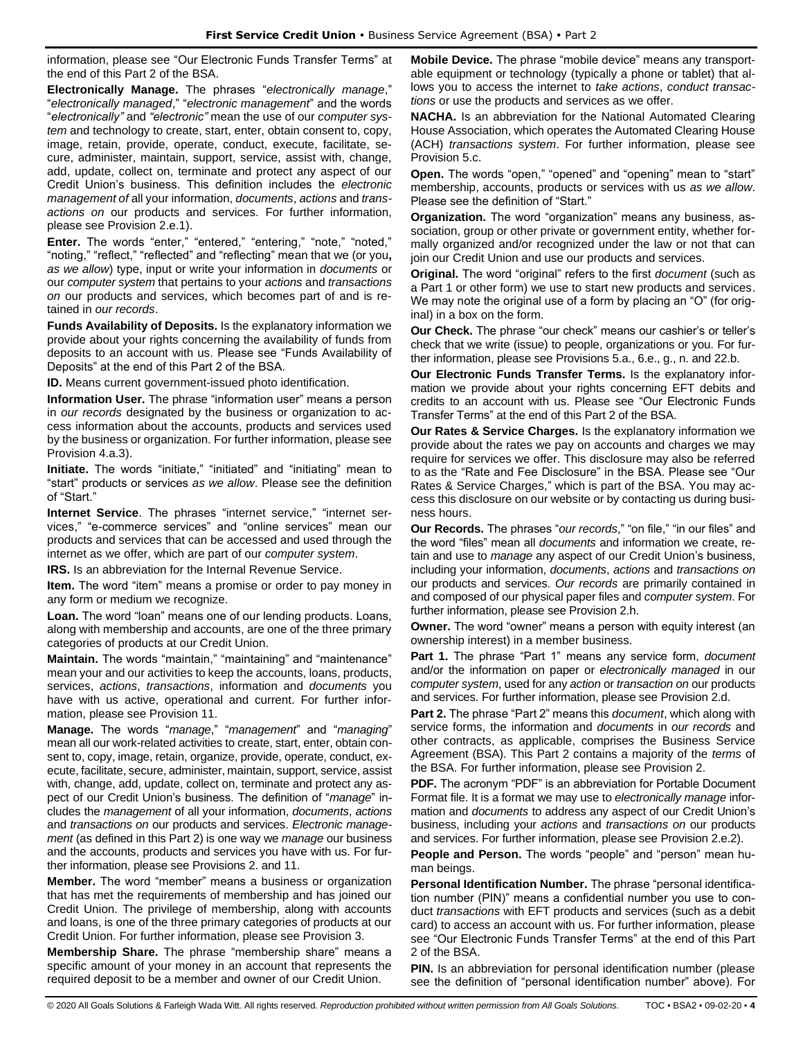information, please see "Our Electronic Funds Transfer Terms" at the end of this Part 2 of the BSA.

**Electronically Manage.** The phrases "*electronically manage*," "*electronically managed*," "*electronic management*" and the words "*electronically"* and *"electronic"* mean the use of our *computer system* and technology to create, start, enter, obtain consent to, copy, image, retain, provide, operate, conduct, execute, facilitate, secure, administer, maintain, support, service, assist with, change, add, update, collect on, terminate and protect any aspect of our Credit Union's business. This definition includes the *electronic management of* all your information, *documents*, *actions* and *transactions on* our products and services. For further information, please see Provision 2.e.1).

**Enter.** The words "enter," "entered," "entering," "note," "noted," "noting," "reflect," "reflected" and "reflecting" mean that we (or you**,** *as we allow*) type, input or write your information in *documents* or our *computer system* that pertains to your *actions* and *transactions on* our products and services, which becomes part of and is retained in *our records*.

**Funds Availability of Deposits.** Is the explanatory information we provide about your rights concerning the availability of funds from deposits to an account with us. Please see "Funds Availability of Deposits" at the end of this Part 2 of the BSA.

**ID.** Means current government-issued photo identification.

**Information User.** The phrase "information user" means a person in *our records* designated by the business or organization to access information about the accounts, products and services used by the business or organization. For further information, please see Provision 4.a.3).

**Initiate.** The words "initiate," "initiated" and "initiating" mean to "start" products or services *as we allow*. Please see the definition of "Start."

**Internet Service**. The phrases "internet service," "internet services," "e-commerce services" and "online services" mean our products and services that can be accessed and used through the internet as we offer, which are part of our *computer system*.

**IRS.** Is an abbreviation for the Internal Revenue Service.

**Item.** The word "item" means a promise or order to pay money in any form or medium we recognize.

Loan. The word "loan" means one of our lending products. Loans, along with membership and accounts, are one of the three primary categories of products at our Credit Union.

**Maintain.** The words "maintain," "maintaining" and "maintenance" mean your and our activities to keep the accounts, loans, products, services, *actions*, *transactions*, information and *documents* you have with us active, operational and current. For further information, please see Provision 11.

**Manage.** The words "*manage*," "*management*" and "*managing*" mean all our work-related activities to create, start, enter, obtain consent to, copy, image, retain, organize, provide, operate, conduct, execute, facilitate, secure, administer, maintain, support, service, assist with, change, add, update, collect on, terminate and protect any aspect of our Credit Union's business. The definition of "*manage*" includes the *management* of all your information, *documents*, *actions* and *transactions on* our products and services. *Electronic management* (as defined in this Part 2) is one way we *manage* our business and the accounts, products and services you have with us. For further information, please see Provisions 2. and 11.

**Member.** The word "member" means a business or organization that has met the requirements of membership and has joined our Credit Union. The privilege of membership, along with accounts and loans, is one of the three primary categories of products at our Credit Union. For further information, please see Provision 3.

**Membership Share.** The phrase "membership share" means a specific amount of your money in an account that represents the required deposit to be a member and owner of our Credit Union.

**Mobile Device.** The phrase "mobile device" means any transportable equipment or technology (typically a phone or tablet) that allows you to access the internet to *take actions*, *conduct transactions* or use the products and services as we offer.

**NACHA.** Is an abbreviation for the National Automated Clearing House Association, which operates the Automated Clearing House (ACH) *transactions system*. For further information, please see Provision 5.c.

**Open.** The words "open," "opened" and "opening" mean to "start" membership, accounts, products or services with us *as we allow*. Please see the definition of "Start."

**Organization.** The word "organization" means any business, association, group or other private or government entity, whether formally organized and/or recognized under the law or not that can join our Credit Union and use our products and services.

**Original.** The word "original" refers to the first *document* (such as a Part 1 or other form) we use to start new products and services. We may note the original use of a form by placing an "O" (for original) in a box on the form.

**Our Check.** The phrase "our check" means our cashier's or teller's check that we write (issue) to people, organizations or you. For further information, please see Provisions 5.a., 6.e., g., n. and 22.b.

**Our Electronic Funds Transfer Terms.** Is the explanatory information we provide about your rights concerning EFT debits and credits to an account with us. Please see "Our Electronic Funds Transfer Terms" at the end of this Part 2 of the BSA.

**Our Rates & Service Charges.** Is the explanatory information we provide about the rates we pay on accounts and charges we may require for services we offer. This disclosure may also be referred to as the "Rate and Fee Disclosure" in the BSA. Please see "Our Rates & Service Charges," which is part of the BSA. You may access this disclosure on our website or by contacting us during business hours.

**Our Records.** The phrases "*our records*," "on file," "in our files" and the word "files" mean all *documents* and information we create, retain and use to *manage* any aspect of our Credit Union's business, including your information, *documents*, *actions* and *transactions on* our products and services. *Our records* are primarily contained in and composed of our physical paper files and *computer system*. For further information, please see Provision 2.h.

**Owner.** The word "owner" means a person with equity interest (an ownership interest) in a member business.

**Part 1.** The phrase "Part 1" means any service form, *document* and/or the information on paper or *electronically managed* in our *computer system*, used for any *action* or *transaction on* our products and services. For further information, please see Provision 2.d.

**Part 2.** The phrase "Part 2" means this *document*, which along with service forms, the information and *documents* in *our records* and other contracts, as applicable, comprises the Business Service Agreement (BSA). This Part 2 contains a majority of the *terms* of the BSA. For further information, please see Provision 2.

**PDF.** The acronym "PDF" is an abbreviation for Portable Document Format file. It is a format we may use to *electronically manage* information and *documents* to address any aspect of our Credit Union's business, including your *actions* and *transactions on* our products and services. For further information, please see Provision 2.e.2).

**People and Person.** The words "people" and "person" mean human beings.

**Personal Identification Number.** The phrase "personal identification number (PIN)" means a confidential number you use to conduct *transactions* with EFT products and services (such as a debit card) to access an account with us. For further information, please see "Our Electronic Funds Transfer Terms" at the end of this Part 2 of the BSA.

**PIN.** Is an abbreviation for personal identification number (please see the definition of "personal identification number" above). For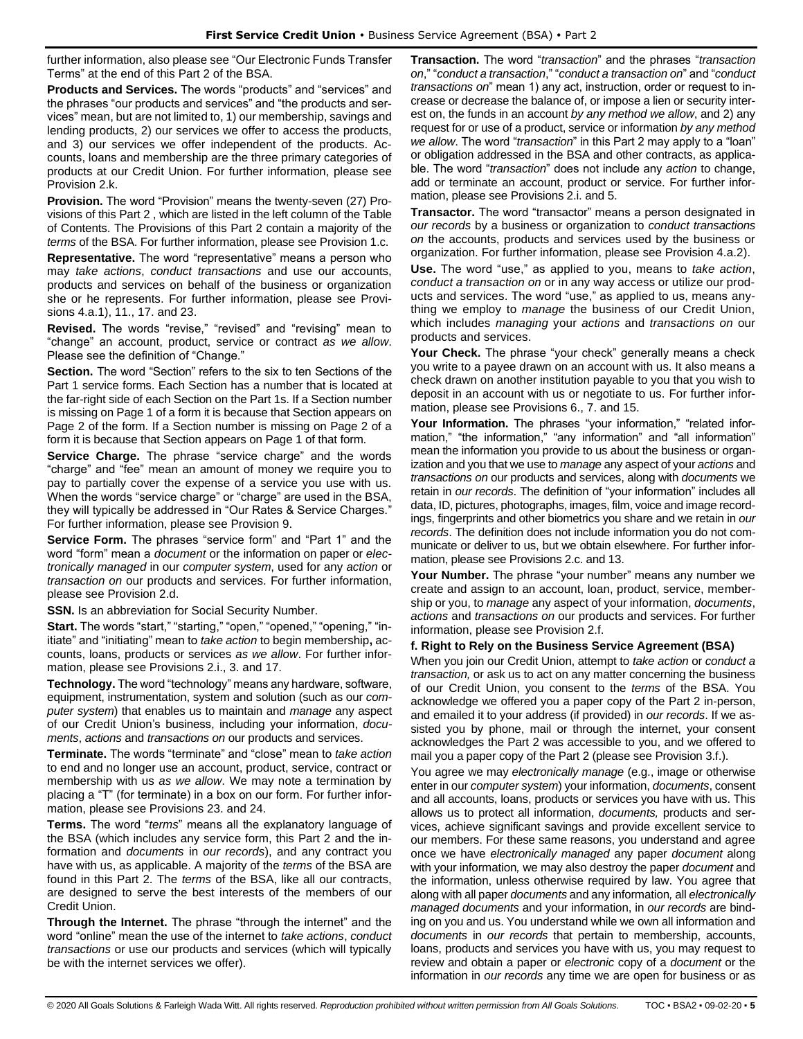further information, also please see "Our Electronic Funds Transfer Terms" at the end of this Part 2 of the BSA.

**Products and Services.** The words "products" and "services" and the phrases "our products and services" and "the products and services" mean, but are not limited to, 1) our membership, savings and lending products, 2) our services we offer to access the products, and 3) our services we offer independent of the products. Accounts, loans and membership are the three primary categories of products at our Credit Union. For further information, please see Provision 2.k.

**Provision.** The word "Provision" means the twenty-seven (27) Provisions of this Part 2 , which are listed in the left column of the Table of Contents. The Provisions of this Part 2 contain a majority of the *terms* of the BSA. For further information, please see Provision 1.c.

**Representative.** The word "representative" means a person who may *take actions*, *conduct transactions* and use our accounts, products and services on behalf of the business or organization she or he represents. For further information, please see Provisions 4.a.1), 11., 17. and 23.

**Revised.** The words "revise," "revised" and "revising" mean to "change" an account, product, service or contract *as we allow*. Please see the definition of "Change."

**Section.** The word "Section" refers to the six to ten Sections of the Part 1 service forms. Each Section has a number that is located at the far-right side of each Section on the Part 1s. If a Section number is missing on Page 1 of a form it is because that Section appears on Page 2 of the form. If a Section number is missing on Page 2 of a form it is because that Section appears on Page 1 of that form.

**Service Charge.** The phrase "service charge" and the words "charge" and "fee" mean an amount of money we require you to pay to partially cover the expense of a service you use with us. When the words "service charge" or "charge" are used in the BSA, they will typically be addressed in "Our Rates & Service Charges." For further information, please see Provision 9.

**Service Form.** The phrases "service form" and "Part 1" and the word "form" mean a *document* or the information on paper or *electronically managed* in our *computer system*, used for any *action* or *transaction on* our products and services. For further information, please see Provision 2.d.

**SSN.** Is an abbreviation for Social Security Number.

**Start.** The words "start," "starting," "open," "opened," "opening," "initiate" and "initiating" mean to *take action* to begin membership**,** accounts, loans, products or services *as we allow*. For further information, please see Provisions 2.i., 3. and 17.

**Technology.** The word "technology" means any hardware, software, equipment, instrumentation, system and solution (such as our *computer system*) that enables us to maintain and *manage* any aspect of our Credit Union's business, including your information, *documents*, *actions* and *transactions on* our products and services.

**Terminate.** The words "terminate" and "close" mean to *take action* to end and no longer use an account, product, service, contract or membership with us *as we allow*. We may note a termination by placing a "T" (for terminate) in a box on our form. For further information, please see Provisions 23. and 24.

**Terms.** The word "*terms*" means all the explanatory language of the BSA (which includes any service form, this Part 2 and the information and *documents* in *our records*), and any contract you have with us, as applicable. A majority of the *terms* of the BSA are found in this Part 2. The *terms* of the BSA, like all our contracts, are designed to serve the best interests of the members of our Credit Union.

**Through the Internet.** The phrase "through the internet" and the word "online" mean the use of the internet to *take actions*, *conduct transactions* or use our products and services (which will typically be with the internet services we offer).

**Transaction.** The word "*transaction*" and the phrases "*transaction on*," "*conduct a transaction*," "*conduct a transaction on*" and "*conduct transactions on*" mean 1) any act, instruction, order or request to increase or decrease the balance of, or impose a lien or security interest on, the funds in an account *by any method we allow*, and 2) any request for or use of a product, service or information *by any method we allow*. The word "*transaction*" in this Part 2 may apply to a "loan" or obligation addressed in the BSA and other contracts, as applicable. The word "*transaction*" does not include any *action* to change, add or terminate an account, product or service. For further information, please see Provisions 2.i. and 5.

**Transactor.** The word "transactor" means a person designated in *our records* by a business or organization to *conduct transactions on* the accounts, products and services used by the business or organization. For further information, please see Provision 4.a.2).

**Use.** The word "use," as applied to you, means to *take action*, *conduct a transaction on* or in any way access or utilize our products and services. The word "use," as applied to us, means anything we employ to *manage* the business of our Credit Union, which includes *managing* your *actions* and *transactions on* our products and services.

**Your Check.** The phrase "your check" generally means a check you write to a payee drawn on an account with us. It also means a check drawn on another institution payable to you that you wish to deposit in an account with us or negotiate to us. For further information, please see Provisions 6., 7. and 15.

**Your Information.** The phrases "your information," "related information," "the information," "any information" and "all information" mean the information you provide to us about the business or organization and you that we use to *manage* any aspect of your *actions* and *transactions on* our products and services, along with *documents* we retain in *our records*. The definition of "your information" includes all data, ID, pictures, photographs, images, film, voice and image recordings, fingerprints and other biometrics you share and we retain in *our records*. The definition does not include information you do not communicate or deliver to us, but we obtain elsewhere. For further information, please see Provisions 2.c. and 13.

**Your Number.** The phrase "your number" means any number we create and assign to an account, loan, product, service, membership or you, to *manage* any aspect of your information, *documents*, *actions* and *transactions on* our products and services. For further information, please see Provision 2.f.

# **f. Right to Rely on the Business Service Agreement (BSA)**

When you join our Credit Union, attempt to *take action* or *conduct a transaction,* or ask us to act on any matter concerning the business of our Credit Union, you consent to the *terms* of the BSA. You acknowledge we offered you a paper copy of the Part 2 in-person, and emailed it to your address (if provided) in *our records*. If we assisted you by phone, mail or through the internet, your consent acknowledges the Part 2 was accessible to you, and we offered to mail you a paper copy of the Part 2 (please see Provision 3.f.).

You agree we may *electronically manage* (e.g., image or otherwise enter in our *computer system*) your information, *documents*, consent and all accounts, loans, products or services you have with us. This allows us to protect all information, *documents,* products and services, achieve significant savings and provide excellent service to our members. For these same reasons, you understand and agree once we have *electronically managed* any paper *document* along with your information*,* we may also destroy the paper *document* and the information, unless otherwise required by law. You agree that along with all paper *documents* and any information*,* all *electronically managed documents* and your information, in *our records* are binding on you and us. You understand while we own all information and *documents* in *our records* that pertain to membership, accounts, loans, products and services you have with us, you may request to review and obtain a paper or *electronic* copy of a *document* or the information in *our records* any time we are open for business or as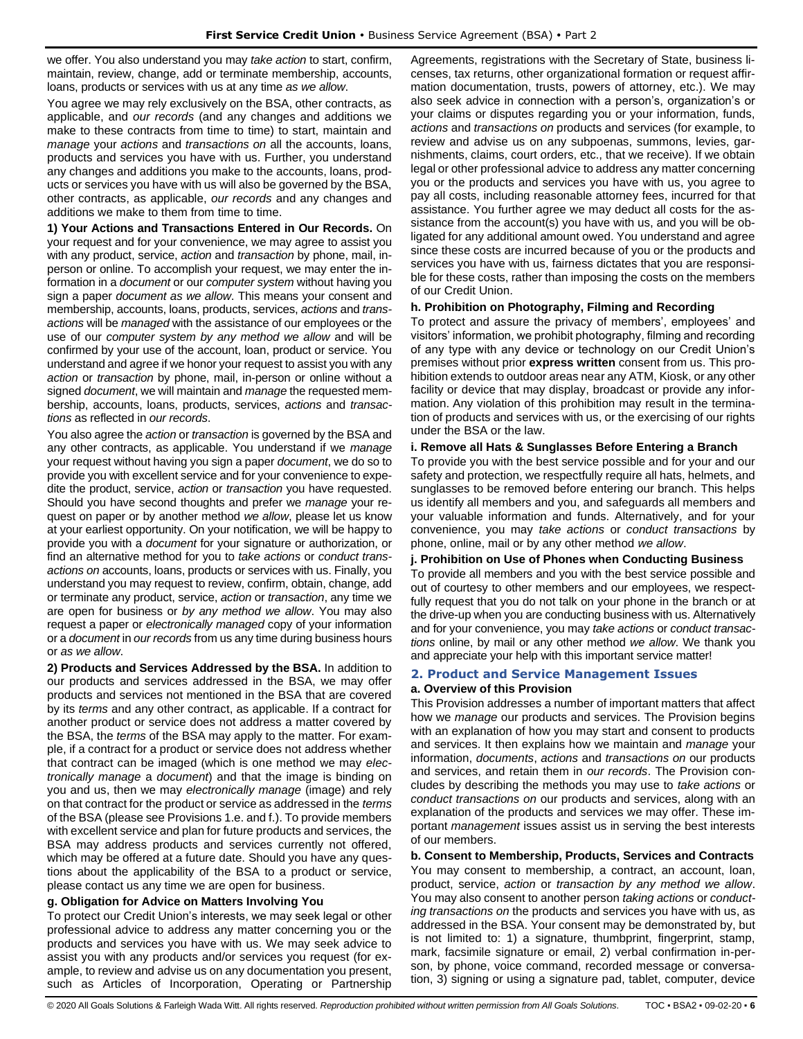we offer. You also understand you may *take action* to start, confirm, maintain, review, change, add or terminate membership, accounts, loans, products or services with us at any time *as we allow*.

You agree we may rely exclusively on the BSA, other contracts, as applicable, and *our records* (and any changes and additions we make to these contracts from time to time) to start, maintain and *manage* your *actions* and *transactions on* all the accounts, loans, products and services you have with us. Further, you understand any changes and additions you make to the accounts, loans, products or services you have with us will also be governed by the BSA, other contracts, as applicable, *our records* and any changes and additions we make to them from time to time.

**1) Your Actions and Transactions Entered in Our Records.** On your request and for your convenience, we may agree to assist you with any product, service, *action* and *transaction* by phone, mail, inperson or online. To accomplish your request, we may enter the information in a *document* or our *computer system* without having you sign a paper *document as we allow*. This means your consent and membership, accounts, loans, products, services, *actions* and *transactions* will be *managed* with the assistance of our employees or the use of our *computer system by any method we allow* and will be confirmed by your use of the account, loan, product or service. You understand and agree if we honor your request to assist you with any *action* or *transaction* by phone, mail, in-person or online without a signed *document*, we will maintain and *manage* the requested membership, accounts, loans, products, services, *actions* and *transactions* as reflected in *our records*.

You also agree the *action* or *transaction* is governed by the BSA and any other contracts, as applicable. You understand if we *manage* your request without having you sign a paper *document*, we do so to provide you with excellent service and for your convenience to expedite the product, service, *action* or *transaction* you have requested. Should you have second thoughts and prefer we *manage* your request on paper or by another method *we allow*, please let us know at your earliest opportunity. On your notification, we will be happy to provide you with a *document* for your signature or authorization, or find an alternative method for you to *take actions* or *conduct transactions on* accounts, loans, products or services with us. Finally, you understand you may request to review, confirm, obtain, change, add or terminate any product, service, *action* or *transaction*, any time we are open for business or *by any method we allow*. You may also request a paper or *electronically managed* copy of your information or a *document* in *our records* from us any time during business hours or *as we allow*.

**2) Products and Services Addressed by the BSA.** In addition to our products and services addressed in the BSA, we may offer products and services not mentioned in the BSA that are covered by its *terms* and any other contract, as applicable. If a contract for another product or service does not address a matter covered by the BSA, the *terms* of the BSA may apply to the matter. For example, if a contract for a product or service does not address whether that contract can be imaged (which is one method we may *electronically manage* a *document*) and that the image is binding on you and us, then we may *electronically manage* (image) and rely on that contract for the product or service as addressed in the *terms* of the BSA (please see Provisions 1.e. and f.). To provide members with excellent service and plan for future products and services, the BSA may address products and services currently not offered, which may be offered at a future date. Should you have any questions about the applicability of the BSA to a product or service, please contact us any time we are open for business.

### **g. Obligation for Advice on Matters Involving You**

To protect our Credit Union's interests, we may seek legal or other professional advice to address any matter concerning you or the products and services you have with us. We may seek advice to assist you with any products and/or services you request (for example, to review and advise us on any documentation you present, such as Articles of Incorporation, Operating or Partnership

Agreements, registrations with the Secretary of State, business licenses, tax returns, other organizational formation or request affirmation documentation, trusts, powers of attorney, etc.). We may also seek advice in connection with a person's, organization's or your claims or disputes regarding you or your information, funds, *actions* and *transactions on* products and services (for example, to review and advise us on any subpoenas, summons, levies, garnishments, claims, court orders, etc., that we receive). If we obtain legal or other professional advice to address any matter concerning you or the products and services you have with us, you agree to pay all costs, including reasonable attorney fees, incurred for that assistance. You further agree we may deduct all costs for the assistance from the account(s) you have with us, and you will be obligated for any additional amount owed. You understand and agree since these costs are incurred because of you or the products and services you have with us, fairness dictates that you are responsible for these costs, rather than imposing the costs on the members of our Credit Union.

### **h. Prohibition on Photography, Filming and Recording**

To protect and assure the privacy of members', employees' and visitors' information, we prohibit photography, filming and recording of any type with any device or technology on our Credit Union's premises without prior **express written** consent from us. This prohibition extends to outdoor areas near any ATM, Kiosk, or any other facility or device that may display, broadcast or provide any information. Any violation of this prohibition may result in the termination of products and services with us, or the exercising of our rights under the BSA or the law.

#### **i. Remove all Hats & Sunglasses Before Entering a Branch**

To provide you with the best service possible and for your and our safety and protection, we respectfully require all hats, helmets, and sunglasses to be removed before entering our branch. This helps us identify all members and you, and safeguards all members and your valuable information and funds. Alternatively, and for your convenience, you may *take actions* or *conduct transactions* by phone, online, mail or by any other method *we allow*.

#### **j. Prohibition on Use of Phones when Conducting Business**

To provide all members and you with the best service possible and out of courtesy to other members and our employees, we respectfully request that you do not talk on your phone in the branch or at the drive-up when you are conducting business with us. Alternatively and for your convenience, you may *take actions* or *conduct transactions* online, by mail or any other method *we allow*. We thank you and appreciate your help with this important service matter!

### <span id="page-5-0"></span>**2. Product and Service Management Issues**

#### **a. Overview of this Provision**

This Provision addresses a number of important matters that affect how we *manage* our products and services. The Provision begins with an explanation of how you may start and consent to products and services. It then explains how we maintain and *manage* your information, *documents*, *actions* and *transactions on* our products and services, and retain them in *our records*. The Provision concludes by describing the methods you may use to *take actions* or *conduct transactions on* our products and services, along with an explanation of the products and services we may offer. These important *management* issues assist us in serving the best interests of our members.

**b. Consent to Membership, Products, Services and Contracts** You may consent to membership, a contract, an account, loan, product, service, *action* or *transaction by any method we allow*. You may also consent to another person *taking actions* or *conducting transactions on* the products and services you have with us, as addressed in the BSA. Your consent may be demonstrated by, but is not limited to: 1) a signature, thumbprint, fingerprint, stamp, mark, facsimile signature or email, 2) verbal confirmation in-person, by phone, voice command, recorded message or conversation, 3) signing or using a signature pad, tablet, computer, device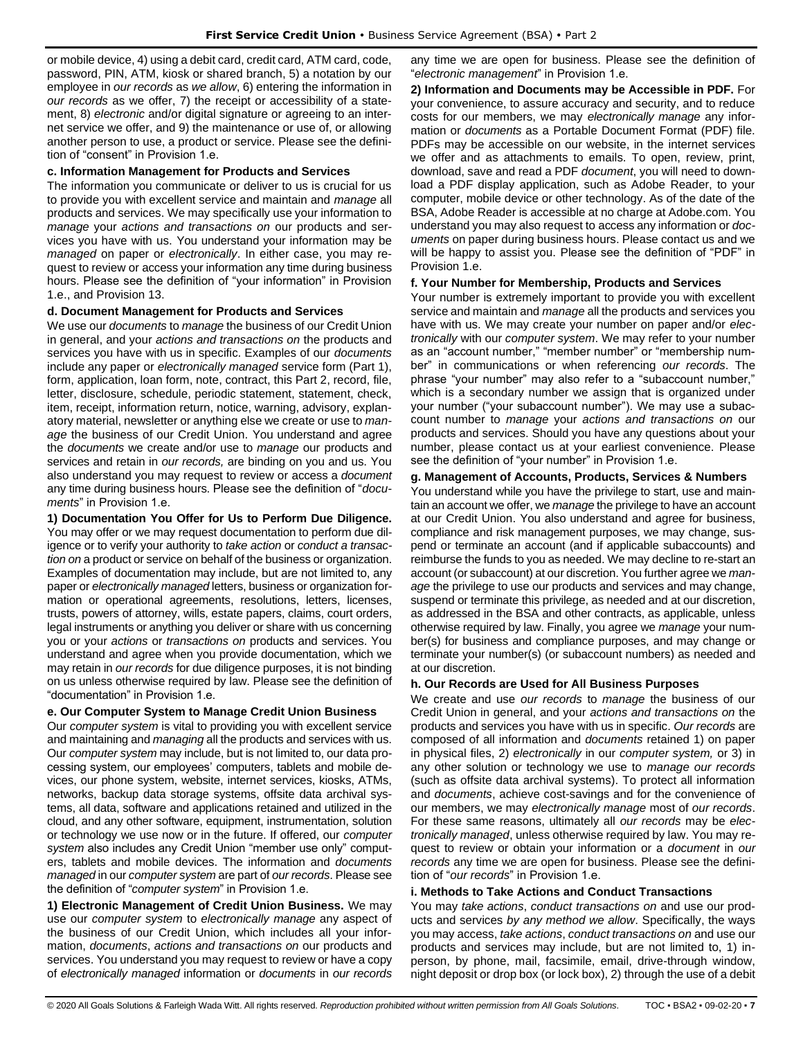or mobile device, 4) using a debit card, credit card, ATM card, code, password, PIN, ATM, kiosk or shared branch, 5) a notation by our employee in *our records* as *we allow*, 6) entering the information in *our records* as we offer, 7) the receipt or accessibility of a statement, 8) *electronic* and/or digital signature or agreeing to an internet service we offer, and 9) the maintenance or use of, or allowing another person to use, a product or service. Please see the definition of "consent" in Provision 1.e.

#### **c. Information Management for Products and Services**

The information you communicate or deliver to us is crucial for us to provide you with excellent service and maintain and *manage* all products and services. We may specifically use your information to *manage* your *actions and transactions on* our products and services you have with us. You understand your information may be *managed* on paper or *electronically*. In either case, you may request to review or access your information any time during business hours. Please see the definition of "your information" in Provision 1.e., and Provision 13.

#### **d. Document Management for Products and Services**

We use our *documents* to *manage* the business of our Credit Union in general, and your *actions and transactions on* the products and services you have with us in specific. Examples of our *documents* include any paper or *electronically managed* service form (Part 1), form, application, loan form, note, contract, this Part 2, record, file, letter, disclosure, schedule, periodic statement, statement, check, item, receipt, information return, notice, warning, advisory, explanatory material, newsletter or anything else we create or use to *manage* the business of our Credit Union. You understand and agree the *documents* we create and/or use to *manage* our products and services and retain in *our records,* are binding on you and us. You also understand you may request to review or access a *document*  any time during business hours. Please see the definition of "*documents*" in Provision 1.e.

**1) Documentation You Offer for Us to Perform Due Diligence.** You may offer or we may request documentation to perform due diligence or to verify your authority to *take action* or *conduct a transaction on* a product or service on behalf of the business or organization. Examples of documentation may include, but are not limited to, any paper or *electronically managed* letters, business or organization formation or operational agreements, resolutions, letters, licenses, trusts, powers of attorney, wills, estate papers, claims, court orders, legal instruments or anything you deliver or share with us concerning you or your *actions* or *transactions on* products and services. You understand and agree when you provide documentation, which we may retain in *our records* for due diligence purposes, it is not binding on us unless otherwise required by law. Please see the definition of "documentation" in Provision 1.e.

#### **e. Our Computer System to Manage Credit Union Business**

Our *computer system* is vital to providing you with excellent service and maintaining and *managing* all the products and services with us. Our *computer system* may include, but is not limited to, our data processing system, our employees' computers, tablets and mobile devices, our phone system, website, internet services, kiosks, ATMs, networks, backup data storage systems, offsite data archival systems, all data, software and applications retained and utilized in the cloud, and any other software, equipment, instrumentation, solution or technology we use now or in the future. If offered, our *computer system* also includes any Credit Union "member use only" computers, tablets and mobile devices. The information and *documents managed* in our *computer system* are part of *our records*. Please see the definition of "*computer system*" in Provision 1.e.

**1) Electronic Management of Credit Union Business.** We may use our *computer system* to *electronically manage* any aspect of the business of our Credit Union, which includes all your information, *documents*, *actions and transactions on* our products and services. You understand you may request to review or have a copy of *electronically managed* information or *documents* in *our records* any time we are open for business. Please see the definition of "*electronic management*" in Provision 1.e.

**2) Information and Documents may be Accessible in PDF.** For your convenience, to assure accuracy and security, and to reduce costs for our members, we may *electronically manage* any information or *documents* as a Portable Document Format (PDF) file. PDFs may be accessible on our website, in the internet services we offer and as attachments to emails. To open, review, print, download, save and read a PDF *document*, you will need to download a PDF display application, such as Adobe Reader, to your computer, mobile device or other technology. As of the date of the BSA, Adobe Reader is accessible at no charge at Adobe.com. You understand you may also request to access any information or *documents* on paper during business hours. Please contact us and we will be happy to assist you. Please see the definition of "PDF" in Provision 1.e.

#### **f. Your Number for Membership, Products and Services**

Your number is extremely important to provide you with excellent service and maintain and *manage* all the products and services you have with us. We may create your number on paper and/or *electronically* with our *computer system*. We may refer to your number as an "account number," "member number" or "membership number" in communications or when referencing *our records*. The phrase "your number" may also refer to a "subaccount number," which is a secondary number we assign that is organized under your number ("your subaccount number"). We may use a subaccount number to *manage* your *actions and transactions on* our products and services. Should you have any questions about your number, please contact us at your earliest convenience. Please see the definition of "your number" in Provision 1.e.

### **g. Management of Accounts, Products, Services & Numbers**

You understand while you have the privilege to start, use and maintain an account we offer, we *manage* the privilege to have an account at our Credit Union. You also understand and agree for business, compliance and risk management purposes, we may change, suspend or terminate an account (and if applicable subaccounts) and reimburse the funds to you as needed. We may decline to re-start an account (or subaccount) at our discretion. You further agree we *manage* the privilege to use our products and services and may change, suspend or terminate this privilege, as needed and at our discretion, as addressed in the BSA and other contracts, as applicable, unless otherwise required by law. Finally, you agree we *manage* your number(s) for business and compliance purposes, and may change or terminate your number(s) (or subaccount numbers) as needed and at our discretion.

#### **h. Our Records are Used for All Business Purposes**

We create and use *our records* to *manage* the business of our Credit Union in general, and your *actions and transactions on* the products and services you have with us in specific. *Our records* are composed of all information and *documents* retained 1) on paper in physical files, 2) *electronically* in our *computer system,* or 3) in any other solution or technology we use to *manage our records* (such as offsite data archival systems). To protect all information and *documents*, achieve cost-savings and for the convenience of our members, we may *electronically manage* most of *our records*. For these same reasons, ultimately all *our records* may be *electronically managed*, unless otherwise required by law. You may request to review or obtain your information or a *document* in *our records* any time we are open for business. Please see the definition of "*our records*" in Provision 1.e.

#### **i. Methods to Take Actions and Conduct Transactions**

You may *take actions*, *conduct transactions on* and use our products and services *by any method we allow*. Specifically, the ways you may access, *take actions*, *conduct transactions on* and use our products and services may include, but are not limited to, 1) inperson, by phone, mail, facsimile, email, drive-through window, night deposit or drop box (or lock box), 2) through the use of a debit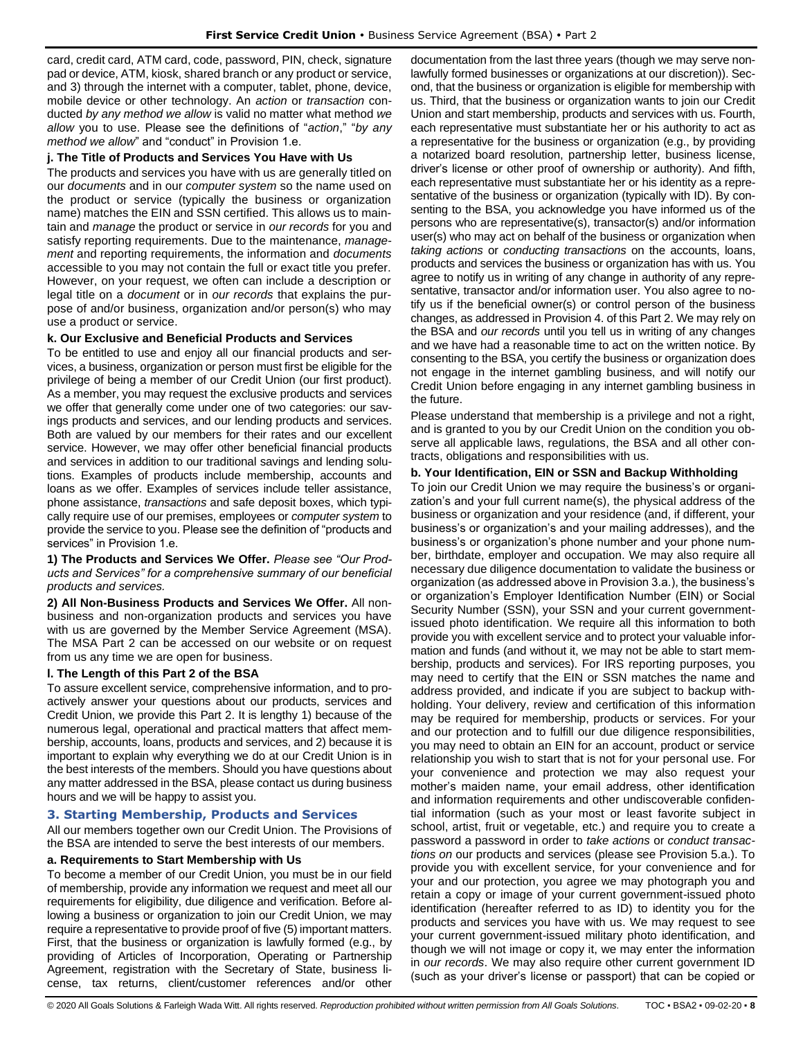card, credit card, ATM card, code, password, PIN, check, signature pad or device, ATM, kiosk, shared branch or any product or service, and 3) through the internet with a computer, tablet, phone, device, mobile device or other technology. An *action* or *transaction* conducted *by any method we allow* is valid no matter what method *we allow* you to use. Please see the definitions of "*action*," "*by any method we allow*" and "conduct" in Provision 1.e.

#### **j. The Title of Products and Services You Have with Us**

The products and services you have with us are generally titled on our *documents* and in our *computer system* so the name used on the product or service (typically the business or organization name) matches the EIN and SSN certified. This allows us to maintain and *manage* the product or service in *our records* for you and satisfy reporting requirements. Due to the maintenance, *management* and reporting requirements, the information and *documents* accessible to you may not contain the full or exact title you prefer. However, on your request, we often can include a description or legal title on a *document* or in *our records* that explains the purpose of and/or business, organization and/or person(s) who may use a product or service.

### **k. Our Exclusive and Beneficial Products and Services**

To be entitled to use and enjoy all our financial products and services, a business, organization or person must first be eligible for the privilege of being a member of our Credit Union (our first product). As a member, you may request the exclusive products and services we offer that generally come under one of two categories: our savings products and services, and our lending products and services. Both are valued by our members for their rates and our excellent service. However, we may offer other beneficial financial products and services in addition to our traditional savings and lending solutions. Examples of products include membership, accounts and loans as we offer. Examples of services include teller assistance, phone assistance, *transactions* and safe deposit boxes, which typically require use of our premises, employees or *computer system* to provide the service to you. Please see the definition of "products and services" in Provision 1.e.

**1) The Products and Services We Offer.** *Please see "Our Products and Services" for a comprehensive summary of our beneficial products and services.*

**2) All Non-Business Products and Services We Offer.** All nonbusiness and non-organization products and services you have with us are governed by the Member Service Agreement (MSA). The MSA Part 2 can be accessed on our website or on request from us any time we are open for business.

### **l. The Length of this Part 2 of the BSA**

To assure excellent service, comprehensive information, and to proactively answer your questions about our products, services and Credit Union, we provide this Part 2. It is lengthy 1) because of the numerous legal, operational and practical matters that affect membership, accounts, loans, products and services, and 2) because it is important to explain why everything we do at our Credit Union is in the best interests of the members. Should you have questions about any matter addressed in the BSA, please contact us during business hours and we will be happy to assist you.

### <span id="page-7-0"></span>**3. Starting Membership, Products and Services**

All our members together own our Credit Union. The Provisions of the BSA are intended to serve the best interests of our members.

#### **a. Requirements to Start Membership with Us**

To become a member of our Credit Union, you must be in our field of membership, provide any information we request and meet all our requirements for eligibility, due diligence and verification. Before allowing a business or organization to join our Credit Union, we may require a representative to provide proof of five (5) important matters. First, that the business or organization is lawfully formed (e.g., by providing of Articles of Incorporation, Operating or Partnership Agreement, registration with the Secretary of State, business license, tax returns, client/customer references and/or other

documentation from the last three years (though we may serve nonlawfully formed businesses or organizations at our discretion)). Second, that the business or organization is eligible for membership with us. Third, that the business or organization wants to join our Credit Union and start membership, products and services with us. Fourth, each representative must substantiate her or his authority to act as a representative for the business or organization (e.g., by providing a notarized board resolution, partnership letter, business license, driver's license or other proof of ownership or authority). And fifth, each representative must substantiate her or his identity as a representative of the business or organization (typically with ID). By consenting to the BSA, you acknowledge you have informed us of the persons who are representative(s), transactor(s) and/or information user(s) who may act on behalf of the business or organization when *taking actions* or *conducting transactions* on the accounts, loans, products and services the business or organization has with us. You agree to notify us in writing of any change in authority of any representative, transactor and/or information user. You also agree to notify us if the beneficial owner(s) or control person of the business changes, as addressed in Provision 4. of this Part 2. We may rely on the BSA and *our records* until you tell us in writing of any changes and we have had a reasonable time to act on the written notice. By consenting to the BSA, you certify the business or organization does not engage in the internet gambling business, and will notify our Credit Union before engaging in any internet gambling business in the future.

Please understand that membership is a privilege and not a right, and is granted to you by our Credit Union on the condition you observe all applicable laws, regulations, the BSA and all other contracts, obligations and responsibilities with us.

#### **b. Your Identification, EIN or SSN and Backup Withholding**

To join our Credit Union we may require the business's or organization's and your full current name(s), the physical address of the business or organization and your residence (and, if different, your business's or organization's and your mailing addresses), and the business's or organization's phone number and your phone number, birthdate, employer and occupation. We may also require all necessary due diligence documentation to validate the business or organization (as addressed above in Provision 3.a.), the business's or organization's Employer Identification Number (EIN) or Social Security Number (SSN), your SSN and your current governmentissued photo identification. We require all this information to both provide you with excellent service and to protect your valuable information and funds (and without it, we may not be able to start membership, products and services). For IRS reporting purposes, you may need to certify that the EIN or SSN matches the name and address provided, and indicate if you are subject to backup withholding. Your delivery, review and certification of this information may be required for membership, products or services. For your and our protection and to fulfill our due diligence responsibilities, you may need to obtain an EIN for an account, product or service relationship you wish to start that is not for your personal use. For your convenience and protection we may also request your mother's maiden name, your email address, other identification and information requirements and other undiscoverable confidential information (such as your most or least favorite subject in school, artist, fruit or vegetable, etc.) and require you to create a password a password in order to *take actions* or *conduct transactions on* our products and services (please see Provision 5.a.). To provide you with excellent service, for your convenience and for your and our protection, you agree we may photograph you and retain a copy or image of your current government-issued photo identification (hereafter referred to as ID) to identity you for the products and services you have with us. We may request to see your current government-issued military photo identification, and though we will not image or copy it, we may enter the information in *our records*. We may also require other current government ID (such as your driver's license or passport) that can be copied or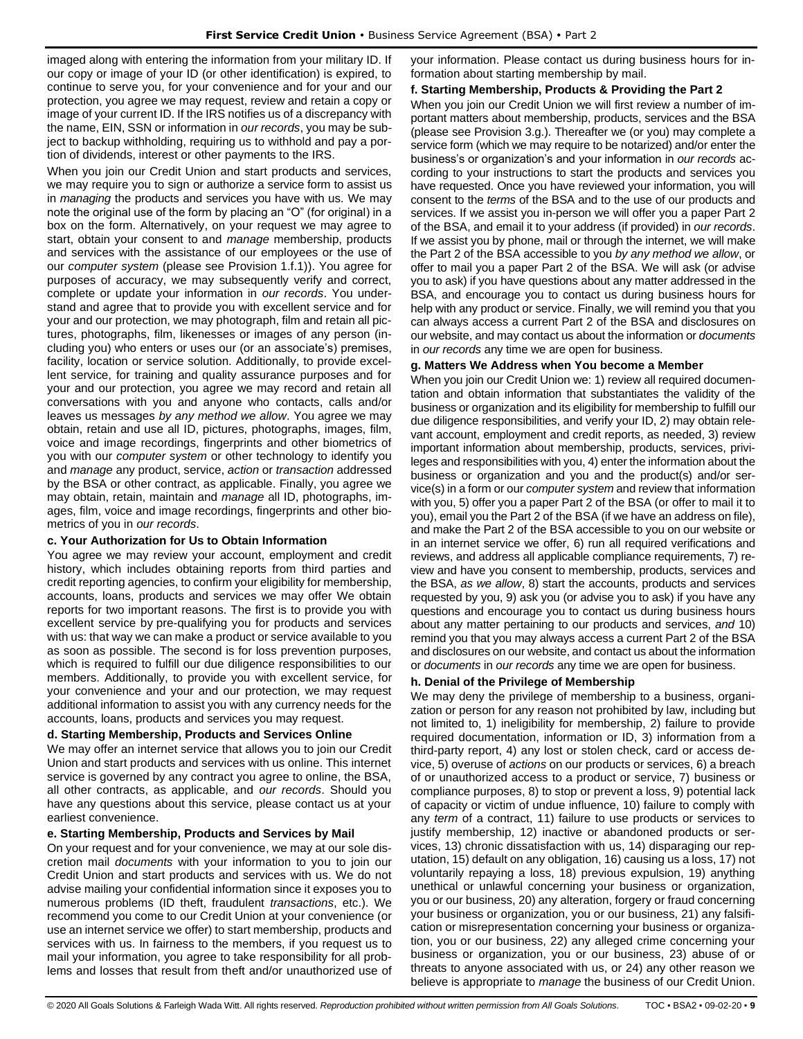imaged along with entering the information from your military ID. If our copy or image of your ID (or other identification) is expired, to continue to serve you, for your convenience and for your and our protection, you agree we may request, review and retain a copy or image of your current ID. If the IRS notifies us of a discrepancy with the name, EIN, SSN or information in *our records*, you may be subject to backup withholding, requiring us to withhold and pay a portion of dividends, interest or other payments to the IRS.

When you join our Credit Union and start products and services, we may require you to sign or authorize a service form to assist us in *managing* the products and services you have with us. We may note the original use of the form by placing an "O" (for original) in a box on the form. Alternatively, on your request we may agree to start, obtain your consent to and *manage* membership, products and services with the assistance of our employees or the use of our *computer system* (please see Provision 1.f.1)). You agree for purposes of accuracy, we may subsequently verify and correct, complete or update your information in *our records*. You understand and agree that to provide you with excellent service and for your and our protection, we may photograph, film and retain all pictures, photographs, film, likenesses or images of any person (including you) who enters or uses our (or an associate's) premises, facility, location or service solution. Additionally, to provide excellent service, for training and quality assurance purposes and for your and our protection, you agree we may record and retain all conversations with you and anyone who contacts, calls and/or leaves us messages *by any method we allow*. You agree we may obtain, retain and use all ID, pictures, photographs, images, film, voice and image recordings, fingerprints and other biometrics of you with our *computer system* or other technology to identify you and *manage* any product, service, *action* or *transaction* addressed by the BSA or other contract, as applicable. Finally, you agree we may obtain, retain, maintain and *manage* all ID, photographs, images, film, voice and image recordings, fingerprints and other biometrics of you in *our records*.

### **c. Your Authorization for Us to Obtain Information**

You agree we may review your account, employment and credit history, which includes obtaining reports from third parties and credit reporting agencies, to confirm your eligibility for membership, accounts, loans, products and services we may offer We obtain reports for two important reasons. The first is to provide you with excellent service by pre-qualifying you for products and services with us: that way we can make a product or service available to you as soon as possible. The second is for loss prevention purposes, which is required to fulfill our due diligence responsibilities to our members. Additionally, to provide you with excellent service, for your convenience and your and our protection, we may request additional information to assist you with any currency needs for the accounts, loans, products and services you may request.

#### **d. Starting Membership, Products and Services Online**

We may offer an internet service that allows you to join our Credit Union and start products and services with us online. This internet service is governed by any contract you agree to online, the BSA, all other contracts, as applicable, and *our records*. Should you have any questions about this service, please contact us at your earliest convenience.

#### **e. Starting Membership, Products and Services by Mail**

On your request and for your convenience, we may at our sole discretion mail *documents* with your information to you to join our Credit Union and start products and services with us. We do not advise mailing your confidential information since it exposes you to numerous problems (ID theft, fraudulent *transactions*, etc.). We recommend you come to our Credit Union at your convenience (or use an internet service we offer) to start membership, products and services with us. In fairness to the members, if you request us to mail your information, you agree to take responsibility for all problems and losses that result from theft and/or unauthorized use of your information. Please contact us during business hours for information about starting membership by mail.

#### **f. Starting Membership, Products & Providing the Part 2**

When you join our Credit Union we will first review a number of important matters about membership, products, services and the BSA (please see Provision 3.g.). Thereafter we (or you) may complete a service form (which we may require to be notarized) and/or enter the business's or organization's and your information in *our records* according to your instructions to start the products and services you have requested. Once you have reviewed your information, you will consent to the *terms* of the BSA and to the use of our products and services. If we assist you in-person we will offer you a paper Part 2 of the BSA, and email it to your address (if provided) in *our records*. If we assist you by phone, mail or through the internet, we will make the Part 2 of the BSA accessible to you *by any method we allow*, or offer to mail you a paper Part 2 of the BSA. We will ask (or advise you to ask) if you have questions about any matter addressed in the BSA, and encourage you to contact us during business hours for help with any product or service. Finally, we will remind you that you can always access a current Part 2 of the BSA and disclosures on our website, and may contact us about the information or *documents*  in *our records* any time we are open for business.

#### **g. Matters We Address when You become a Member**

When you join our Credit Union we: 1) review all required documentation and obtain information that substantiates the validity of the business or organization and its eligibility for membership to fulfill our due diligence responsibilities, and verify your ID, 2) may obtain relevant account, employment and credit reports, as needed, 3) review important information about membership, products, services, privileges and responsibilities with you, 4) enter the information about the business or organization and you and the product(s) and/or service(s) in a form or our *computer system* and review that information with you, 5) offer you a paper Part 2 of the BSA (or offer to mail it to you), email you the Part 2 of the BSA (if we have an address on file), and make the Part 2 of the BSA accessible to you on our website or in an internet service we offer, 6) run all required verifications and reviews, and address all applicable compliance requirements, 7) review and have you consent to membership, products, services and the BSA, *as we allow*, 8) start the accounts, products and services requested by you, 9) ask you (or advise you to ask) if you have any questions and encourage you to contact us during business hours about any matter pertaining to our products and services, *and* 10) remind you that you may always access a current Part 2 of the BSA and disclosures on our website, and contact us about the information or *documents* in *our records* any time we are open for business.

### **h. Denial of the Privilege of Membership**

We may deny the privilege of membership to a business, organization or person for any reason not prohibited by law, including but not limited to, 1) ineligibility for membership, 2) failure to provide required documentation, information or ID, 3) information from a third-party report, 4) any lost or stolen check, card or access device, 5) overuse of *actions* on our products or services, 6) a breach of or unauthorized access to a product or service, 7) business or compliance purposes, 8) to stop or prevent a loss, 9) potential lack of capacity or victim of undue influence, 10) failure to comply with any *term* of a contract, 11) failure to use products or services to justify membership, 12) inactive or abandoned products or services, 13) chronic dissatisfaction with us, 14) disparaging our reputation, 15) default on any obligation, 16) causing us a loss, 17) not voluntarily repaying a loss, 18) previous expulsion, 19) anything unethical or unlawful concerning your business or organization, you or our business, 20) any alteration, forgery or fraud concerning your business or organization, you or our business, 21) any falsification or misrepresentation concerning your business or organization, you or our business, 22) any alleged crime concerning your business or organization, you or our business, 23) abuse of or threats to anyone associated with us, or 24) any other reason we believe is appropriate to *manage* the business of our Credit Union.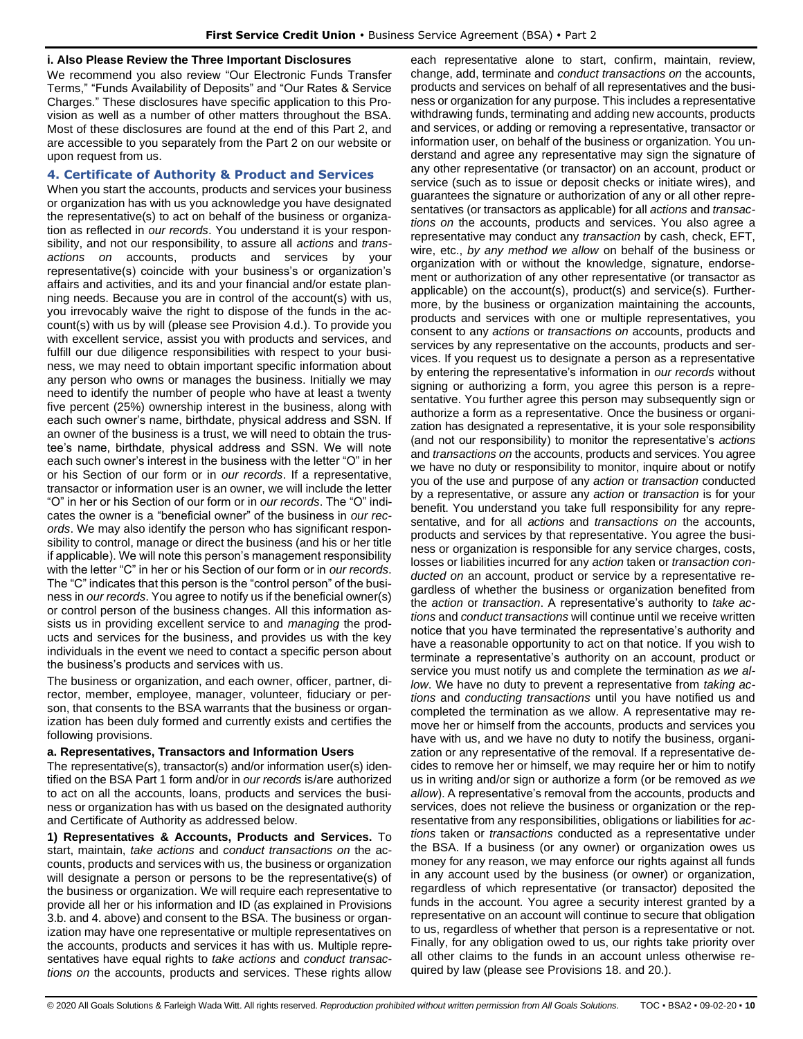#### **i. Also Please Review the Three Important Disclosures**

We recommend you also review "Our Electronic Funds Transfer Terms," "Funds Availability of Deposits" and "Our Rates & Service Charges." These disclosures have specific application to this Provision as well as a number of other matters throughout the BSA. Most of these disclosures are found at the end of this Part 2, and are accessible to you separately from the Part 2 on our website or upon request from us.

### <span id="page-9-0"></span>**4. Certificate of Authority & Product and Services**

When you start the accounts, products and services your business or organization has with us you acknowledge you have designated the representative(s) to act on behalf of the business or organization as reflected in *our records*. You understand it is your responsibility, and not our responsibility, to assure all *actions* and *transactions on* accounts, products and services by your representative(s) coincide with your business's or organization's affairs and activities, and its and your financial and/or estate planning needs. Because you are in control of the account(s) with us, you irrevocably waive the right to dispose of the funds in the account(s) with us by will (please see Provision 4.d.). To provide you with excellent service, assist you with products and services, and fulfill our due diligence responsibilities with respect to your business, we may need to obtain important specific information about any person who owns or manages the business. Initially we may need to identify the number of people who have at least a twenty five percent (25%) ownership interest in the business, along with each such owner's name, birthdate, physical address and SSN. If an owner of the business is a trust, we will need to obtain the trustee's name, birthdate, physical address and SSN. We will note each such owner's interest in the business with the letter "O" in her or his Section of our form or in *our records*. If a representative, transactor or information user is an owner, we will include the letter "O" in her or his Section of our form or in *our records*. The "O" indicates the owner is a "beneficial owner" of the business in *our records*. We may also identify the person who has significant responsibility to control, manage or direct the business (and his or her title if applicable). We will note this person's management responsibility with the letter "C" in her or his Section of our form or in *our records*. The "C" indicates that this person is the "control person" of the business in *our records*. You agree to notify us if the beneficial owner(s) or control person of the business changes. All this information assists us in providing excellent service to and *managing* the products and services for the business, and provides us with the key individuals in the event we need to contact a specific person about the business's products and services with us.

The business or organization, and each owner, officer, partner, director, member, employee, manager, volunteer, fiduciary or person, that consents to the BSA warrants that the business or organization has been duly formed and currently exists and certifies the following provisions.

### **a. Representatives, Transactors and Information Users**

The representative(s), transactor(s) and/or information user(s) identified on the BSA Part 1 form and/or in *our records* is/are authorized to act on all the accounts, loans, products and services the business or organization has with us based on the designated authority and Certificate of Authority as addressed below.

**1) Representatives & Accounts, Products and Services.** To start, maintain, *take actions* and *conduct transactions on* the accounts, products and services with us, the business or organization will designate a person or persons to be the representative(s) of the business or organization. We will require each representative to provide all her or his information and ID (as explained in Provisions 3.b. and 4. above) and consent to the BSA. The business or organization may have one representative or multiple representatives on the accounts, products and services it has with us. Multiple representatives have equal rights to *take actions* and *conduct transactions on* the accounts, products and services. These rights allow

each representative alone to start, confirm, maintain, review, change, add, terminate and *conduct transactions on* the accounts, products and services on behalf of all representatives and the business or organization for any purpose. This includes a representative withdrawing funds, terminating and adding new accounts, products and services, or adding or removing a representative, transactor or information user, on behalf of the business or organization. You understand and agree any representative may sign the signature of any other representative (or transactor) on an account, product or service (such as to issue or deposit checks or initiate wires), and guarantees the signature or authorization of any or all other representatives (or transactors as applicable) for all *actions* and *transactions on* the accounts, products and services. You also agree a representative may conduct any *transaction* by cash, check, EFT, wire, etc., *by any method we allow* on behalf of the business or organization with or without the knowledge, signature, endorsement or authorization of any other representative (or transactor as applicable) on the account(s), product(s) and service(s). Furthermore, by the business or organization maintaining the accounts, products and services with one or multiple representatives, you consent to any *actions* or *transactions on* accounts, products and services by any representative on the accounts, products and services. If you request us to designate a person as a representative by entering the representative's information in *our records* without signing or authorizing a form, you agree this person is a representative. You further agree this person may subsequently sign or authorize a form as a representative. Once the business or organization has designated a representative, it is your sole responsibility (and not our responsibility) to monitor the representative's *actions* and *transactions on* the accounts, products and services. You agree we have no duty or responsibility to monitor, inquire about or notify you of the use and purpose of any *action* or *transaction* conducted by a representative, or assure any *action* or *transaction* is for your benefit. You understand you take full responsibility for any representative, and for all *actions* and *transactions on* the accounts, products and services by that representative. You agree the business or organization is responsible for any service charges, costs, losses or liabilities incurred for any *action* taken or *transaction conducted on* an account, product or service by a representative regardless of whether the business or organization benefited from the *action* or *transaction*. A representative's authority to *take actions* and *conduct transactions* will continue until we receive written notice that you have terminated the representative's authority and have a reasonable opportunity to act on that notice. If you wish to terminate a representative's authority on an account, product or service you must notify us and complete the termination *as we allow*. We have no duty to prevent a representative from *taking actions* and *conducting transactions* until you have notified us and completed the termination as we allow. A representative may remove her or himself from the accounts, products and services you have with us, and we have no duty to notify the business, organization or any representative of the removal. If a representative decides to remove her or himself, we may require her or him to notify us in writing and/or sign or authorize a form (or be removed *as we allow*). A representative's removal from the accounts, products and services, does not relieve the business or organization or the representative from any responsibilities, obligations or liabilities for *actions* taken or *transactions* conducted as a representative under the BSA. If a business (or any owner) or organization owes us money for any reason, we may enforce our rights against all funds in any account used by the business (or owner) or organization, regardless of which representative (or transactor) deposited the funds in the account. You agree a security interest granted by a representative on an account will continue to secure that obligation to us, regardless of whether that person is a representative or not. Finally, for any obligation owed to us, our rights take priority over all other claims to the funds in an account unless otherwise required by law (please see Provisions 18. and 20.).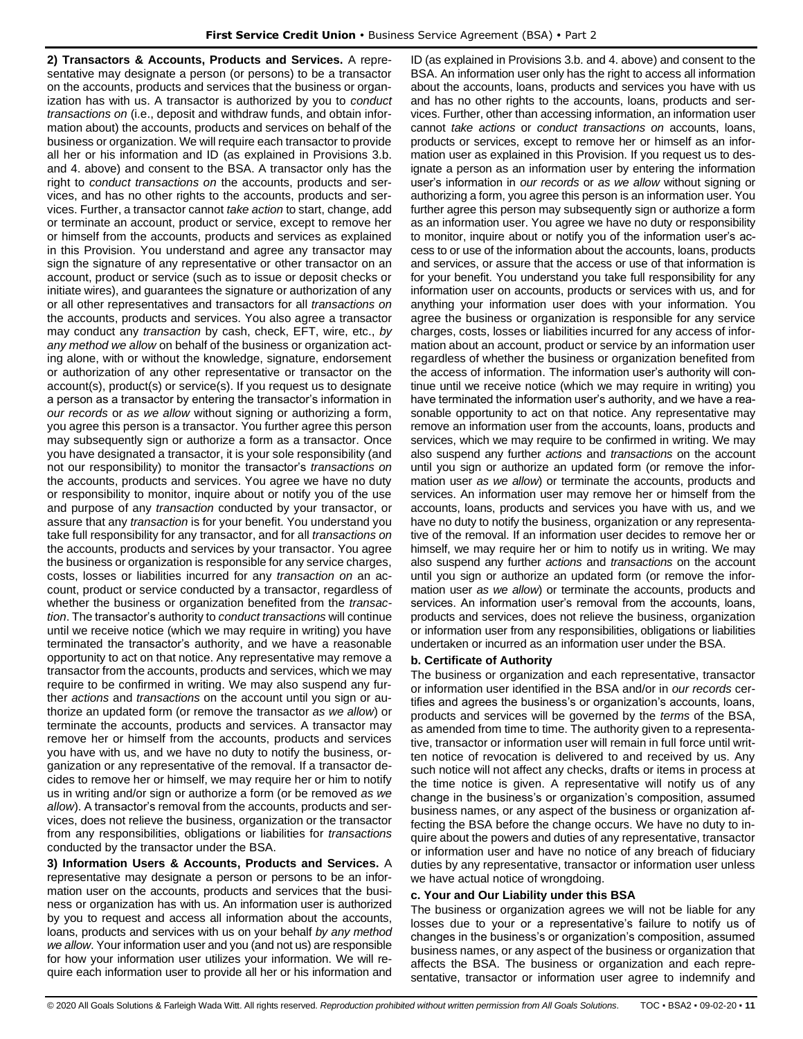**2) Transactors & Accounts, Products and Services.** A representative may designate a person (or persons) to be a transactor on the accounts, products and services that the business or organization has with us. A transactor is authorized by you to *conduct transactions on* (i.e., deposit and withdraw funds, and obtain information about) the accounts, products and services on behalf of the business or organization. We will require each transactor to provide all her or his information and ID (as explained in Provisions 3.b. and 4. above) and consent to the BSA. A transactor only has the right to *conduct transactions on* the accounts, products and services, and has no other rights to the accounts, products and services. Further, a transactor cannot *take action* to start, change, add or terminate an account, product or service, except to remove her or himself from the accounts, products and services as explained in this Provision. You understand and agree any transactor may sign the signature of any representative or other transactor on an account, product or service (such as to issue or deposit checks or initiate wires), and guarantees the signature or authorization of any or all other representatives and transactors for all *transactions on*  the accounts, products and services. You also agree a transactor may conduct any *transaction* by cash, check, EFT, wire, etc., *by any method we allow* on behalf of the business or organization acting alone, with or without the knowledge, signature, endorsement or authorization of any other representative or transactor on the account(s), product(s) or service(s). If you request us to designate a person as a transactor by entering the transactor's information in *our records* or *as we allow* without signing or authorizing a form, you agree this person is a transactor. You further agree this person may subsequently sign or authorize a form as a transactor. Once you have designated a transactor, it is your sole responsibility (and not our responsibility) to monitor the transactor's *transactions on* the accounts, products and services. You agree we have no duty or responsibility to monitor, inquire about or notify you of the use and purpose of any *transaction* conducted by your transactor, or assure that any *transaction* is for your benefit. You understand you take full responsibility for any transactor, and for all *transactions on* the accounts, products and services by your transactor. You agree the business or organization is responsible for any service charges, costs, losses or liabilities incurred for any *transaction on* an account, product or service conducted by a transactor, regardless of whether the business or organization benefited from the *transaction*. The transactor's authority to *conduct transactions* will continue until we receive notice (which we may require in writing) you have terminated the transactor's authority, and we have a reasonable opportunity to act on that notice. Any representative may remove a transactor from the accounts, products and services, which we may require to be confirmed in writing. We may also suspend any further *actions* and *transactions* on the account until you sign or authorize an updated form (or remove the transactor *as we allow*) or terminate the accounts, products and services. A transactor may remove her or himself from the accounts, products and services you have with us, and we have no duty to notify the business, organization or any representative of the removal. If a transactor decides to remove her or himself, we may require her or him to notify us in writing and/or sign or authorize a form (or be removed *as we allow*). A transactor's removal from the accounts, products and services, does not relieve the business, organization or the transactor from any responsibilities, obligations or liabilities for *transactions* conducted by the transactor under the BSA.

**3) Information Users & Accounts, Products and Services.** A representative may designate a person or persons to be an information user on the accounts, products and services that the business or organization has with us. An information user is authorized by you to request and access all information about the accounts, loans, products and services with us on your behalf *by any method we allow*. Your information user and you (and not us) are responsible for how your information user utilizes your information. We will require each information user to provide all her or his information and

ID (as explained in Provisions 3.b. and 4. above) and consent to the BSA. An information user only has the right to access all information about the accounts, loans, products and services you have with us and has no other rights to the accounts, loans, products and services. Further, other than accessing information, an information user cannot *take actions* or *conduct transactions on* accounts, loans, products or services, except to remove her or himself as an information user as explained in this Provision. If you request us to designate a person as an information user by entering the information user's information in *our records* or *as we allow* without signing or authorizing a form, you agree this person is an information user. You further agree this person may subsequently sign or authorize a form as an information user. You agree we have no duty or responsibility to monitor, inquire about or notify you of the information user's access to or use of the information about the accounts, loans, products and services, or assure that the access or use of that information is for your benefit. You understand you take full responsibility for any information user on accounts, products or services with us, and for anything your information user does with your information. You agree the business or organization is responsible for any service charges, costs, losses or liabilities incurred for any access of information about an account, product or service by an information user regardless of whether the business or organization benefited from the access of information. The information user's authority will continue until we receive notice (which we may require in writing) you have terminated the information user's authority, and we have a reasonable opportunity to act on that notice. Any representative may remove an information user from the accounts, loans, products and services, which we may require to be confirmed in writing. We may also suspend any further *actions* and *transactions* on the account until you sign or authorize an updated form (or remove the information user *as we allow*) or terminate the accounts, products and services. An information user may remove her or himself from the accounts, loans, products and services you have with us, and we have no duty to notify the business, organization or any representative of the removal. If an information user decides to remove her or himself, we may require her or him to notify us in writing. We may also suspend any further *actions* and *transactions* on the account until you sign or authorize an updated form (or remove the information user *as we allow*) or terminate the accounts, products and services. An information user's removal from the accounts, loans, products and services, does not relieve the business, organization or information user from any responsibilities, obligations or liabilities undertaken or incurred as an information user under the BSA.

### **b. Certificate of Authority**

The business or organization and each representative, transactor or information user identified in the BSA and/or in *our records* certifies and agrees the business's or organization's accounts, loans, products and services will be governed by the *terms* of the BSA, as amended from time to time. The authority given to a representative, transactor or information user will remain in full force until written notice of revocation is delivered to and received by us. Any such notice will not affect any checks, drafts or items in process at the time notice is given. A representative will notify us of any change in the business's or organization's composition, assumed business names, or any aspect of the business or organization affecting the BSA before the change occurs. We have no duty to inquire about the powers and duties of any representative, transactor or information user and have no notice of any breach of fiduciary duties by any representative, transactor or information user unless we have actual notice of wrongdoing.

### **c. Your and Our Liability under this BSA**

The business or organization agrees we will not be liable for any losses due to your or a representative's failure to notify us of changes in the business's or organization's composition, assumed business names, or any aspect of the business or organization that affects the BSA. The business or organization and each representative, transactor or information user agree to indemnify and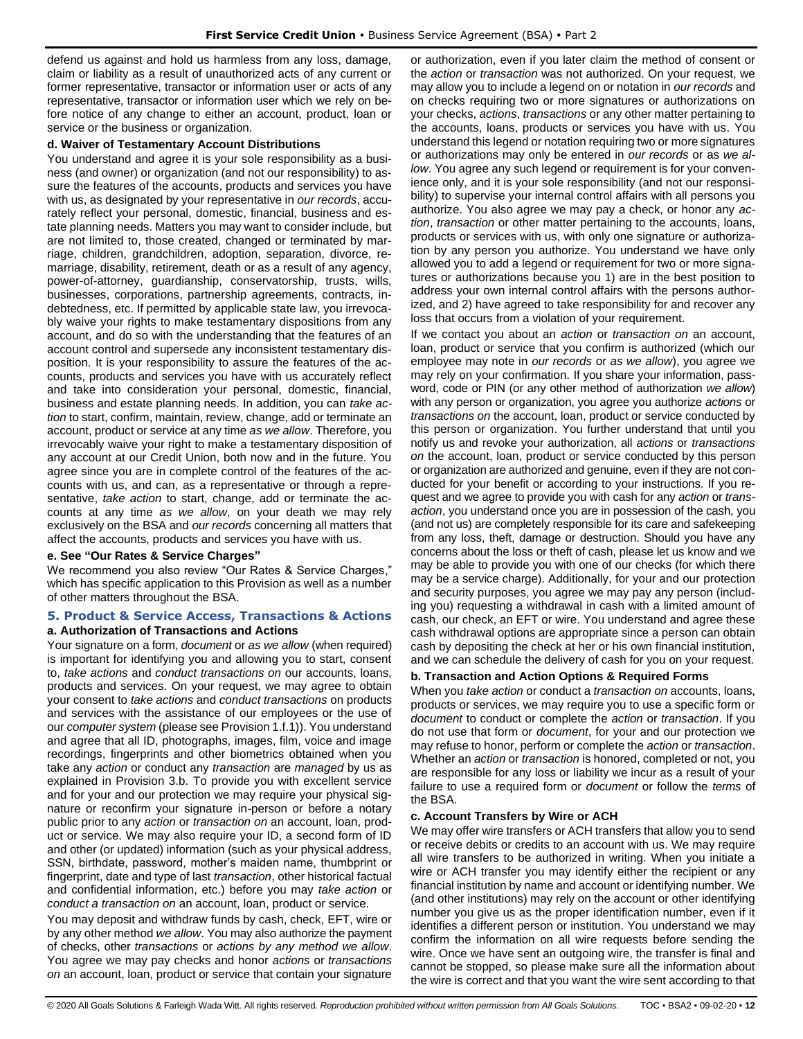defend us against and hold us harmless from any loss, damage, claim or liability as a result of unauthorized acts of any current or former representative, transactor or information user or acts of any representative, transactor or information user which we rely on before notice of any change to either an account, product, loan or service or the business or organization.

#### **d. Waiver of Testamentary Account Distributions**

You understand and agree it is your sole responsibility as a business (and owner) or organization (and not our responsibility) to assure the features of the accounts, products and services you have with us, as designated by your representative in *our records*, accurately reflect your personal, domestic, financial, business and estate planning needs. Matters you may want to consider include, but are not limited to, those created, changed or terminated by marriage, children, grandchildren, adoption, separation, divorce, remarriage, disability, retirement, death or as a result of any agency, power-of-attorney, guardianship, conservatorship, trusts, wills, businesses, corporations, partnership agreements, contracts, indebtedness, etc. If permitted by applicable state law, you irrevocably waive your rights to make testamentary dispositions from any account, and do so with the understanding that the features of an account control and supersede any inconsistent testamentary disposition. It is your responsibility to assure the features of the accounts, products and services you have with us accurately reflect and take into consideration your personal, domestic, financial, business and estate planning needs. In addition, you can *take action* to start, confirm, maintain, review, change, add or terminate an account, product or service at any time *as we allow*. Therefore, you irrevocably waive your right to make a testamentary disposition of any account at our Credit Union, both now and in the future. You agree since you are in complete control of the features of the accounts with us, and can, as a representative or through a representative, *take action* to start, change, add or terminate the accounts at any time *as we allow*, on your death we may rely exclusively on the BSA and *our records* concerning all matters that affect the accounts, products and services you have with us.

#### **e. See "Our Rates & Service Charges"**

We recommend you also review "Our Rates & Service Charges," which has specific application to this Provision as well as a number of other matters throughout the BSA.

### <span id="page-11-0"></span>**5. Product & Service Access, Transactions & Actions a. Authorization of Transactions and Actions**

Your signature on a form, *document* or *as we allow* (when required) is important for identifying you and allowing you to start, consent to, *take actions* and *conduct transactions on* our accounts, loans, products and services. On your request, we may agree to obtain your consent to *take actions* and *conduct transactions* on products and services with the assistance of our employees or the use of our *computer system* (please see Provision 1.f.1)). You understand and agree that all ID, photographs, images, film, voice and image recordings, fingerprints and other biometrics obtained when you take any *action* or conduct any *transaction* are *managed* by us as explained in Provision 3.b. To provide you with excellent service and for your and our protection we may require your physical signature or reconfirm your signature in-person or before a notary public prior to any *action* or *transaction on* an account, loan, product or service. We may also require your ID, a second form of ID and other (or updated) information (such as your physical address, SSN, birthdate, password, mother's maiden name, thumbprint or fingerprint, date and type of last *transaction*, other historical factual and confidential information, etc.) before you may *take action* or *conduct a transaction on* an account, loan, product or service.

You may deposit and withdraw funds by cash, check, EFT, wire or by any other method *we allow*. You may also authorize the payment of checks, other *transactions* or *actions by any method we allow*. You agree we may pay checks and honor *actions* or *transactions on* an account, loan, product or service that contain your signature or authorization, even if you later claim the method of consent or the *action* or *transaction* was not authorized. On your request, we may allow you to include a legend on or notation in *our records* and on checks requiring two or more signatures or authorizations on your checks, *actions*, *transactions* or any other matter pertaining to the accounts, loans, products or services you have with us. You understand this legend or notation requiring two or more signatures or authorizations may only be entered in *our records* or as *we allow*. You agree any such legend or requirement is for your convenience only, and it is your sole responsibility (and not our responsibility) to supervise your internal control affairs with all persons you authorize. You also agree we may pay a check, or honor any *action*, *transaction* or other matter pertaining to the accounts, loans, products or services with us, with only one signature or authorization by any person you authorize. You understand we have only allowed you to add a legend or requirement for two or more signatures or authorizations because you 1) are in the best position to address your own internal control affairs with the persons authorized, and 2) have agreed to take responsibility for and recover any loss that occurs from a violation of your requirement.

If we contact you about an *action* or *transaction on* an account, loan, product or service that you confirm is authorized (which our employee may note in *our records* or *as we allow*), you agree we may rely on your confirmation. If you share your information, password, code or PIN (or any other method of authorization *we allow*) with any person or organization, you agree you authorize *actions* or *transactions on* the account, loan, product or service conducted by this person or organization. You further understand that until you notify us and revoke your authorization, all *actions* or *transactions on* the account, loan, product or service conducted by this person or organization are authorized and genuine, even if they are not conducted for your benefit or according to your instructions. If you request and we agree to provide you with cash for any *action* or *transaction*, you understand once you are in possession of the cash, you (and not us) are completely responsible for its care and safekeeping from any loss, theft, damage or destruction. Should you have any concerns about the loss or theft of cash, please let us know and we may be able to provide you with one of our checks (for which there may be a service charge). Additionally, for your and our protection and security purposes, you agree we may pay any person (including you) requesting a withdrawal in cash with a limited amount of cash, our check, an EFT or wire. You understand and agree these cash withdrawal options are appropriate since a person can obtain cash by depositing the check at her or his own financial institution, and we can schedule the delivery of cash for you on your request.

### **b. Transaction and Action Options & Required Forms**

When you *take action* or conduct a *transaction on* accounts, loans, products or services, we may require you to use a specific form or *document* to conduct or complete the *action* or *transaction*. If you do not use that form or *document*, for your and our protection we may refuse to honor, perform or complete the *action* or *transaction*. Whether an *action* or *transaction* is honored, completed or not, you are responsible for any loss or liability we incur as a result of your failure to use a required form or *document* or follow the *terms* of the BSA.

#### **c. Account Transfers by Wire or ACH**

We may offer wire transfers or ACH transfers that allow you to send or receive debits or credits to an account with us. We may require all wire transfers to be authorized in writing. When you initiate a wire or ACH transfer you may identify either the recipient or any financial institution by name and account or identifying number. We (and other institutions) may rely on the account or other identifying number you give us as the proper identification number, even if it identifies a different person or institution. You understand we may confirm the information on all wire requests before sending the wire. Once we have sent an outgoing wire, the transfer is final and cannot be stopped, so please make sure all the information about the wire is correct and that you want the wire sent according to that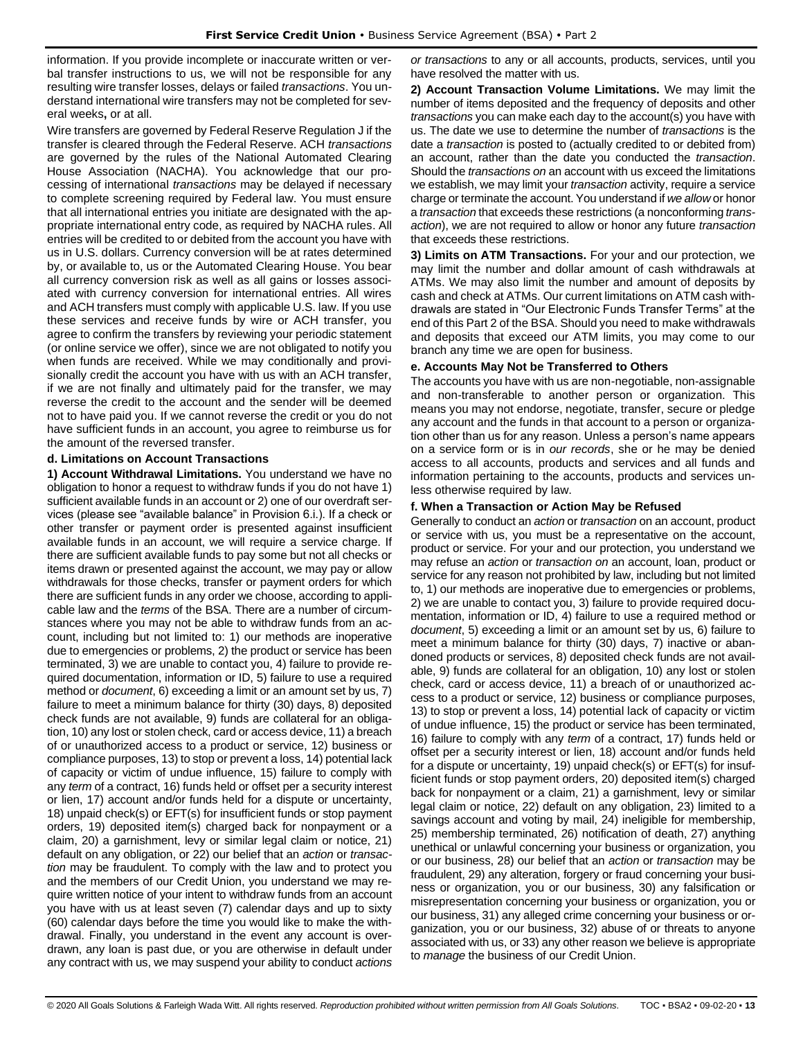information. If you provide incomplete or inaccurate written or verbal transfer instructions to us, we will not be responsible for any resulting wire transfer losses, delays or failed *transactions*. You understand international wire transfers may not be completed for several weeks**,** or at all.

Wire transfers are governed by Federal Reserve Regulation J if the transfer is cleared through the Federal Reserve. ACH *transactions* are governed by the rules of the National Automated Clearing House Association (NACHA). You acknowledge that our processing of international *transactions* may be delayed if necessary to complete screening required by Federal law. You must ensure that all international entries you initiate are designated with the appropriate international entry code, as required by NACHA rules. All entries will be credited to or debited from the account you have with us in U.S. dollars. Currency conversion will be at rates determined by, or available to, us or the Automated Clearing House. You bear all currency conversion risk as well as all gains or losses associated with currency conversion for international entries. All wires and ACH transfers must comply with applicable U.S. law. If you use these services and receive funds by wire or ACH transfer, you agree to confirm the transfers by reviewing your periodic statement (or online service we offer), since we are not obligated to notify you when funds are received. While we may conditionally and provisionally credit the account you have with us with an ACH transfer, if we are not finally and ultimately paid for the transfer, we may reverse the credit to the account and the sender will be deemed not to have paid you. If we cannot reverse the credit or you do not have sufficient funds in an account, you agree to reimburse us for the amount of the reversed transfer.

### **d. Limitations on Account Transactions**

**1) Account Withdrawal Limitations.** You understand we have no obligation to honor a request to withdraw funds if you do not have 1) sufficient available funds in an account or 2) one of our overdraft services (please see "available balance" in Provision 6.i.). If a check or other transfer or payment order is presented against insufficient available funds in an account, we will require a service charge. If there are sufficient available funds to pay some but not all checks or items drawn or presented against the account, we may pay or allow withdrawals for those checks, transfer or payment orders for which there are sufficient funds in any order we choose, according to applicable law and the *terms* of the BSA. There are a number of circumstances where you may not be able to withdraw funds from an account, including but not limited to: 1) our methods are inoperative due to emergencies or problems, 2) the product or service has been terminated, 3) we are unable to contact you, 4) failure to provide required documentation, information or ID, 5) failure to use a required method or *document*, 6) exceeding a limit or an amount set by us, 7) failure to meet a minimum balance for thirty (30) days, 8) deposited check funds are not available, 9) funds are collateral for an obligation, 10) any lost or stolen check, card or access device, 11) a breach of or unauthorized access to a product or service, 12) business or compliance purposes, 13) to stop or prevent a loss, 14) potential lack of capacity or victim of undue influence, 15) failure to comply with any *term* of a contract, 16) funds held or offset per a security interest or lien, 17) account and/or funds held for a dispute or uncertainty, 18) unpaid check(s) or EFT(s) for insufficient funds or stop payment orders, 19) deposited item(s) charged back for nonpayment or a claim, 20) a garnishment, levy or similar legal claim or notice, 21) default on any obligation, or 22) our belief that an *action* or *transaction* may be fraudulent. To comply with the law and to protect you and the members of our Credit Union, you understand we may require written notice of your intent to withdraw funds from an account you have with us at least seven (7) calendar days and up to sixty (60) calendar days before the time you would like to make the withdrawal. Finally, you understand in the event any account is overdrawn, any loan is past due, or you are otherwise in default under any contract with us, we may suspend your ability to conduct *actions* 

*or transactions* to any or all accounts, products, services, until you have resolved the matter with us.

**2) Account Transaction Volume Limitations.** We may limit the number of items deposited and the frequency of deposits and other *transactions* you can make each day to the account(s) you have with us. The date we use to determine the number of *transactions* is the date a *transaction* is posted to (actually credited to or debited from) an account, rather than the date you conducted the *transaction*. Should the *transactions on* an account with us exceed the limitations we establish, we may limit your *transaction* activity, require a service charge or terminate the account. You understand if *we allow* or honor a *transaction* that exceeds these restrictions (a nonconforming *transaction*), we are not required to allow or honor any future *transaction* that exceeds these restrictions.

**3) Limits on ATM Transactions.** For your and our protection, we may limit the number and dollar amount of cash withdrawals at ATMs. We may also limit the number and amount of deposits by cash and check at ATMs. Our current limitations on ATM cash withdrawals are stated in "Our Electronic Funds Transfer Terms" at the end of this Part 2 of the BSA. Should you need to make withdrawals and deposits that exceed our ATM limits, you may come to our branch any time we are open for business.

### **e. Accounts May Not be Transferred to Others**

The accounts you have with us are non-negotiable, non-assignable and non-transferable to another person or organization. This means you may not endorse, negotiate, transfer, secure or pledge any account and the funds in that account to a person or organization other than us for any reason. Unless a person's name appears on a service form or is in *our records*, she or he may be denied access to all accounts, products and services and all funds and information pertaining to the accounts, products and services unless otherwise required by law.

### **f. When a Transaction or Action May be Refused**

Generally to conduct an *action* or *transaction* on an account, product or service with us, you must be a representative on the account, product or service. For your and our protection, you understand we may refuse an *action* or *transaction on* an account, loan, product or service for any reason not prohibited by law, including but not limited to, 1) our methods are inoperative due to emergencies or problems, 2) we are unable to contact you, 3) failure to provide required documentation, information or ID, 4) failure to use a required method or *document*, 5) exceeding a limit or an amount set by us, 6) failure to meet a minimum balance for thirty (30) days, 7) inactive or abandoned products or services, 8) deposited check funds are not available, 9) funds are collateral for an obligation, 10) any lost or stolen check, card or access device, 11) a breach of or unauthorized access to a product or service, 12) business or compliance purposes, 13) to stop or prevent a loss, 14) potential lack of capacity or victim of undue influence, 15) the product or service has been terminated, 16) failure to comply with any *term* of a contract, 17) funds held or offset per a security interest or lien, 18) account and/or funds held for a dispute or uncertainty, 19) unpaid check(s) or EFT(s) for insufficient funds or stop payment orders, 20) deposited item(s) charged back for nonpayment or a claim, 21) a garnishment, levy or similar legal claim or notice, 22) default on any obligation, 23) limited to a savings account and voting by mail, 24) ineligible for membership, 25) membership terminated, 26) notification of death, 27) anything unethical or unlawful concerning your business or organization, you or our business, 28) our belief that an *action* or *transaction* may be fraudulent, 29) any alteration, forgery or fraud concerning your business or organization, you or our business, 30) any falsification or misrepresentation concerning your business or organization, you or our business, 31) any alleged crime concerning your business or organization, you or our business, 32) abuse of or threats to anyone associated with us, or 33) any other reason we believe is appropriate to *manage* the business of our Credit Union.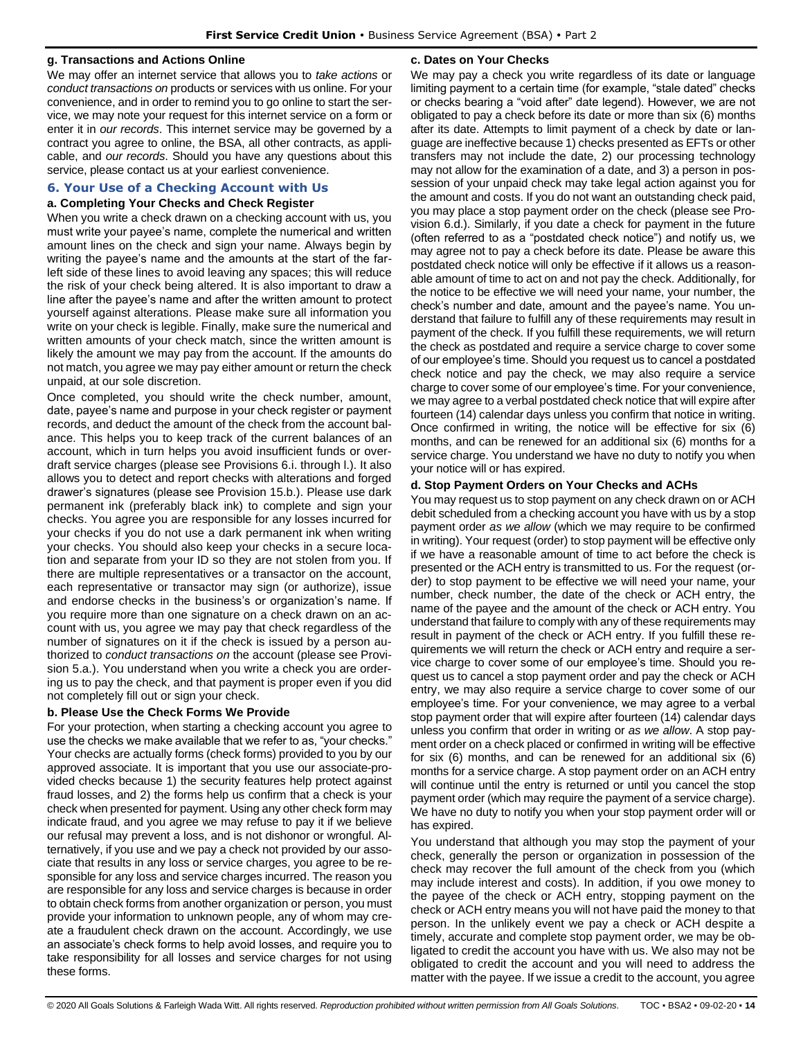#### **g. Transactions and Actions Online**

We may offer an internet service that allows you to *take actions* or *conduct transactions on* products or services with us online. For your convenience, and in order to remind you to go online to start the service, we may note your request for this internet service on a form or enter it in *our records*. This internet service may be governed by a contract you agree to online, the BSA, all other contracts, as applicable, and *our records*. Should you have any questions about this service, please contact us at your earliest convenience.

## <span id="page-13-0"></span>**6. Your Use of a Checking Account with Us**

#### **a. Completing Your Checks and Check Register**

When you write a check drawn on a checking account with us, you must write your payee's name, complete the numerical and written amount lines on the check and sign your name. Always begin by writing the payee's name and the amounts at the start of the farleft side of these lines to avoid leaving any spaces; this will reduce the risk of your check being altered. It is also important to draw a line after the payee's name and after the written amount to protect yourself against alterations. Please make sure all information you write on your check is legible. Finally, make sure the numerical and written amounts of your check match, since the written amount is likely the amount we may pay from the account. If the amounts do not match, you agree we may pay either amount or return the check unpaid, at our sole discretion.

Once completed, you should write the check number, amount, date, payee's name and purpose in your check register or payment records, and deduct the amount of the check from the account balance. This helps you to keep track of the current balances of an account, which in turn helps you avoid insufficient funds or overdraft service charges (please see Provisions 6.i. through l.). It also allows you to detect and report checks with alterations and forged drawer's signatures (please see Provision 15.b.). Please use dark permanent ink (preferably black ink) to complete and sign your checks. You agree you are responsible for any losses incurred for your checks if you do not use a dark permanent ink when writing your checks. You should also keep your checks in a secure location and separate from your ID so they are not stolen from you. If there are multiple representatives or a transactor on the account, each representative or transactor may sign (or authorize), issue and endorse checks in the business's or organization's name. If you require more than one signature on a check drawn on an account with us, you agree we may pay that check regardless of the number of signatures on it if the check is issued by a person authorized to *conduct transactions on* the account (please see Provision 5.a.). You understand when you write a check you are ordering us to pay the check, and that payment is proper even if you did not completely fill out or sign your check.

#### **b. Please Use the Check Forms We Provide**

For your protection, when starting a checking account you agree to use the checks we make available that we refer to as, "your checks." Your checks are actually forms (check forms) provided to you by our approved associate. It is important that you use our associate-provided checks because 1) the security features help protect against fraud losses, and 2) the forms help us confirm that a check is your check when presented for payment. Using any other check form may indicate fraud, and you agree we may refuse to pay it if we believe our refusal may prevent a loss, and is not dishonor or wrongful. Alternatively, if you use and we pay a check not provided by our associate that results in any loss or service charges, you agree to be responsible for any loss and service charges incurred. The reason you are responsible for any loss and service charges is because in order to obtain check forms from another organization or person, you must provide your information to unknown people, any of whom may create a fraudulent check drawn on the account. Accordingly, we use an associate's check forms to help avoid losses, and require you to take responsibility for all losses and service charges for not using these forms.

#### **c. Dates on Your Checks**

We may pay a check you write regardless of its date or language limiting payment to a certain time (for example, "stale dated" checks or checks bearing a "void after" date legend). However, we are not obligated to pay a check before its date or more than six (6) months after its date. Attempts to limit payment of a check by date or language are ineffective because 1) checks presented as EFTs or other transfers may not include the date, 2) our processing technology may not allow for the examination of a date, and 3) a person in possession of your unpaid check may take legal action against you for the amount and costs. If you do not want an outstanding check paid, you may place a stop payment order on the check (please see Provision 6.d.). Similarly, if you date a check for payment in the future (often referred to as a "postdated check notice") and notify us, we may agree not to pay a check before its date. Please be aware this postdated check notice will only be effective if it allows us a reasonable amount of time to act on and not pay the check. Additionally, for the notice to be effective we will need your name, your number, the check's number and date, amount and the payee's name. You understand that failure to fulfill any of these requirements may result in payment of the check. If you fulfill these requirements, we will return the check as postdated and require a service charge to cover some of our employee's time. Should you request us to cancel a postdated check notice and pay the check, we may also require a service charge to cover some of our employee's time. For your convenience, we may agree to a verbal postdated check notice that will expire after fourteen (14) calendar days unless you confirm that notice in writing. Once confirmed in writing, the notice will be effective for six (6) months, and can be renewed for an additional six (6) months for a service charge. You understand we have no duty to notify you when your notice will or has expired.

#### **d. Stop Payment Orders on Your Checks and ACHs**

You may request us to stop payment on any check drawn on or ACH debit scheduled from a checking account you have with us by a stop payment order *as we allow* (which we may require to be confirmed in writing). Your request (order) to stop payment will be effective only if we have a reasonable amount of time to act before the check is presented or the ACH entry is transmitted to us. For the request (order) to stop payment to be effective we will need your name, your number, check number, the date of the check or ACH entry, the name of the payee and the amount of the check or ACH entry. You understand that failure to comply with any of these requirements may result in payment of the check or ACH entry. If you fulfill these requirements we will return the check or ACH entry and require a service charge to cover some of our employee's time. Should you request us to cancel a stop payment order and pay the check or ACH entry, we may also require a service charge to cover some of our employee's time. For your convenience, we may agree to a verbal stop payment order that will expire after fourteen (14) calendar days unless you confirm that order in writing or *as we allow*. A stop payment order on a check placed or confirmed in writing will be effective for six (6) months, and can be renewed for an additional six (6) months for a service charge. A stop payment order on an ACH entry will continue until the entry is returned or until you cancel the stop payment order (which may require the payment of a service charge). We have no duty to notify you when your stop payment order will or has expired.

You understand that although you may stop the payment of your check, generally the person or organization in possession of the check may recover the full amount of the check from you (which may include interest and costs). In addition, if you owe money to the payee of the check or ACH entry, stopping payment on the check or ACH entry means you will not have paid the money to that person. In the unlikely event we pay a check or ACH despite a timely, accurate and complete stop payment order, we may be obligated to credit the account you have with us. We also may not be obligated to credit the account and you will need to address the matter with the payee. If we issue a credit to the account, you agree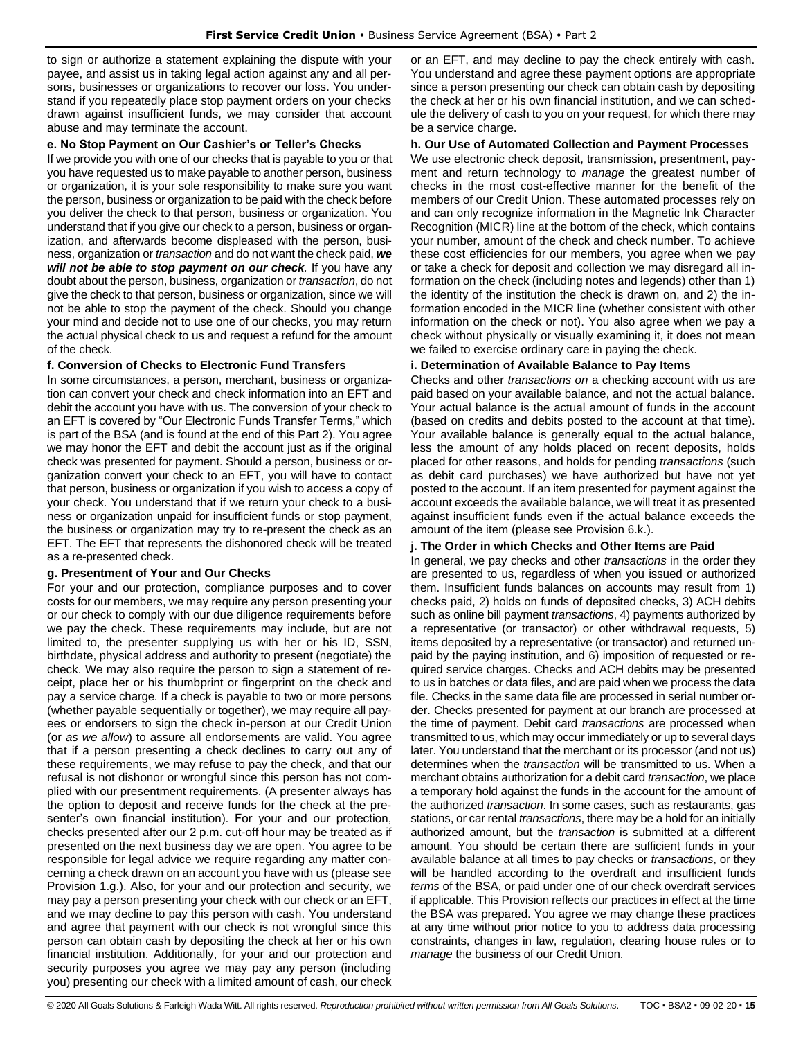to sign or authorize a statement explaining the dispute with your payee, and assist us in taking legal action against any and all persons, businesses or organizations to recover our loss. You understand if you repeatedly place stop payment orders on your checks drawn against insufficient funds, we may consider that account abuse and may terminate the account.

#### **e. No Stop Payment on Our Cashier's or Teller's Checks**

If we provide you with one of our checks that is payable to you or that you have requested us to make payable to another person, business or organization, it is your sole responsibility to make sure you want the person, business or organization to be paid with the check before you deliver the check to that person, business or organization. You understand that if you give our check to a person, business or organization, and afterwards become displeased with the person, business, organization or *transaction* and do not want the check paid, *we will not be able to stop payment on our check.* If you have any doubt about the person, business, organization or *transaction*, do not give the check to that person, business or organization, since we will not be able to stop the payment of the check. Should you change your mind and decide not to use one of our checks, you may return the actual physical check to us and request a refund for the amount of the check.

#### **f. Conversion of Checks to Electronic Fund Transfers**

In some circumstances, a person, merchant, business or organization can convert your check and check information into an EFT and debit the account you have with us. The conversion of your check to an EFT is covered by "Our Electronic Funds Transfer Terms," which is part of the BSA (and is found at the end of this Part 2). You agree we may honor the EFT and debit the account just as if the original check was presented for payment. Should a person, business or organization convert your check to an EFT, you will have to contact that person, business or organization if you wish to access a copy of your check. You understand that if we return your check to a business or organization unpaid for insufficient funds or stop payment, the business or organization may try to re-present the check as an EFT. The EFT that represents the dishonored check will be treated as a re-presented check.

### **g. Presentment of Your and Our Checks**

For your and our protection, compliance purposes and to cover costs for our members, we may require any person presenting your or our check to comply with our due diligence requirements before we pay the check. These requirements may include, but are not limited to, the presenter supplying us with her or his ID, SSN, birthdate, physical address and authority to present (negotiate) the check. We may also require the person to sign a statement of receipt, place her or his thumbprint or fingerprint on the check and pay a service charge. If a check is payable to two or more persons (whether payable sequentially or together), we may require all payees or endorsers to sign the check in-person at our Credit Union (or *as we allow*) to assure all endorsements are valid. You agree that if a person presenting a check declines to carry out any of these requirements, we may refuse to pay the check, and that our refusal is not dishonor or wrongful since this person has not complied with our presentment requirements. (A presenter always has the option to deposit and receive funds for the check at the presenter's own financial institution). For your and our protection, checks presented after our 2 p.m. cut-off hour may be treated as if presented on the next business day we are open. You agree to be responsible for legal advice we require regarding any matter concerning a check drawn on an account you have with us (please see Provision 1.g.). Also, for your and our protection and security, we may pay a person presenting your check with our check or an EFT, and we may decline to pay this person with cash. You understand and agree that payment with our check is not wrongful since this person can obtain cash by depositing the check at her or his own financial institution. Additionally, for your and our protection and security purposes you agree we may pay any person (including you) presenting our check with a limited amount of cash, our check

or an EFT, and may decline to pay the check entirely with cash. You understand and agree these payment options are appropriate since a person presenting our check can obtain cash by depositing the check at her or his own financial institution, and we can schedule the delivery of cash to you on your request, for which there may be a service charge.

#### **h. Our Use of Automated Collection and Payment Processes**

We use electronic check deposit, transmission, presentment, payment and return technology to *manage* the greatest number of checks in the most cost-effective manner for the benefit of the members of our Credit Union. These automated processes rely on and can only recognize information in the Magnetic Ink Character Recognition (MICR) line at the bottom of the check, which contains your number, amount of the check and check number. To achieve these cost efficiencies for our members, you agree when we pay or take a check for deposit and collection we may disregard all information on the check (including notes and legends) other than 1) the identity of the institution the check is drawn on, and 2) the information encoded in the MICR line (whether consistent with other information on the check or not). You also agree when we pay a check without physically or visually examining it, it does not mean we failed to exercise ordinary care in paying the check.

#### **i. Determination of Available Balance to Pay Items**

Checks and other *transactions on* a checking account with us are paid based on your available balance, and not the actual balance. Your actual balance is the actual amount of funds in the account (based on credits and debits posted to the account at that time). Your available balance is generally equal to the actual balance, less the amount of any holds placed on recent deposits, holds placed for other reasons, and holds for pending *transactions* (such as debit card purchases) we have authorized but have not yet posted to the account. If an item presented for payment against the account exceeds the available balance, we will treat it as presented against insufficient funds even if the actual balance exceeds the amount of the item (please see Provision 6.k.).

#### **j. The Order in which Checks and Other Items are Paid**

In general, we pay checks and other *transactions* in the order they are presented to us, regardless of when you issued or authorized them. Insufficient funds balances on accounts may result from 1) checks paid, 2) holds on funds of deposited checks, 3) ACH debits such as online bill payment *transactions*, 4) payments authorized by a representative (or transactor) or other withdrawal requests, 5) items deposited by a representative (or transactor) and returned unpaid by the paying institution, and 6) imposition of requested or required service charges. Checks and ACH debits may be presented to us in batches or data files, and are paid when we process the data file. Checks in the same data file are processed in serial number order. Checks presented for payment at our branch are processed at the time of payment. Debit card *transactions* are processed when transmitted to us, which may occur immediately or up to several days later. You understand that the merchant or its processor (and not us) determines when the *transaction* will be transmitted to us. When a merchant obtains authorization for a debit card *transaction*, we place a temporary hold against the funds in the account for the amount of the authorized *transaction*. In some cases, such as restaurants, gas stations, or car rental *transactions*, there may be a hold for an initially authorized amount, but the *transaction* is submitted at a different amount. You should be certain there are sufficient funds in your available balance at all times to pay checks or *transactions*, or they will be handled according to the overdraft and insufficient funds *terms* of the BSA, or paid under one of our check overdraft services if applicable. This Provision reflects our practices in effect at the time the BSA was prepared. You agree we may change these practices at any time without prior notice to you to address data processing constraints, changes in law, regulation, clearing house rules or to *manage* the business of our Credit Union.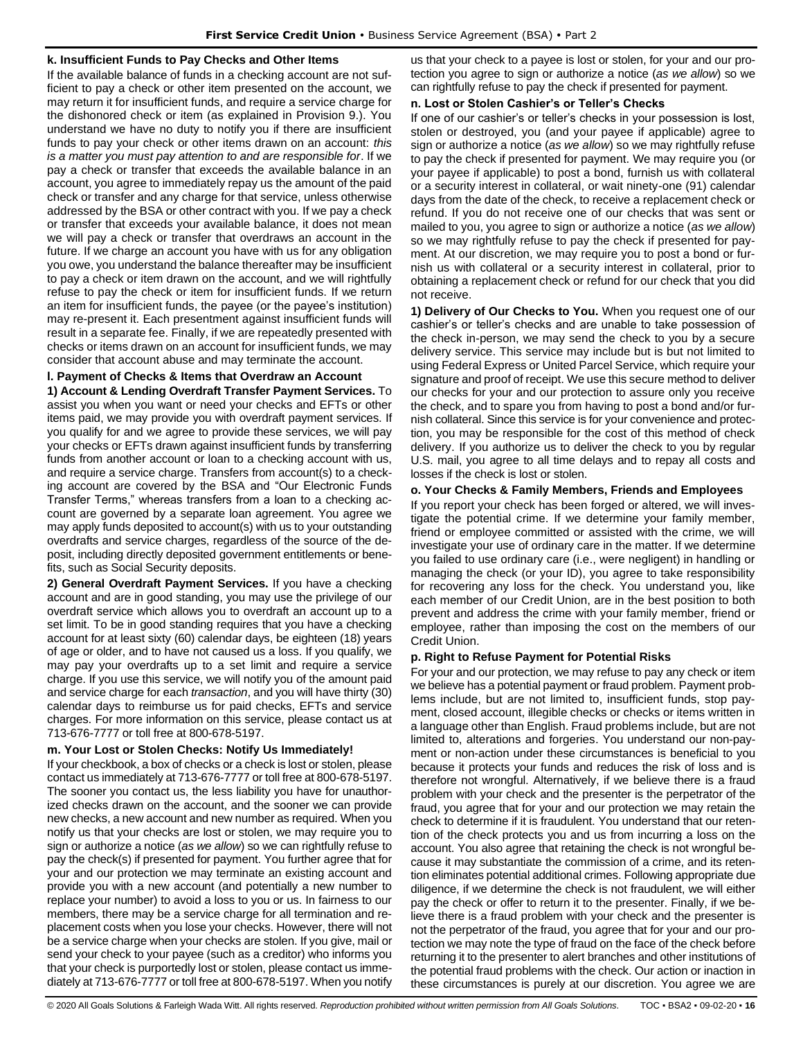### **k. Insufficient Funds to Pay Checks and Other Items**

If the available balance of funds in a checking account are not sufficient to pay a check or other item presented on the account, we may return it for insufficient funds, and require a service charge for the dishonored check or item (as explained in Provision 9.). You understand we have no duty to notify you if there are insufficient funds to pay your check or other items drawn on an account: *this is a matter you must pay attention to and are responsible for*. If we pay a check or transfer that exceeds the available balance in an account, you agree to immediately repay us the amount of the paid check or transfer and any charge for that service, unless otherwise addressed by the BSA or other contract with you. If we pay a check or transfer that exceeds your available balance, it does not mean we will pay a check or transfer that overdraws an account in the future. If we charge an account you have with us for any obligation you owe, you understand the balance thereafter may be insufficient to pay a check or item drawn on the account, and we will rightfully refuse to pay the check or item for insufficient funds. If we return an item for insufficient funds, the payee (or the payee's institution) may re-present it. Each presentment against insufficient funds will result in a separate fee. Finally, if we are repeatedly presented with checks or items drawn on an account for insufficient funds, we may consider that account abuse and may terminate the account.

# **l. Payment of Checks & Items that Overdraw an Account**

**1) Account & Lending Overdraft Transfer Payment Services.** To assist you when you want or need your checks and EFTs or other items paid, we may provide you with overdraft payment services. If you qualify for and we agree to provide these services, we will pay your checks or EFTs drawn against insufficient funds by transferring funds from another account or loan to a checking account with us, and require a service charge. Transfers from account(s) to a checking account are covered by the BSA and "Our Electronic Funds Transfer Terms," whereas transfers from a loan to a checking account are governed by a separate loan agreement. You agree we may apply funds deposited to account(s) with us to your outstanding overdrafts and service charges, regardless of the source of the deposit, including directly deposited government entitlements or benefits, such as Social Security deposits.

**2) General Overdraft Payment Services.** If you have a checking account and are in good standing, you may use the privilege of our overdraft service which allows you to overdraft an account up to a set limit. To be in good standing requires that you have a checking account for at least sixty (60) calendar days, be eighteen (18) years of age or older, and to have not caused us a loss. If you qualify, we may pay your overdrafts up to a set limit and require a service charge. If you use this service, we will notify you of the amount paid and service charge for each *transaction*, and you will have thirty (30) calendar days to reimburse us for paid checks, EFTs and service charges. For more information on this service, please contact us at 713-676-7777 or toll free at 800-678-5197.

### **m. Your Lost or Stolen Checks: Notify Us Immediately!**

If your checkbook, a box of checks or a check is lost or stolen, please contact us immediately at 713-676-7777 or toll free at 800-678-5197. The sooner you contact us, the less liability you have for unauthorized checks drawn on the account, and the sooner we can provide new checks, a new account and new number as required. When you notify us that your checks are lost or stolen, we may require you to sign or authorize a notice (*as we allow*) so we can rightfully refuse to pay the check(s) if presented for payment. You further agree that for your and our protection we may terminate an existing account and provide you with a new account (and potentially a new number to replace your number) to avoid a loss to you or us. In fairness to our members, there may be a service charge for all termination and replacement costs when you lose your checks. However, there will not be a service charge when your checks are stolen. If you give, mail or send your check to your payee (such as a creditor) who informs you that your check is purportedly lost or stolen, please contact us immediately at 713-676-7777 or toll free at 800-678-5197. When you notify us that your check to a payee is lost or stolen, for your and our protection you agree to sign or authorize a notice (*as we allow*) so we can rightfully refuse to pay the check if presented for payment.

## **n. Lost or Stolen Cashier's or Teller's Checks**

If one of our cashier's or teller's checks in your possession is lost, stolen or destroyed, you (and your payee if applicable) agree to sign or authorize a notice (*as we allow*) so we may rightfully refuse to pay the check if presented for payment. We may require you (or your payee if applicable) to post a bond, furnish us with collateral or a security interest in collateral, or wait ninety-one (91) calendar days from the date of the check, to receive a replacement check or refund. If you do not receive one of our checks that was sent or mailed to you, you agree to sign or authorize a notice (*as we allow*) so we may rightfully refuse to pay the check if presented for payment. At our discretion, we may require you to post a bond or furnish us with collateral or a security interest in collateral, prior to obtaining a replacement check or refund for our check that you did not receive.

**1) Delivery of Our Checks to You.** When you request one of our cashier's or teller's checks and are unable to take possession of the check in-person, we may send the check to you by a secure delivery service. This service may include but is but not limited to using Federal Express or United Parcel Service, which require your signature and proof of receipt. We use this secure method to deliver our checks for your and our protection to assure only you receive the check, and to spare you from having to post a bond and/or furnish collateral. Since this service is for your convenience and protection, you may be responsible for the cost of this method of check delivery. If you authorize us to deliver the check to you by regular U.S. mail, you agree to all time delays and to repay all costs and losses if the check is lost or stolen.

## **o. Your Checks & Family Members, Friends and Employees**

If you report your check has been forged or altered, we will investigate the potential crime. If we determine your family member, friend or employee committed or assisted with the crime, we will investigate your use of ordinary care in the matter. If we determine you failed to use ordinary care (i.e., were negligent) in handling or managing the check (or your ID), you agree to take responsibility for recovering any loss for the check. You understand you, like each member of our Credit Union, are in the best position to both prevent and address the crime with your family member, friend or employee, rather than imposing the cost on the members of our Credit Union.

### **p. Right to Refuse Payment for Potential Risks**

For your and our protection, we may refuse to pay any check or item we believe has a potential payment or fraud problem. Payment problems include, but are not limited to, insufficient funds, stop payment, closed account, illegible checks or checks or items written in a language other than English. Fraud problems include, but are not limited to, alterations and forgeries. You understand our non-payment or non-action under these circumstances is beneficial to you because it protects your funds and reduces the risk of loss and is therefore not wrongful. Alternatively, if we believe there is a fraud problem with your check and the presenter is the perpetrator of the fraud, you agree that for your and our protection we may retain the check to determine if it is fraudulent. You understand that our retention of the check protects you and us from incurring a loss on the account. You also agree that retaining the check is not wrongful because it may substantiate the commission of a crime, and its retention eliminates potential additional crimes. Following appropriate due diligence, if we determine the check is not fraudulent, we will either pay the check or offer to return it to the presenter. Finally, if we believe there is a fraud problem with your check and the presenter is not the perpetrator of the fraud, you agree that for your and our protection we may note the type of fraud on the face of the check before returning it to the presenter to alert branches and other institutions of the potential fraud problems with the check. Our action or inaction in these circumstances is purely at our discretion. You agree we are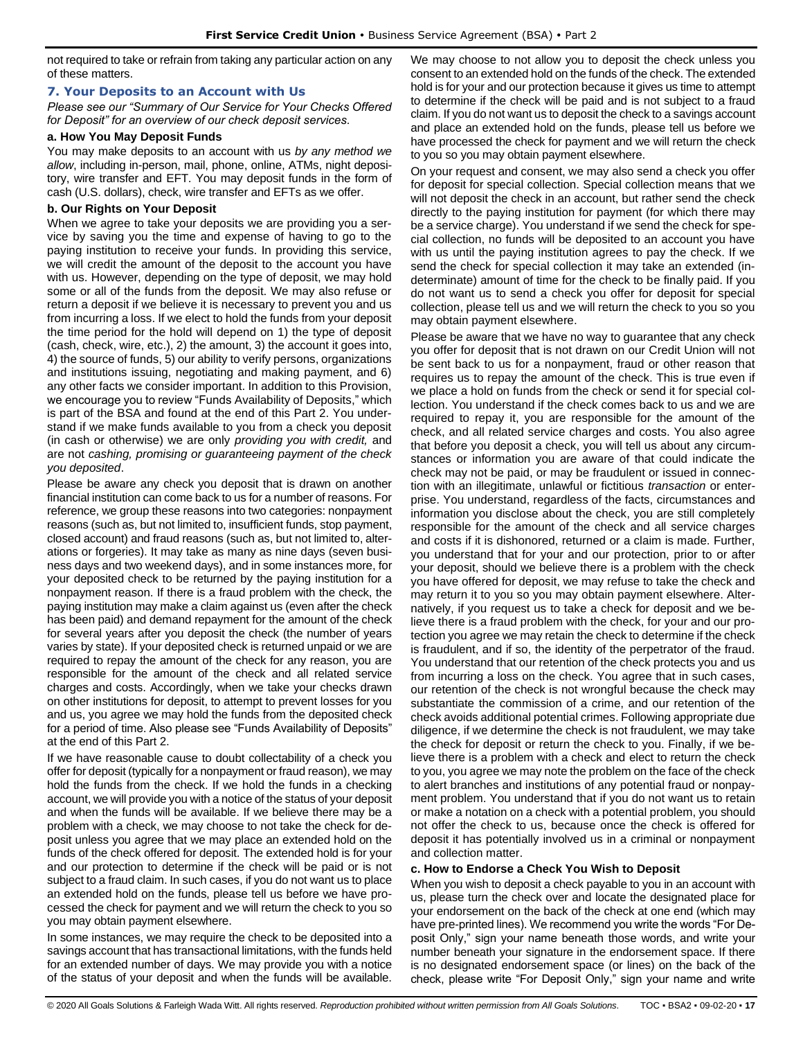not required to take or refrain from taking any particular action on any of these matters.

#### <span id="page-16-0"></span>**7. Your Deposits to an Account with Us**

*Please see our "Summary of Our Service for Your Checks Offered for Deposit" for an overview of our check deposit services.*

#### **a. How You May Deposit Funds**

You may make deposits to an account with us *by any method we allow*, including in-person, mail, phone, online, ATMs, night depository, wire transfer and EFT. You may deposit funds in the form of cash (U.S. dollars), check, wire transfer and EFTs as we offer.

#### **b. Our Rights on Your Deposit**

When we agree to take your deposits we are providing you a service by saving you the time and expense of having to go to the paying institution to receive your funds. In providing this service, we will credit the amount of the deposit to the account you have with us. However, depending on the type of deposit, we may hold some or all of the funds from the deposit. We may also refuse or return a deposit if we believe it is necessary to prevent you and us from incurring a loss. If we elect to hold the funds from your deposit the time period for the hold will depend on 1) the type of deposit (cash, check, wire, etc.), 2) the amount, 3) the account it goes into, 4) the source of funds, 5) our ability to verify persons, organizations and institutions issuing, negotiating and making payment, and 6) any other facts we consider important. In addition to this Provision, we encourage you to review "Funds Availability of Deposits," which is part of the BSA and found at the end of this Part 2. You understand if we make funds available to you from a check you deposit (in cash or otherwise) we are only *providing you with credit,* and are not *cashing, promising or guaranteeing payment of the check you deposited*.

Please be aware any check you deposit that is drawn on another financial institution can come back to us for a number of reasons. For reference, we group these reasons into two categories: nonpayment reasons (such as, but not limited to, insufficient funds, stop payment, closed account) and fraud reasons (such as, but not limited to, alterations or forgeries). It may take as many as nine days (seven business days and two weekend days), and in some instances more, for your deposited check to be returned by the paying institution for a nonpayment reason. If there is a fraud problem with the check, the paying institution may make a claim against us (even after the check has been paid) and demand repayment for the amount of the check for several years after you deposit the check (the number of years varies by state). If your deposited check is returned unpaid or we are required to repay the amount of the check for any reason, you are responsible for the amount of the check and all related service charges and costs. Accordingly, when we take your checks drawn on other institutions for deposit, to attempt to prevent losses for you and us, you agree we may hold the funds from the deposited check for a period of time. Also please see "Funds Availability of Deposits" at the end of this Part 2.

If we have reasonable cause to doubt collectability of a check you offer for deposit (typically for a nonpayment or fraud reason), we may hold the funds from the check. If we hold the funds in a checking account, we will provide you with a notice of the status of your deposit and when the funds will be available. If we believe there may be a problem with a check, we may choose to not take the check for deposit unless you agree that we may place an extended hold on the funds of the check offered for deposit. The extended hold is for your and our protection to determine if the check will be paid or is not subject to a fraud claim. In such cases, if you do not want us to place an extended hold on the funds, please tell us before we have processed the check for payment and we will return the check to you so you may obtain payment elsewhere.

In some instances, we may require the check to be deposited into a savings account that has transactional limitations, with the funds held for an extended number of days. We may provide you with a notice of the status of your deposit and when the funds will be available.

We may choose to not allow you to deposit the check unless you consent to an extended hold on the funds of the check. The extended hold is for your and our protection because it gives us time to attempt to determine if the check will be paid and is not subject to a fraud claim. If you do not want us to deposit the check to a savings account and place an extended hold on the funds, please tell us before we have processed the check for payment and we will return the check to you so you may obtain payment elsewhere.

On your request and consent, we may also send a check you offer for deposit for special collection. Special collection means that we will not deposit the check in an account, but rather send the check directly to the paying institution for payment (for which there may be a service charge). You understand if we send the check for special collection, no funds will be deposited to an account you have with us until the paying institution agrees to pay the check. If we send the check for special collection it may take an extended (indeterminate) amount of time for the check to be finally paid. If you do not want us to send a check you offer for deposit for special collection, please tell us and we will return the check to you so you may obtain payment elsewhere.

Please be aware that we have no way to guarantee that any check you offer for deposit that is not drawn on our Credit Union will not be sent back to us for a nonpayment, fraud or other reason that requires us to repay the amount of the check. This is true even if we place a hold on funds from the check or send it for special collection. You understand if the check comes back to us and we are required to repay it, you are responsible for the amount of the check, and all related service charges and costs. You also agree that before you deposit a check, you will tell us about any circumstances or information you are aware of that could indicate the check may not be paid, or may be fraudulent or issued in connection with an illegitimate, unlawful or fictitious *transaction* or enterprise. You understand, regardless of the facts, circumstances and information you disclose about the check, you are still completely responsible for the amount of the check and all service charges and costs if it is dishonored, returned or a claim is made. Further, you understand that for your and our protection, prior to or after your deposit, should we believe there is a problem with the check you have offered for deposit, we may refuse to take the check and may return it to you so you may obtain payment elsewhere. Alternatively, if you request us to take a check for deposit and we believe there is a fraud problem with the check, for your and our protection you agree we may retain the check to determine if the check is fraudulent, and if so, the identity of the perpetrator of the fraud. You understand that our retention of the check protects you and us from incurring a loss on the check. You agree that in such cases, our retention of the check is not wrongful because the check may substantiate the commission of a crime, and our retention of the check avoids additional potential crimes. Following appropriate due diligence, if we determine the check is not fraudulent, we may take the check for deposit or return the check to you. Finally, if we believe there is a problem with a check and elect to return the check to you, you agree we may note the problem on the face of the check to alert branches and institutions of any potential fraud or nonpayment problem. You understand that if you do not want us to retain or make a notation on a check with a potential problem, you should not offer the check to us, because once the check is offered for deposit it has potentially involved us in a criminal or nonpayment and collection matter.

#### **c. How to Endorse a Check You Wish to Deposit**

When you wish to deposit a check payable to you in an account with us, please turn the check over and locate the designated place for your endorsement on the back of the check at one end (which may have pre-printed lines). We recommend you write the words "For Deposit Only," sign your name beneath those words, and write your number beneath your signature in the endorsement space. If there is no designated endorsement space (or lines) on the back of the check, please write "For Deposit Only," sign your name and write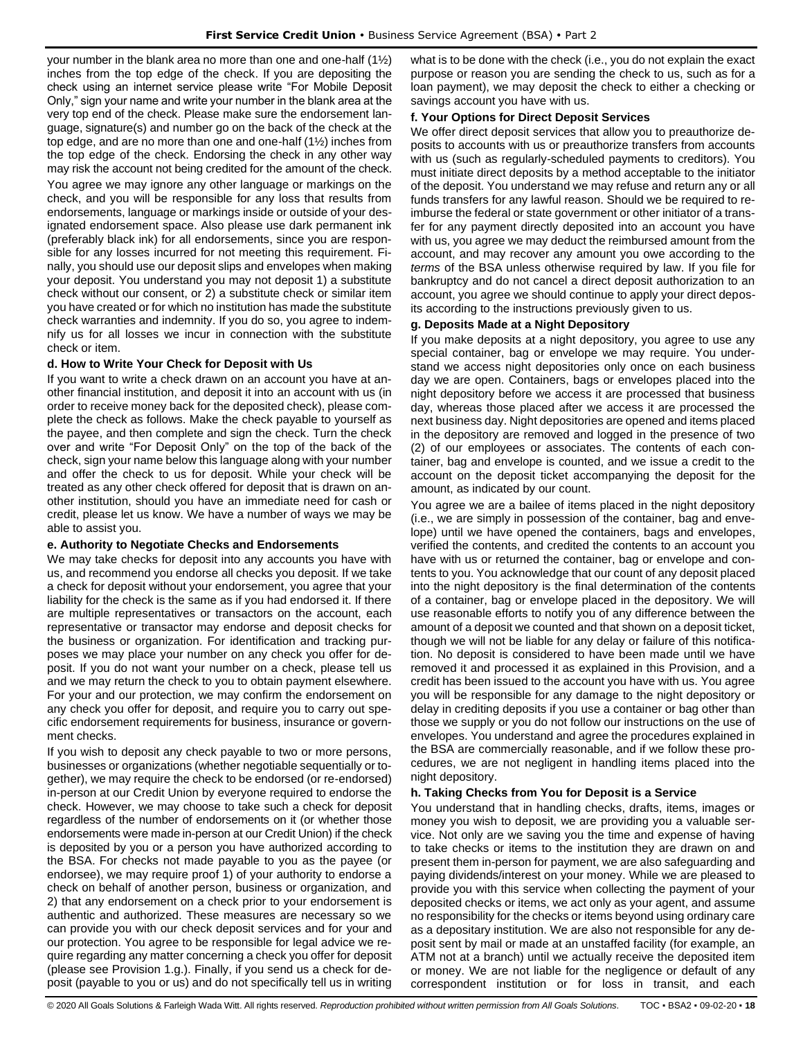your number in the blank area no more than one and one-half (1½) inches from the top edge of the check. If you are depositing the check using an internet service please write "For Mobile Deposit Only," sign your name and write your number in the blank area at the very top end of the check. Please make sure the endorsement language, signature(s) and number go on the back of the check at the top edge, and are no more than one and one-half (1½) inches from the top edge of the check. Endorsing the check in any other way may risk the account not being credited for the amount of the check.

You agree we may ignore any other language or markings on the check, and you will be responsible for any loss that results from endorsements, language or markings inside or outside of your designated endorsement space. Also please use dark permanent ink (preferably black ink) for all endorsements, since you are responsible for any losses incurred for not meeting this requirement. Finally, you should use our deposit slips and envelopes when making your deposit. You understand you may not deposit 1) a substitute check without our consent, or 2) a substitute check or similar item you have created or for which no institution has made the substitute check warranties and indemnity. If you do so, you agree to indemnify us for all losses we incur in connection with the substitute check or item.

#### **d. How to Write Your Check for Deposit with Us**

If you want to write a check drawn on an account you have at another financial institution, and deposit it into an account with us (in order to receive money back for the deposited check), please complete the check as follows. Make the check payable to yourself as the payee, and then complete and sign the check. Turn the check over and write "For Deposit Only" on the top of the back of the check, sign your name below this language along with your number and offer the check to us for deposit. While your check will be treated as any other check offered for deposit that is drawn on another institution, should you have an immediate need for cash or credit, please let us know. We have a number of ways we may be able to assist you.

### **e. Authority to Negotiate Checks and Endorsements**

We may take checks for deposit into any accounts you have with us, and recommend you endorse all checks you deposit. If we take a check for deposit without your endorsement, you agree that your liability for the check is the same as if you had endorsed it. If there are multiple representatives or transactors on the account, each representative or transactor may endorse and deposit checks for the business or organization. For identification and tracking purposes we may place your number on any check you offer for deposit. If you do not want your number on a check, please tell us and we may return the check to you to obtain payment elsewhere. For your and our protection, we may confirm the endorsement on any check you offer for deposit, and require you to carry out specific endorsement requirements for business, insurance or government checks.

If you wish to deposit any check payable to two or more persons, businesses or organizations (whether negotiable sequentially or together), we may require the check to be endorsed (or re-endorsed) in-person at our Credit Union by everyone required to endorse the check. However, we may choose to take such a check for deposit regardless of the number of endorsements on it (or whether those endorsements were made in-person at our Credit Union) if the check is deposited by you or a person you have authorized according to the BSA. For checks not made payable to you as the payee (or endorsee), we may require proof 1) of your authority to endorse a check on behalf of another person, business or organization, and 2) that any endorsement on a check prior to your endorsement is authentic and authorized. These measures are necessary so we can provide you with our check deposit services and for your and our protection. You agree to be responsible for legal advice we require regarding any matter concerning a check you offer for deposit (please see Provision 1.g.). Finally, if you send us a check for deposit (payable to you or us) and do not specifically tell us in writing

what is to be done with the check (i.e., you do not explain the exact purpose or reason you are sending the check to us, such as for a loan payment), we may deposit the check to either a checking or savings account you have with us.

#### **f. Your Options for Direct Deposit Services**

We offer direct deposit services that allow you to preauthorize deposits to accounts with us or preauthorize transfers from accounts with us (such as regularly-scheduled payments to creditors). You must initiate direct deposits by a method acceptable to the initiator of the deposit. You understand we may refuse and return any or all funds transfers for any lawful reason. Should we be required to reimburse the federal or state government or other initiator of a transfer for any payment directly deposited into an account you have with us, you agree we may deduct the reimbursed amount from the account, and may recover any amount you owe according to the *terms* of the BSA unless otherwise required by law. If you file for bankruptcy and do not cancel a direct deposit authorization to an account, you agree we should continue to apply your direct deposits according to the instructions previously given to us.

#### **g. Deposits Made at a Night Depository**

If you make deposits at a night depository, you agree to use any special container, bag or envelope we may require. You understand we access night depositories only once on each business day we are open. Containers, bags or envelopes placed into the night depository before we access it are processed that business day, whereas those placed after we access it are processed the next business day. Night depositories are opened and items placed in the depository are removed and logged in the presence of two (2) of our employees or associates. The contents of each container, bag and envelope is counted, and we issue a credit to the account on the deposit ticket accompanying the deposit for the amount, as indicated by our count.

You agree we are a bailee of items placed in the night depository (i.e., we are simply in possession of the container, bag and envelope) until we have opened the containers, bags and envelopes, verified the contents, and credited the contents to an account you have with us or returned the container, bag or envelope and contents to you. You acknowledge that our count of any deposit placed into the night depository is the final determination of the contents of a container, bag or envelope placed in the depository. We will use reasonable efforts to notify you of any difference between the amount of a deposit we counted and that shown on a deposit ticket, though we will not be liable for any delay or failure of this notification. No deposit is considered to have been made until we have removed it and processed it as explained in this Provision, and a credit has been issued to the account you have with us. You agree you will be responsible for any damage to the night depository or delay in crediting deposits if you use a container or bag other than those we supply or you do not follow our instructions on the use of envelopes. You understand and agree the procedures explained in the BSA are commercially reasonable, and if we follow these procedures, we are not negligent in handling items placed into the night depository.

### **h. Taking Checks from You for Deposit is a Service**

You understand that in handling checks, drafts, items, images or money you wish to deposit, we are providing you a valuable service. Not only are we saving you the time and expense of having to take checks or items to the institution they are drawn on and present them in-person for payment, we are also safeguarding and paying dividends/interest on your money. While we are pleased to provide you with this service when collecting the payment of your deposited checks or items, we act only as your agent, and assume no responsibility for the checks or items beyond using ordinary care as a depositary institution. We are also not responsible for any deposit sent by mail or made at an unstaffed facility (for example, an ATM not at a branch) until we actually receive the deposited item or money. We are not liable for the negligence or default of any correspondent institution or for loss in transit, and each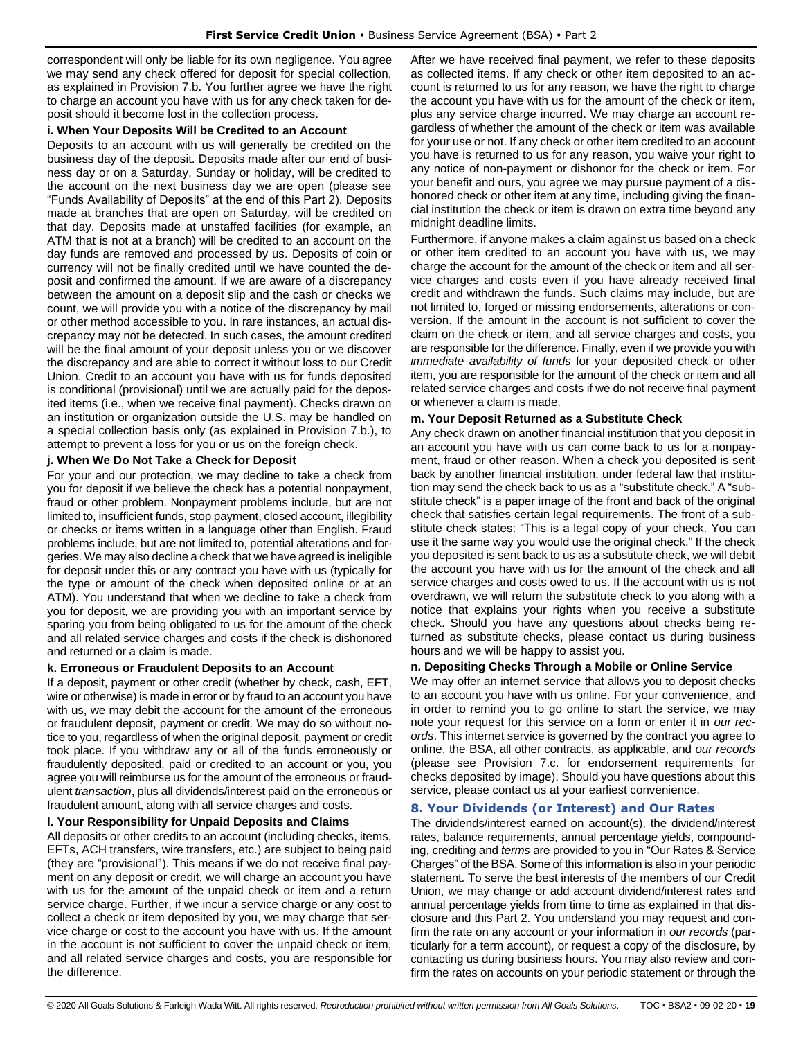correspondent will only be liable for its own negligence. You agree we may send any check offered for deposit for special collection, as explained in Provision 7.b. You further agree we have the right to charge an account you have with us for any check taken for deposit should it become lost in the collection process.

#### **i. When Your Deposits Will be Credited to an Account**

Deposits to an account with us will generally be credited on the business day of the deposit. Deposits made after our end of business day or on a Saturday, Sunday or holiday, will be credited to the account on the next business day we are open (please see "Funds Availability of Deposits" at the end of this Part 2). Deposits made at branches that are open on Saturday, will be credited on that day. Deposits made at unstaffed facilities (for example, an ATM that is not at a branch) will be credited to an account on the day funds are removed and processed by us. Deposits of coin or currency will not be finally credited until we have counted the deposit and confirmed the amount. If we are aware of a discrepancy between the amount on a deposit slip and the cash or checks we count, we will provide you with a notice of the discrepancy by mail or other method accessible to you. In rare instances, an actual discrepancy may not be detected. In such cases, the amount credited will be the final amount of your deposit unless you or we discover the discrepancy and are able to correct it without loss to our Credit Union. Credit to an account you have with us for funds deposited is conditional (provisional) until we are actually paid for the deposited items (i.e., when we receive final payment). Checks drawn on an institution or organization outside the U.S. may be handled on a special collection basis only (as explained in Provision 7.b.), to attempt to prevent a loss for you or us on the foreign check.

#### **j. When We Do Not Take a Check for Deposit**

For your and our protection, we may decline to take a check from you for deposit if we believe the check has a potential nonpayment, fraud or other problem. Nonpayment problems include, but are not limited to, insufficient funds, stop payment, closed account, illegibility or checks or items written in a language other than English. Fraud problems include, but are not limited to, potential alterations and forgeries. We may also decline a check that we have agreed is ineligible for deposit under this or any contract you have with us (typically for the type or amount of the check when deposited online or at an ATM). You understand that when we decline to take a check from you for deposit, we are providing you with an important service by sparing you from being obligated to us for the amount of the check and all related service charges and costs if the check is dishonored and returned or a claim is made.

#### **k. Erroneous or Fraudulent Deposits to an Account**

If a deposit, payment or other credit (whether by check, cash, EFT, wire or otherwise) is made in error or by fraud to an account you have with us, we may debit the account for the amount of the erroneous or fraudulent deposit, payment or credit. We may do so without notice to you, regardless of when the original deposit, payment or credit took place. If you withdraw any or all of the funds erroneously or fraudulently deposited, paid or credited to an account or you, you agree you will reimburse us for the amount of the erroneous or fraudulent *transaction*, plus all dividends/interest paid on the erroneous or fraudulent amount, along with all service charges and costs.

### **l. Your Responsibility for Unpaid Deposits and Claims**

All deposits or other credits to an account (including checks, items, EFTs, ACH transfers, wire transfers, etc.) are subject to being paid (they are "provisional"). This means if we do not receive final payment on any deposit or credit, we will charge an account you have with us for the amount of the unpaid check or item and a return service charge. Further, if we incur a service charge or any cost to collect a check or item deposited by you, we may charge that service charge or cost to the account you have with us. If the amount in the account is not sufficient to cover the unpaid check or item, and all related service charges and costs, you are responsible for the difference.

After we have received final payment, we refer to these deposits as collected items. If any check or other item deposited to an account is returned to us for any reason, we have the right to charge the account you have with us for the amount of the check or item, plus any service charge incurred. We may charge an account regardless of whether the amount of the check or item was available for your use or not. If any check or other item credited to an account you have is returned to us for any reason, you waive your right to any notice of non-payment or dishonor for the check or item. For your benefit and ours, you agree we may pursue payment of a dishonored check or other item at any time, including giving the financial institution the check or item is drawn on extra time beyond any midnight deadline limits.

Furthermore, if anyone makes a claim against us based on a check or other item credited to an account you have with us, we may charge the account for the amount of the check or item and all service charges and costs even if you have already received final credit and withdrawn the funds. Such claims may include, but are not limited to, forged or missing endorsements, alterations or conversion. If the amount in the account is not sufficient to cover the claim on the check or item, and all service charges and costs, you are responsible for the difference. Finally, even if we provide you with *immediate availability of funds* for your deposited check or other item, you are responsible for the amount of the check or item and all related service charges and costs if we do not receive final payment or whenever a claim is made.

#### **m. Your Deposit Returned as a Substitute Check**

Any check drawn on another financial institution that you deposit in an account you have with us can come back to us for a nonpayment, fraud or other reason. When a check you deposited is sent back by another financial institution, under federal law that institution may send the check back to us as a "substitute check." A "substitute check" is a paper image of the front and back of the original check that satisfies certain legal requirements. The front of a substitute check states: "This is a legal copy of your check. You can use it the same way you would use the original check." If the check you deposited is sent back to us as a substitute check, we will debit the account you have with us for the amount of the check and all service charges and costs owed to us. If the account with us is not overdrawn, we will return the substitute check to you along with a notice that explains your rights when you receive a substitute check. Should you have any questions about checks being returned as substitute checks, please contact us during business hours and we will be happy to assist you.

### **n. Depositing Checks Through a Mobile or Online Service**

We may offer an internet service that allows you to deposit checks to an account you have with us online. For your convenience, and in order to remind you to go online to start the service, we may note your request for this service on a form or enter it in *our records*. This internet service is governed by the contract you agree to online, the BSA, all other contracts, as applicable, and *our records* (please see Provision 7.c. for endorsement requirements for checks deposited by image). Should you have questions about this service, please contact us at your earliest convenience.

### <span id="page-18-0"></span>**8. Your Dividends (or Interest) and Our Rates**

The dividends/interest earned on account(s), the dividend/interest rates, balance requirements, annual percentage yields, compounding, crediting and *terms* are provided to you in "Our Rates & Service Charges" of the BSA. Some of this information is also in your periodic statement. To serve the best interests of the members of our Credit Union, we may change or add account dividend/interest rates and annual percentage yields from time to time as explained in that disclosure and this Part 2. You understand you may request and confirm the rate on any account or your information in *our records* (particularly for a term account), or request a copy of the disclosure, by contacting us during business hours. You may also review and confirm the rates on accounts on your periodic statement or through the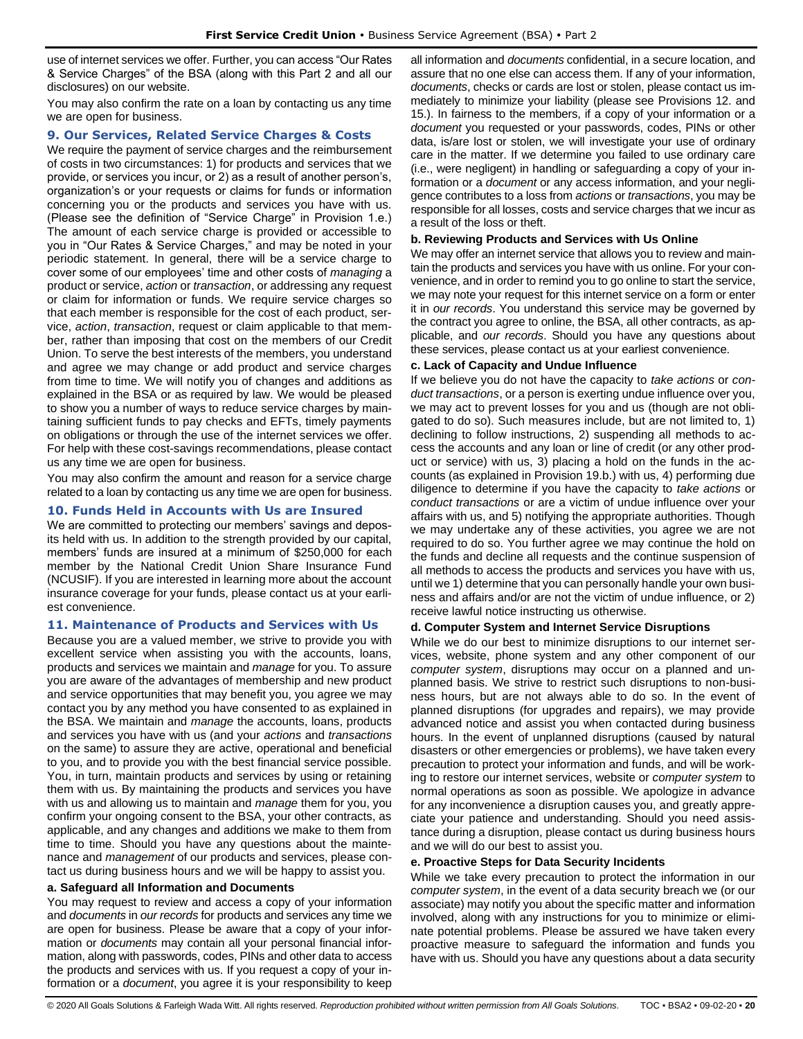use of internet services we offer. Further, you can access "Our Rates & Service Charges" of the BSA (along with this Part 2 and all our disclosures) on our website.

You may also confirm the rate on a loan by contacting us any time we are open for business.

#### <span id="page-19-0"></span>**9. Our Services, Related Service Charges & Costs**

We require the payment of service charges and the reimbursement of costs in two circumstances: 1) for products and services that we provide, or services you incur, or 2) as a result of another person's, organization's or your requests or claims for funds or information concerning you or the products and services you have with us. (Please see the definition of "Service Charge" in Provision 1.e.) The amount of each service charge is provided or accessible to you in "Our Rates & Service Charges," and may be noted in your periodic statement. In general, there will be a service charge to cover some of our employees' time and other costs of *managing* a product or service, *action* or *transaction*, or addressing any request or claim for information or funds. We require service charges so that each member is responsible for the cost of each product, service, *action*, *transaction*, request or claim applicable to that member, rather than imposing that cost on the members of our Credit Union. To serve the best interests of the members, you understand and agree we may change or add product and service charges from time to time. We will notify you of changes and additions as explained in the BSA or as required by law. We would be pleased to show you a number of ways to reduce service charges by maintaining sufficient funds to pay checks and EFTs, timely payments on obligations or through the use of the internet services we offer. For help with these cost-savings recommendations, please contact us any time we are open for business.

You may also confirm the amount and reason for a service charge related to a loan by contacting us any time we are open for business.

#### <span id="page-19-1"></span>**10. Funds Held in Accounts with Us are Insured**

We are committed to protecting our members' savings and deposits held with us. In addition to the strength provided by our capital, members' funds are insured at a minimum of \$250,000 for each member by the National Credit Union Share Insurance Fund (NCUSIF). If you are interested in learning more about the account insurance coverage for your funds, please contact us at your earliest convenience.

#### <span id="page-19-2"></span>**11. Maintenance of Products and Services with Us**

Because you are a valued member, we strive to provide you with excellent service when assisting you with the accounts, loans, products and services we maintain and *manage* for you. To assure you are aware of the advantages of membership and new product and service opportunities that may benefit you, you agree we may contact you by any method you have consented to as explained in the BSA. We maintain and *manage* the accounts, loans, products and services you have with us (and your *actions* and *transactions* on the same) to assure they are active, operational and beneficial to you, and to provide you with the best financial service possible. You, in turn, maintain products and services by using or retaining them with us. By maintaining the products and services you have with us and allowing us to maintain and *manage* them for you, you confirm your ongoing consent to the BSA, your other contracts, as applicable, and any changes and additions we make to them from time to time. Should you have any questions about the maintenance and *management* of our products and services, please contact us during business hours and we will be happy to assist you.

#### **a. Safeguard all Information and Documents**

You may request to review and access a copy of your information and *documents* in *our records* for products and services any time we are open for business. Please be aware that a copy of your information or *documents* may contain all your personal financial information, along with passwords, codes, PINs and other data to access the products and services with us. If you request a copy of your information or a *document*, you agree it is your responsibility to keep

all information and *documents* confidential, in a secure location, and assure that no one else can access them. If any of your information, *documents*, checks or cards are lost or stolen, please contact us immediately to minimize your liability (please see Provisions 12. and 15.). In fairness to the members, if a copy of your information or a *document* you requested or your passwords, codes, PINs or other data, is/are lost or stolen, we will investigate your use of ordinary care in the matter. If we determine you failed to use ordinary care (i.e., were negligent) in handling or safeguarding a copy of your information or a *document* or any access information, and your negligence contributes to a loss from *actions* or *transactions*, you may be responsible for all losses, costs and service charges that we incur as a result of the loss or theft.

#### **b. Reviewing Products and Services with Us Online**

We may offer an internet service that allows you to review and maintain the products and services you have with us online. For your convenience, and in order to remind you to go online to start the service, we may note your request for this internet service on a form or enter it in *our records*. You understand this service may be governed by the contract you agree to online, the BSA, all other contracts, as applicable, and *our records*. Should you have any questions about these services, please contact us at your earliest convenience.

#### **c. Lack of Capacity and Undue Influence**

If we believe you do not have the capacity to *take actions* or *conduct transactions*, or a person is exerting undue influence over you, we may act to prevent losses for you and us (though are not obligated to do so). Such measures include, but are not limited to, 1) declining to follow instructions, 2) suspending all methods to access the accounts and any loan or line of credit (or any other product or service) with us, 3) placing a hold on the funds in the accounts (as explained in Provision 19.b.) with us, 4) performing due diligence to determine if you have the capacity to *take actions* or *conduct transactions* or are a victim of undue influence over your affairs with us, and 5) notifying the appropriate authorities. Though we may undertake any of these activities, you agree we are not required to do so. You further agree we may continue the hold on the funds and decline all requests and the continue suspension of all methods to access the products and services you have with us, until we 1) determine that you can personally handle your own business and affairs and/or are not the victim of undue influence, or 2) receive lawful notice instructing us otherwise.

#### **d. Computer System and Internet Service Disruptions**

While we do our best to minimize disruptions to our internet services, website, phone system and any other component of our *computer system*, disruptions may occur on a planned and unplanned basis. We strive to restrict such disruptions to non-business hours, but are not always able to do so. In the event of planned disruptions (for upgrades and repairs), we may provide advanced notice and assist you when contacted during business hours. In the event of unplanned disruptions (caused by natural disasters or other emergencies or problems), we have taken every precaution to protect your information and funds, and will be working to restore our internet services, website or *computer system* to normal operations as soon as possible. We apologize in advance for any inconvenience a disruption causes you, and greatly appreciate your patience and understanding. Should you need assistance during a disruption, please contact us during business hours and we will do our best to assist you.

#### **e. Proactive Steps for Data Security Incidents**

While we take every precaution to protect the information in our *computer system*, in the event of a data security breach we (or our associate) may notify you about the specific matter and information involved, along with any instructions for you to minimize or eliminate potential problems. Please be assured we have taken every proactive measure to safeguard the information and funds you have with us. Should you have any questions about a data security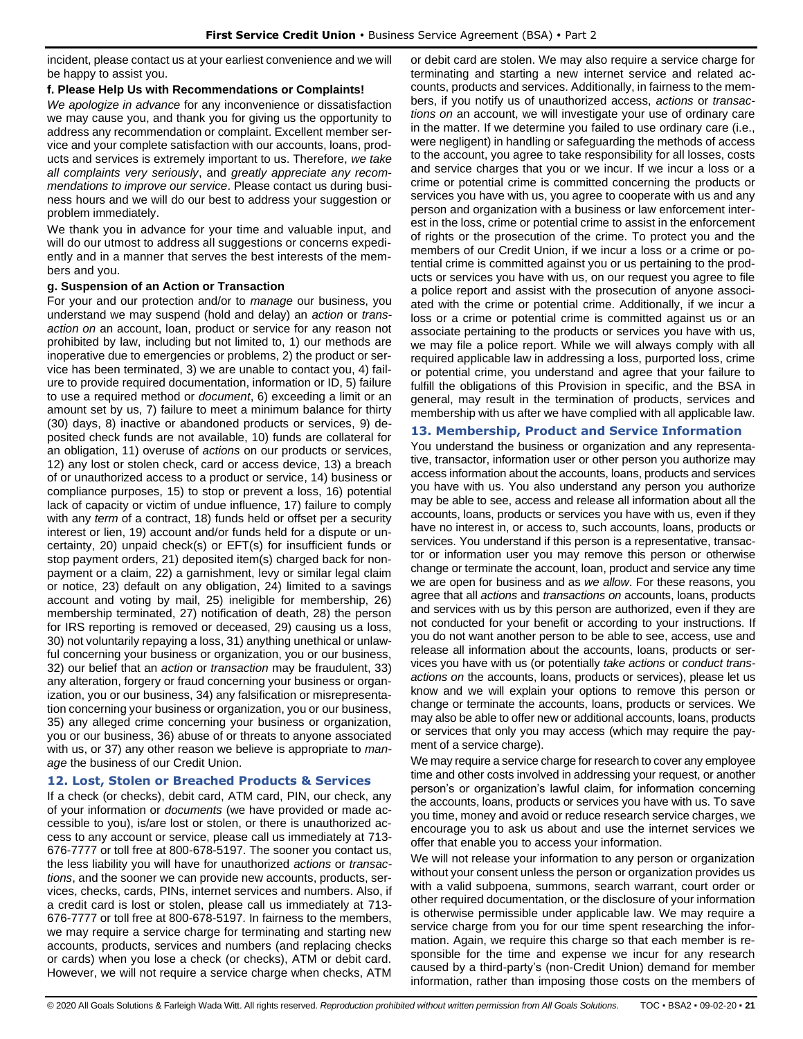incident, please contact us at your earliest convenience and we will be happy to assist you.

### **f. Please Help Us with Recommendations or Complaints!**

*We apologize in advance* for any inconvenience or dissatisfaction we may cause you, and thank you for giving us the opportunity to address any recommendation or complaint. Excellent member service and your complete satisfaction with our accounts, loans, products and services is extremely important to us. Therefore, *we take all complaints very seriously*, and *greatly appreciate any recommendations to improve our service*. Please contact us during business hours and we will do our best to address your suggestion or problem immediately.

We thank you in advance for your time and valuable input, and will do our utmost to address all suggestions or concerns expediently and in a manner that serves the best interests of the members and you.

## **g. Suspension of an Action or Transaction**

For your and our protection and/or to *manage* our business, you understand we may suspend (hold and delay) an *action* or *transaction on* an account, loan, product or service for any reason not prohibited by law, including but not limited to, 1) our methods are inoperative due to emergencies or problems, 2) the product or service has been terminated, 3) we are unable to contact you, 4) failure to provide required documentation, information or ID, 5) failure to use a required method or *document*, 6) exceeding a limit or an amount set by us, 7) failure to meet a minimum balance for thirty (30) days, 8) inactive or abandoned products or services, 9) deposited check funds are not available, 10) funds are collateral for an obligation, 11) overuse of *actions* on our products or services, 12) any lost or stolen check, card or access device, 13) a breach of or unauthorized access to a product or service, 14) business or compliance purposes, 15) to stop or prevent a loss, 16) potential lack of capacity or victim of undue influence, 17) failure to comply with any *term* of a contract, 18) funds held or offset per a security interest or lien, 19) account and/or funds held for a dispute or uncertainty, 20) unpaid check(s) or EFT(s) for insufficient funds or stop payment orders, 21) deposited item(s) charged back for nonpayment or a claim, 22) a garnishment, levy or similar legal claim or notice, 23) default on any obligation, 24) limited to a savings account and voting by mail, 25) ineligible for membership, 26) membership terminated, 27) notification of death, 28) the person for IRS reporting is removed or deceased, 29) causing us a loss, 30) not voluntarily repaying a loss, 31) anything unethical or unlawful concerning your business or organization, you or our business, 32) our belief that an *action* or *transaction* may be fraudulent, 33) any alteration, forgery or fraud concerning your business or organization, you or our business, 34) any falsification or misrepresentation concerning your business or organization, you or our business, 35) any alleged crime concerning your business or organization, you or our business, 36) abuse of or threats to anyone associated with us, or 37) any other reason we believe is appropriate to *manage* the business of our Credit Union.

# <span id="page-20-0"></span>**12. Lost, Stolen or Breached Products & Services**

If a check (or checks), debit card, ATM card, PIN, our check, any of your information or *documents* (we have provided or made accessible to you), is/are lost or stolen, or there is unauthorized access to any account or service, please call us immediately at 713- 676-7777 or toll free at 800-678-5197. The sooner you contact us, the less liability you will have for unauthorized *actions* or *transactions*, and the sooner we can provide new accounts, products, services, checks, cards, PINs, internet services and numbers. Also, if a credit card is lost or stolen, please call us immediately at 713- 676-7777 or toll free at 800-678-5197. In fairness to the members, we may require a service charge for terminating and starting new accounts, products, services and numbers (and replacing checks or cards) when you lose a check (or checks), ATM or debit card. However, we will not require a service charge when checks, ATM or debit card are stolen. We may also require a service charge for terminating and starting a new internet service and related accounts, products and services. Additionally, in fairness to the members, if you notify us of unauthorized access, *actions* or *transactions on* an account, we will investigate your use of ordinary care in the matter. If we determine you failed to use ordinary care (i.e., were negligent) in handling or safeguarding the methods of access to the account, you agree to take responsibility for all losses, costs and service charges that you or we incur. If we incur a loss or a crime or potential crime is committed concerning the products or services you have with us, you agree to cooperate with us and any person and organization with a business or law enforcement interest in the loss, crime or potential crime to assist in the enforcement of rights or the prosecution of the crime. To protect you and the members of our Credit Union, if we incur a loss or a crime or potential crime is committed against you or us pertaining to the products or services you have with us, on our request you agree to file a police report and assist with the prosecution of anyone associated with the crime or potential crime. Additionally, if we incur a loss or a crime or potential crime is committed against us or an associate pertaining to the products or services you have with us, we may file a police report. While we will always comply with all required applicable law in addressing a loss, purported loss, crime or potential crime, you understand and agree that your failure to fulfill the obligations of this Provision in specific, and the BSA in general, may result in the termination of products, services and membership with us after we have complied with all applicable law.

### <span id="page-20-1"></span>**13. Membership, Product and Service Information**

You understand the business or organization and any representative, transactor, information user or other person you authorize may access information about the accounts, loans, products and services you have with us. You also understand any person you authorize may be able to see, access and release all information about all the accounts, loans, products or services you have with us, even if they have no interest in, or access to, such accounts, loans, products or services. You understand if this person is a representative, transactor or information user you may remove this person or otherwise change or terminate the account, loan, product and service any time we are open for business and as *we allow*. For these reasons, you agree that all *actions* and *transactions on* accounts, loans, products and services with us by this person are authorized, even if they are not conducted for your benefit or according to your instructions. If you do not want another person to be able to see, access, use and release all information about the accounts, loans, products or services you have with us (or potentially *take actions* or *conduct transactions on* the accounts, loans, products or services), please let us know and we will explain your options to remove this person or change or terminate the accounts, loans, products or services. We may also be able to offer new or additional accounts, loans, products or services that only you may access (which may require the payment of a service charge).

We may require a service charge for research to cover any employee time and other costs involved in addressing your request, or another person's or organization's lawful claim, for information concerning the accounts, loans, products or services you have with us. To save you time, money and avoid or reduce research service charges, we encourage you to ask us about and use the internet services we offer that enable you to access your information.

We will not release your information to any person or organization without your consent unless the person or organization provides us with a valid subpoena, summons, search warrant, court order or other required documentation, or the disclosure of your information is otherwise permissible under applicable law. We may require a service charge from you for our time spent researching the information. Again, we require this charge so that each member is responsible for the time and expense we incur for any research caused by a third-party's (non-Credit Union) demand for member information, rather than imposing those costs on the members of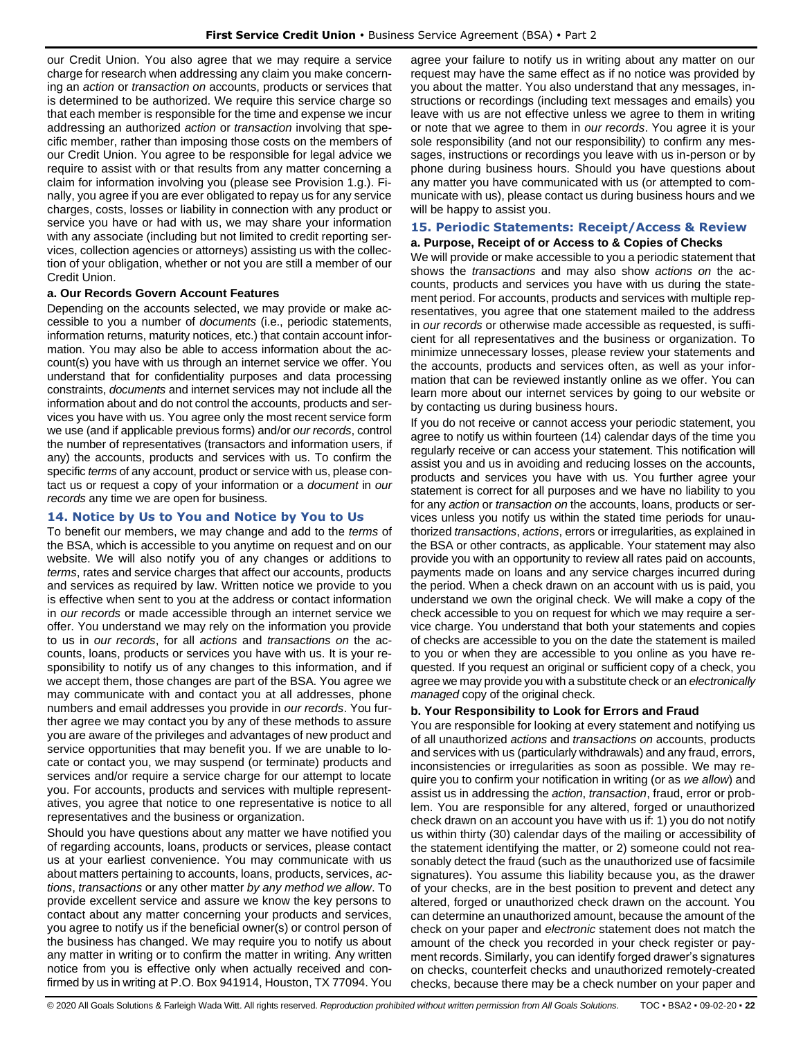our Credit Union. You also agree that we may require a service charge for research when addressing any claim you make concerning an *action* or *transaction on* accounts, products or services that is determined to be authorized. We require this service charge so that each member is responsible for the time and expense we incur addressing an authorized *action* or *transaction* involving that specific member, rather than imposing those costs on the members of our Credit Union. You agree to be responsible for legal advice we require to assist with or that results from any matter concerning a claim for information involving you (please see Provision 1.g.). Finally, you agree if you are ever obligated to repay us for any service charges, costs, losses or liability in connection with any product or service you have or had with us, we may share your information with any associate (including but not limited to credit reporting services, collection agencies or attorneys) assisting us with the collection of your obligation, whether or not you are still a member of our Credit Union.

#### **a. Our Records Govern Account Features**

Depending on the accounts selected, we may provide or make accessible to you a number of *documents* (i.e., periodic statements, information returns, maturity notices, etc.) that contain account information. You may also be able to access information about the account(s) you have with us through an internet service we offer. You understand that for confidentiality purposes and data processing constraints, *documents* and internet services may not include all the information about and do not control the accounts, products and services you have with us. You agree only the most recent service form we use (and if applicable previous forms) and/or *our records*, control the number of representatives (transactors and information users, if any) the accounts, products and services with us. To confirm the specific *terms* of any account, product or service with us, please contact us or request a copy of your information or a *document* in *our records* any time we are open for business.

#### <span id="page-21-0"></span>**14. Notice by Us to You and Notice by You to Us**

To benefit our members, we may change and add to the *terms* of the BSA, which is accessible to you anytime on request and on our website. We will also notify you of any changes or additions to *terms*, rates and service charges that affect our accounts, products and services as required by law. Written notice we provide to you is effective when sent to you at the address or contact information in *our records* or made accessible through an internet service we offer. You understand we may rely on the information you provide to us in *our records*, for all *actions* and *transactions on* the accounts, loans, products or services you have with us. It is your responsibility to notify us of any changes to this information, and if we accept them, those changes are part of the BSA. You agree we may communicate with and contact you at all addresses, phone numbers and email addresses you provide in *our records*. You further agree we may contact you by any of these methods to assure you are aware of the privileges and advantages of new product and service opportunities that may benefit you. If we are unable to locate or contact you, we may suspend (or terminate) products and services and/or require a service charge for our attempt to locate you. For accounts, products and services with multiple representatives, you agree that notice to one representative is notice to all representatives and the business or organization.

Should you have questions about any matter we have notified you of regarding accounts, loans, products or services, please contact us at your earliest convenience. You may communicate with us about matters pertaining to accounts, loans, products, services, *actions*, *transactions* or any other matter *by any method we allow*. To provide excellent service and assure we know the key persons to contact about any matter concerning your products and services, you agree to notify us if the beneficial owner(s) or control person of the business has changed. We may require you to notify us about any matter in writing or to confirm the matter in writing. Any written notice from you is effective only when actually received and confirmed by us in writing at P.O. Box 941914, Houston, TX 77094. You

agree your failure to notify us in writing about any matter on our request may have the same effect as if no notice was provided by you about the matter. You also understand that any messages, instructions or recordings (including text messages and emails) you leave with us are not effective unless we agree to them in writing or note that we agree to them in *our records*. You agree it is your sole responsibility (and not our responsibility) to confirm any messages, instructions or recordings you leave with us in-person or by phone during business hours. Should you have questions about any matter you have communicated with us (or attempted to communicate with us), please contact us during business hours and we will be happy to assist you.

# <span id="page-21-1"></span>**15. Periodic Statements: Receipt/Access & Review**

#### **a. Purpose, Receipt of or Access to & Copies of Checks**

We will provide or make accessible to you a periodic statement that shows the *transactions* and may also show *actions on* the accounts, products and services you have with us during the statement period. For accounts, products and services with multiple representatives, you agree that one statement mailed to the address in *our records* or otherwise made accessible as requested, is sufficient for all representatives and the business or organization. To minimize unnecessary losses, please review your statements and the accounts, products and services often, as well as your information that can be reviewed instantly online as we offer. You can learn more about our internet services by going to our website or by contacting us during business hours.

If you do not receive or cannot access your periodic statement, you agree to notify us within fourteen (14) calendar days of the time you regularly receive or can access your statement. This notification will assist you and us in avoiding and reducing losses on the accounts, products and services you have with us. You further agree your statement is correct for all purposes and we have no liability to you for any *action* or *transaction on* the accounts, loans, products or services unless you notify us within the stated time periods for unauthorized *transactions*, *actions*, errors or irregularities, as explained in the BSA or other contracts, as applicable. Your statement may also provide you with an opportunity to review all rates paid on accounts, payments made on loans and any service charges incurred during the period. When a check drawn on an account with us is paid, you understand we own the original check. We will make a copy of the check accessible to you on request for which we may require a service charge. You understand that both your statements and copies of checks are accessible to you on the date the statement is mailed to you or when they are accessible to you online as you have requested. If you request an original or sufficient copy of a check, you agree we may provide you with a substitute check or an *electronically managed* copy of the original check.

#### **b. Your Responsibility to Look for Errors and Fraud**

You are responsible for looking at every statement and notifying us of all unauthorized *actions* and *transactions on* accounts, products and services with us (particularly withdrawals) and any fraud, errors, inconsistencies or irregularities as soon as possible. We may require you to confirm your notification in writing (or as *we allow*) and assist us in addressing the *action*, *transaction*, fraud, error or problem. You are responsible for any altered, forged or unauthorized check drawn on an account you have with us if: 1) you do not notify us within thirty (30) calendar days of the mailing or accessibility of the statement identifying the matter, or 2) someone could not reasonably detect the fraud (such as the unauthorized use of facsimile signatures). You assume this liability because you, as the drawer of your checks, are in the best position to prevent and detect any altered, forged or unauthorized check drawn on the account. You can determine an unauthorized amount, because the amount of the check on your paper and *electronic* statement does not match the amount of the check you recorded in your check register or payment records. Similarly, you can identify forged drawer's signatures on checks, counterfeit checks and unauthorized remotely-created checks, because there may be a check number on your paper and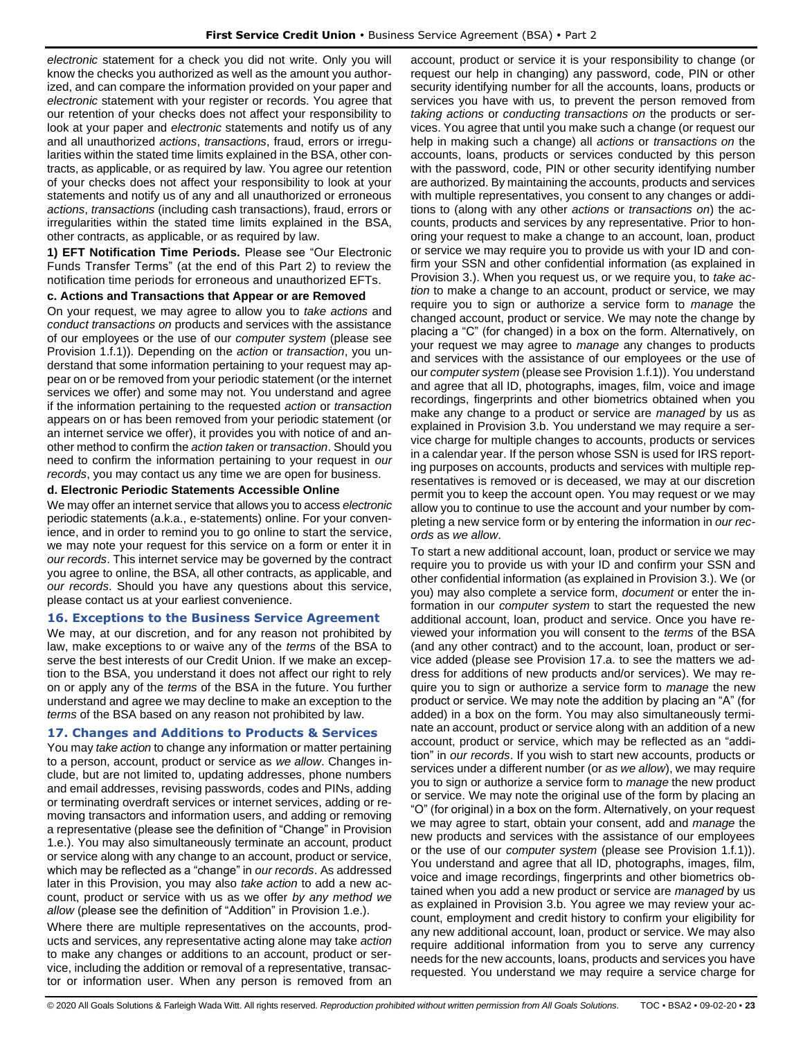*electronic* statement for a check you did not write. Only you will know the checks you authorized as well as the amount you authorized, and can compare the information provided on your paper and *electronic* statement with your register or records. You agree that our retention of your checks does not affect your responsibility to look at your paper and *electronic* statements and notify us of any and all unauthorized *actions*, *transactions*, fraud, errors or irregularities within the stated time limits explained in the BSA, other contracts, as applicable, or as required by law. You agree our retention of your checks does not affect your responsibility to look at your statements and notify us of any and all unauthorized or erroneous *actions*, *transactions* (including cash transactions), fraud, errors or irregularities within the stated time limits explained in the BSA, other contracts, as applicable, or as required by law.

**1) EFT Notification Time Periods.** Please see "Our Electronic Funds Transfer Terms" (at the end of this Part 2) to review the notification time periods for erroneous and unauthorized EFTs.

#### **c. Actions and Transactions that Appear or are Removed**

On your request, we may agree to allow you to *take actions* and *conduct transactions on* products and services with the assistance of our employees or the use of our *computer system* (please see Provision 1.f.1)). Depending on the *action* or *transaction*, you understand that some information pertaining to your request may appear on or be removed from your periodic statement (or the internet services we offer) and some may not. You understand and agree if the information pertaining to the requested *action* or *transaction* appears on or has been removed from your periodic statement (or an internet service we offer), it provides you with notice of and another method to confirm the *action taken* or *transaction*. Should you need to confirm the information pertaining to your request in *our records*, you may contact us any time we are open for business.

#### **d. Electronic Periodic Statements Accessible Online**

We may offer an internet service that allows you to access *electronic* periodic statements (a.k.a., e-statements) online. For your convenience, and in order to remind you to go online to start the service, we may note your request for this service on a form or enter it in *our records*. This internet service may be governed by the contract you agree to online, the BSA, all other contracts, as applicable, and *our records*. Should you have any questions about this service, please contact us at your earliest convenience.

### <span id="page-22-0"></span>**16. Exceptions to the Business Service Agreement**

We may, at our discretion, and for any reason not prohibited by law, make exceptions to or waive any of the *terms* of the BSA to serve the best interests of our Credit Union. If we make an exception to the BSA, you understand it does not affect our right to rely on or apply any of the *terms* of the BSA in the future. You further understand and agree we may decline to make an exception to the *terms* of the BSA based on any reason not prohibited by law.

### <span id="page-22-1"></span>**17. Changes and Additions to Products & Services**

You may *take action* to change any information or matter pertaining to a person, account, product or service as *we allow*. Changes include, but are not limited to, updating addresses, phone numbers and email addresses, revising passwords, codes and PINs, adding or terminating overdraft services or internet services, adding or removing transactors and information users, and adding or removing a representative (please see the definition of "Change" in Provision 1.e.). You may also simultaneously terminate an account, product or service along with any change to an account, product or service, which may be reflected as a "change" in *our records*. As addressed later in this Provision, you may also *take action* to add a new account, product or service with us as we offer *by any method we allow* (please see the definition of "Addition" in Provision 1.e.).

Where there are multiple representatives on the accounts, products and services, any representative acting alone may take *action* to make any changes or additions to an account, product or service, including the addition or removal of a representative, transactor or information user. When any person is removed from an

account, product or service it is your responsibility to change (or request our help in changing) any password, code, PIN or other security identifying number for all the accounts, loans, products or services you have with us, to prevent the person removed from *taking actions* or *conducting transactions on* the products or services. You agree that until you make such a change (or request our help in making such a change) all *actions* or *transactions on* the accounts, loans, products or services conducted by this person with the password, code, PIN or other security identifying number are authorized. By maintaining the accounts, products and services with multiple representatives, you consent to any changes or additions to (along with any other *actions* or *transactions on*) the accounts, products and services by any representative. Prior to honoring your request to make a change to an account, loan, product or service we may require you to provide us with your ID and confirm your SSN and other confidential information (as explained in Provision 3.). When you request us, or we require you, to *take action* to make a change to an account, product or service, we may require you to sign or authorize a service form to *manage* the changed account, product or service. We may note the change by placing a "C" (for changed) in a box on the form. Alternatively, on your request we may agree to *manage* any changes to products and services with the assistance of our employees or the use of our *computer system* (please see Provision 1.f.1)). You understand and agree that all ID, photographs, images, film, voice and image recordings, fingerprints and other biometrics obtained when you make any change to a product or service are *managed* by us as explained in Provision 3.b. You understand we may require a service charge for multiple changes to accounts, products or services in a calendar year. If the person whose SSN is used for IRS reporting purposes on accounts, products and services with multiple representatives is removed or is deceased, we may at our discretion permit you to keep the account open. You may request or we may allow you to continue to use the account and your number by completing a new service form or by entering the information in *our records* as *we allow*.

To start a new additional account, loan, product or service we may require you to provide us with your ID and confirm your SSN and other confidential information (as explained in Provision 3.). We (or you) may also complete a service form, *document* or enter the information in our *computer system* to start the requested the new additional account, loan, product and service. Once you have reviewed your information you will consent to the *terms* of the BSA (and any other contract) and to the account, loan, product or service added (please see Provision 17.a. to see the matters we address for additions of new products and/or services). We may require you to sign or authorize a service form to *manage* the new product or service. We may note the addition by placing an "A" (for added) in a box on the form. You may also simultaneously terminate an account, product or service along with an addition of a new account, product or service, which may be reflected as an "addition" in *our records*. If you wish to start new accounts, products or services under a different number (or *as we allow*), we may require you to sign or authorize a service form to *manage* the new product or service. We may note the original use of the form by placing an "O" (for original) in a box on the form. Alternatively, on your request we may agree to start, obtain your consent, add and *manage* the new products and services with the assistance of our employees or the use of our *computer system* (please see Provision 1.f.1)). You understand and agree that all ID, photographs, images, film, voice and image recordings, fingerprints and other biometrics obtained when you add a new product or service are *managed* by us as explained in Provision 3.b. You agree we may review your account, employment and credit history to confirm your eligibility for any new additional account, loan, product or service. We may also require additional information from you to serve any currency needs for the new accounts, loans, products and services you have requested. You understand we may require a service charge for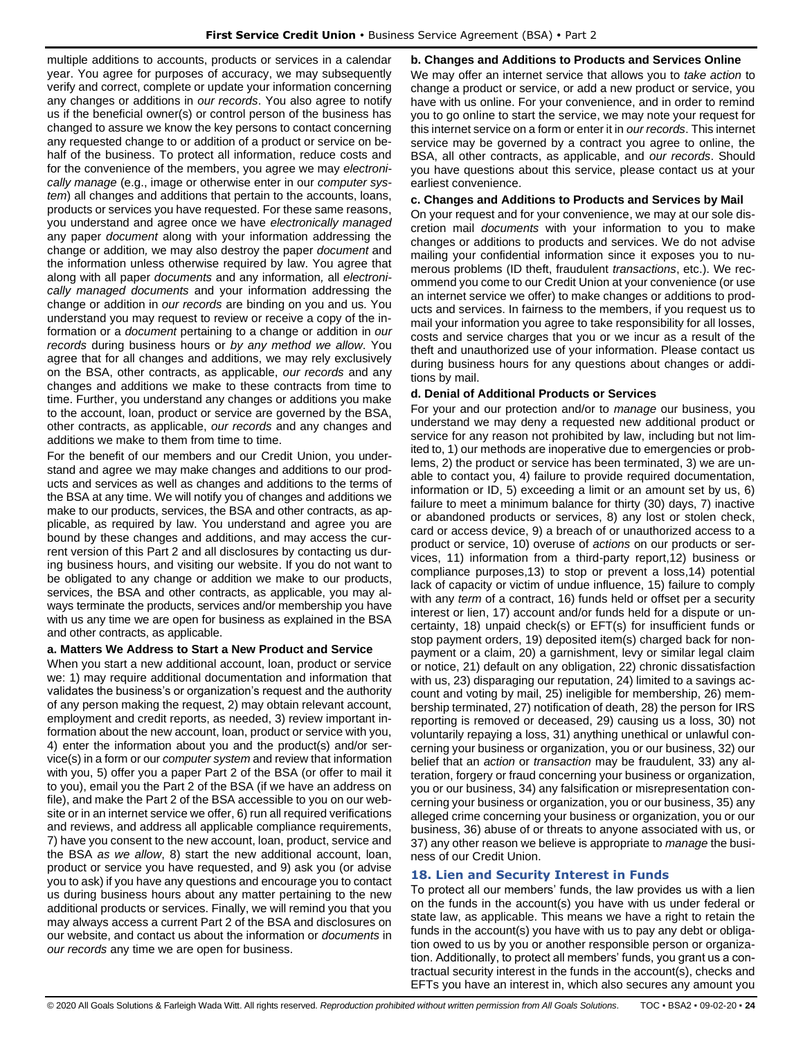multiple additions to accounts, products or services in a calendar year. You agree for purposes of accuracy, we may subsequently verify and correct, complete or update your information concerning any changes or additions in *our records*. You also agree to notify us if the beneficial owner(s) or control person of the business has changed to assure we know the key persons to contact concerning any requested change to or addition of a product or service on behalf of the business. To protect all information, reduce costs and for the convenience of the members, you agree we may *electronically manage* (e.g., image or otherwise enter in our *computer system*) all changes and additions that pertain to the accounts, loans, products or services you have requested. For these same reasons, you understand and agree once we have *electronically managed* any paper *document* along with your information addressing the change or addition*,* we may also destroy the paper *document* and the information unless otherwise required by law. You agree that along with all paper *documents* and any information*,* all *electronically managed documents* and your information addressing the change or addition in *our records* are binding on you and us. You understand you may request to review or receive a copy of the information or a *document* pertaining to a change or addition in *our records* during business hours or *by any method we allow*. You agree that for all changes and additions, we may rely exclusively on the BSA, other contracts, as applicable, *our records* and any changes and additions we make to these contracts from time to time. Further, you understand any changes or additions you make to the account, loan, product or service are governed by the BSA, other contracts, as applicable, *our records* and any changes and additions we make to them from time to time.

For the benefit of our members and our Credit Union, you understand and agree we may make changes and additions to our products and services as well as changes and additions to the terms of the BSA at any time. We will notify you of changes and additions we make to our products, services, the BSA and other contracts, as applicable, as required by law. You understand and agree you are bound by these changes and additions, and may access the current version of this Part 2 and all disclosures by contacting us during business hours, and visiting our website. If you do not want to be obligated to any change or addition we make to our products, services, the BSA and other contracts, as applicable, you may always terminate the products, services and/or membership you have with us any time we are open for business as explained in the BSA and other contracts, as applicable.

### **a. Matters We Address to Start a New Product and Service**

When you start a new additional account, loan, product or service we: 1) may require additional documentation and information that validates the business's or organization's request and the authority of any person making the request, 2) may obtain relevant account, employment and credit reports, as needed, 3) review important information about the new account, loan, product or service with you, 4) enter the information about you and the product(s) and/or service(s) in a form or our *computer system* and review that information with you, 5) offer you a paper Part 2 of the BSA (or offer to mail it to you), email you the Part 2 of the BSA (if we have an address on file), and make the Part 2 of the BSA accessible to you on our website or in an internet service we offer, 6) run all required verifications and reviews, and address all applicable compliance requirements, 7) have you consent to the new account, loan, product, service and the BSA *as we allow*, 8) start the new additional account, loan, product or service you have requested, and 9) ask you (or advise you to ask) if you have any questions and encourage you to contact us during business hours about any matter pertaining to the new additional products or services. Finally, we will remind you that you may always access a current Part 2 of the BSA and disclosures on our website, and contact us about the information or *documents* in *our records* any time we are open for business.

**b. Changes and Additions to Products and Services Online** We may offer an internet service that allows you to *take action* to change a product or service, or add a new product or service, you have with us online. For your convenience, and in order to remind you to go online to start the service, we may note your request for this internet service on a form or enter it in *our records*. This internet service may be governed by a contract you agree to online, the BSA, all other contracts, as applicable, and *our records*. Should you have questions about this service, please contact us at your earliest convenience.

#### **c. Changes and Additions to Products and Services by Mail**

On your request and for your convenience, we may at our sole discretion mail *documents* with your information to you to make changes or additions to products and services. We do not advise mailing your confidential information since it exposes you to numerous problems (ID theft, fraudulent *transactions*, etc.). We recommend you come to our Credit Union at your convenience (or use an internet service we offer) to make changes or additions to products and services. In fairness to the members, if you request us to mail your information you agree to take responsibility for all losses, costs and service charges that you or we incur as a result of the theft and unauthorized use of your information. Please contact us during business hours for any questions about changes or additions by mail.

#### **d. Denial of Additional Products or Services**

For your and our protection and/or to *manage* our business, you understand we may deny a requested new additional product or service for any reason not prohibited by law, including but not limited to, 1) our methods are inoperative due to emergencies or problems, 2) the product or service has been terminated, 3) we are unable to contact you, 4) failure to provide required documentation, information or ID, 5) exceeding a limit or an amount set by us, 6) failure to meet a minimum balance for thirty (30) days, 7) inactive or abandoned products or services, 8) any lost or stolen check, card or access device, 9) a breach of or unauthorized access to a product or service, 10) overuse of *actions* on our products or services, 11) information from a third-party report,12) business or compliance purposes,13) to stop or prevent a loss,14) potential lack of capacity or victim of undue influence, 15) failure to comply with any *term* of a contract, 16) funds held or offset per a security interest or lien, 17) account and/or funds held for a dispute or uncertainty, 18) unpaid check(s) or EFT(s) for insufficient funds or stop payment orders, 19) deposited item(s) charged back for nonpayment or a claim, 20) a garnishment, levy or similar legal claim or notice, 21) default on any obligation, 22) chronic dissatisfaction with us, 23) disparaging our reputation, 24) limited to a savings account and voting by mail, 25) ineligible for membership, 26) membership terminated, 27) notification of death, 28) the person for IRS reporting is removed or deceased, 29) causing us a loss, 30) not voluntarily repaying a loss, 31) anything unethical or unlawful concerning your business or organization, you or our business, 32) our belief that an *action* or *transaction* may be fraudulent, 33) any alteration, forgery or fraud concerning your business or organization, you or our business, 34) any falsification or misrepresentation concerning your business or organization, you or our business, 35) any alleged crime concerning your business or organization, you or our business, 36) abuse of or threats to anyone associated with us, or 37) any other reason we believe is appropriate to *manage* the business of our Credit Union.

### <span id="page-23-0"></span>**18. Lien and Security Interest in Funds**

To protect all our members' funds, the law provides us with a lien on the funds in the account(s) you have with us under federal or state law, as applicable. This means we have a right to retain the funds in the account(s) you have with us to pay any debt or obligation owed to us by you or another responsible person or organization. Additionally, to protect all members' funds, you grant us a contractual security interest in the funds in the account(s), checks and EFTs you have an interest in, which also secures any amount you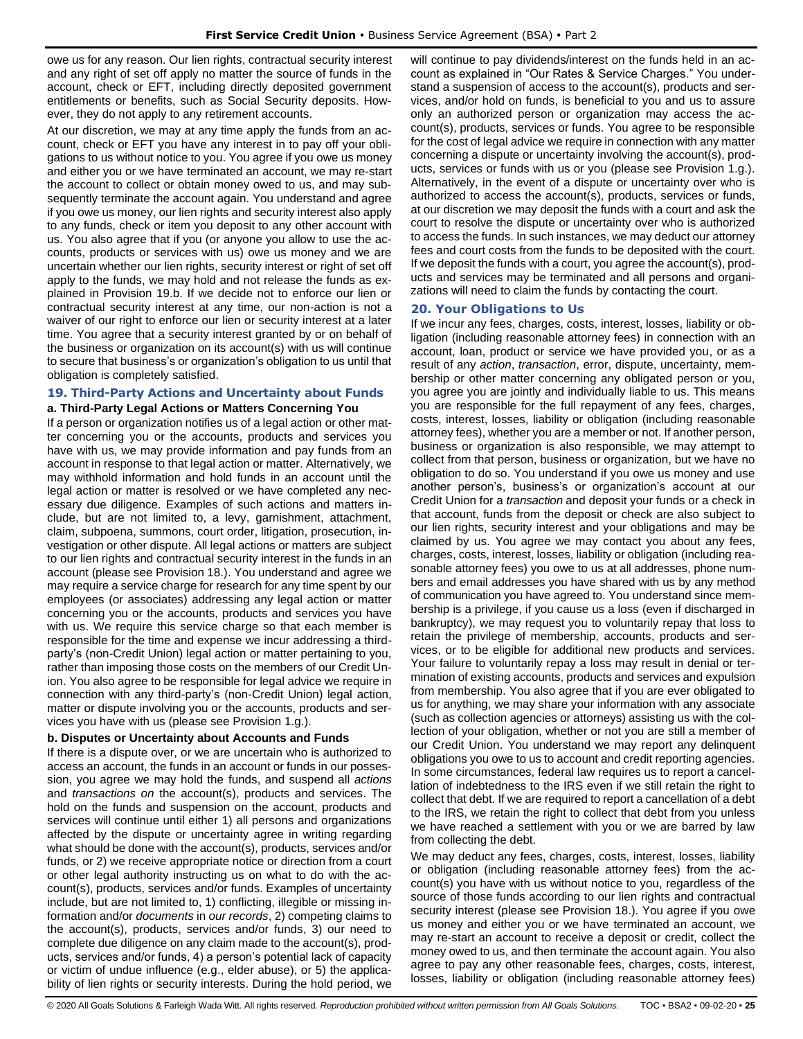owe us for any reason. Our lien rights, contractual security interest and any right of set off apply no matter the source of funds in the account, check or EFT, including directly deposited government entitlements or benefits, such as Social Security deposits. However, they do not apply to any retirement accounts.

At our discretion, we may at any time apply the funds from an account, check or EFT you have any interest in to pay off your obligations to us without notice to you. You agree if you owe us money and either you or we have terminated an account, we may re-start the account to collect or obtain money owed to us, and may subsequently terminate the account again. You understand and agree if you owe us money, our lien rights and security interest also apply to any funds, check or item you deposit to any other account with us. You also agree that if you (or anyone you allow to use the accounts, products or services with us) owe us money and we are uncertain whether our lien rights, security interest or right of set off apply to the funds, we may hold and not release the funds as explained in Provision 19.b. If we decide not to enforce our lien or contractual security interest at any time, our non-action is not a waiver of our right to enforce our lien or security interest at a later time. You agree that a security interest granted by or on behalf of the business or organization on its account(s) with us will continue to secure that business's or organization's obligation to us until that obligation is completely satisfied.

### <span id="page-24-0"></span>**19. Third-Party Actions and Uncertainty about Funds a. Third-Party Legal Actions or Matters Concerning You**

If a person or organization notifies us of a legal action or other matter concerning you or the accounts, products and services you have with us, we may provide information and pay funds from an account in response to that legal action or matter. Alternatively, we may withhold information and hold funds in an account until the legal action or matter is resolved or we have completed any necessary due diligence. Examples of such actions and matters include, but are not limited to, a levy, garnishment, attachment, claim, subpoena, summons, court order, litigation, prosecution, investigation or other dispute. All legal actions or matters are subject to our lien rights and contractual security interest in the funds in an account (please see Provision 18.). You understand and agree we may require a service charge for research for any time spent by our employees (or associates) addressing any legal action or matter concerning you or the accounts, products and services you have with us. We require this service charge so that each member is responsible for the time and expense we incur addressing a thirdparty's (non-Credit Union) legal action or matter pertaining to you, rather than imposing those costs on the members of our Credit Union. You also agree to be responsible for legal advice we require in connection with any third-party's (non-Credit Union) legal action, matter or dispute involving you or the accounts, products and services you have with us (please see Provision 1.g.).

### **b. Disputes or Uncertainty about Accounts and Funds**

If there is a dispute over, or we are uncertain who is authorized to access an account, the funds in an account or funds in our possession, you agree we may hold the funds, and suspend all *actions* and *transactions on* the account(s), products and services. The hold on the funds and suspension on the account, products and services will continue until either 1) all persons and organizations affected by the dispute or uncertainty agree in writing regarding what should be done with the account(s), products, services and/or funds, or 2) we receive appropriate notice or direction from a court or other legal authority instructing us on what to do with the account(s), products, services and/or funds. Examples of uncertainty include, but are not limited to, 1) conflicting, illegible or missing information and/or *documents* in *our records*, 2) competing claims to the account(s), products, services and/or funds, 3) our need to complete due diligence on any claim made to the account(s), products, services and/or funds, 4) a person's potential lack of capacity or victim of undue influence (e.g., elder abuse), or 5) the applicability of lien rights or security interests. During the hold period, we

will continue to pay dividends/interest on the funds held in an account as explained in "Our Rates & Service Charges." You understand a suspension of access to the account(s), products and services, and/or hold on funds, is beneficial to you and us to assure only an authorized person or organization may access the account(s), products, services or funds. You agree to be responsible for the cost of legal advice we require in connection with any matter concerning a dispute or uncertainty involving the account(s), products, services or funds with us or you (please see Provision 1.g.). Alternatively, in the event of a dispute or uncertainty over who is authorized to access the account(s), products, services or funds, at our discretion we may deposit the funds with a court and ask the court to resolve the dispute or uncertainty over who is authorized to access the funds. In such instances, we may deduct our attorney fees and court costs from the funds to be deposited with the court. If we deposit the funds with a court, you agree the account(s), products and services may be terminated and all persons and organizations will need to claim the funds by contacting the court.

## <span id="page-24-1"></span>**20. Your Obligations to Us**

If we incur any fees, charges, costs, interest, losses, liability or obligation (including reasonable attorney fees) in connection with an account, loan, product or service we have provided you, or as a result of any *action*, *transaction*, error, dispute, uncertainty, membership or other matter concerning any obligated person or you, you agree you are jointly and individually liable to us. This means you are responsible for the full repayment of any fees, charges, costs, interest, losses, liability or obligation (including reasonable attorney fees), whether you are a member or not. If another person, business or organization is also responsible, we may attempt to collect from that person, business or organization, but we have no obligation to do so. You understand if you owe us money and use another person's, business's or organization's account at our Credit Union for a *transaction* and deposit your funds or a check in that account, funds from the deposit or check are also subject to our lien rights, security interest and your obligations and may be claimed by us. You agree we may contact you about any fees, charges, costs, interest, losses, liability or obligation (including reasonable attorney fees) you owe to us at all addresses, phone numbers and email addresses you have shared with us by any method of communication you have agreed to. You understand since membership is a privilege, if you cause us a loss (even if discharged in bankruptcy), we may request you to voluntarily repay that loss to retain the privilege of membership, accounts, products and services, or to be eligible for additional new products and services. Your failure to voluntarily repay a loss may result in denial or termination of existing accounts, products and services and expulsion from membership. You also agree that if you are ever obligated to us for anything, we may share your information with any associate (such as collection agencies or attorneys) assisting us with the collection of your obligation, whether or not you are still a member of our Credit Union. You understand we may report any delinquent obligations you owe to us to account and credit reporting agencies. In some circumstances, federal law requires us to report a cancellation of indebtedness to the IRS even if we still retain the right to collect that debt. If we are required to report a cancellation of a debt to the IRS, we retain the right to collect that debt from you unless we have reached a settlement with you or we are barred by law from collecting the debt.

We may deduct any fees, charges, costs, interest, losses, liability or obligation (including reasonable attorney fees) from the account(s) you have with us without notice to you, regardless of the source of those funds according to our lien rights and contractual security interest (please see Provision 18.). You agree if you owe us money and either you or we have terminated an account, we may re-start an account to receive a deposit or credit, collect the money owed to us, and then terminate the account again. You also agree to pay any other reasonable fees, charges, costs, interest, losses, liability or obligation (including reasonable attorney fees)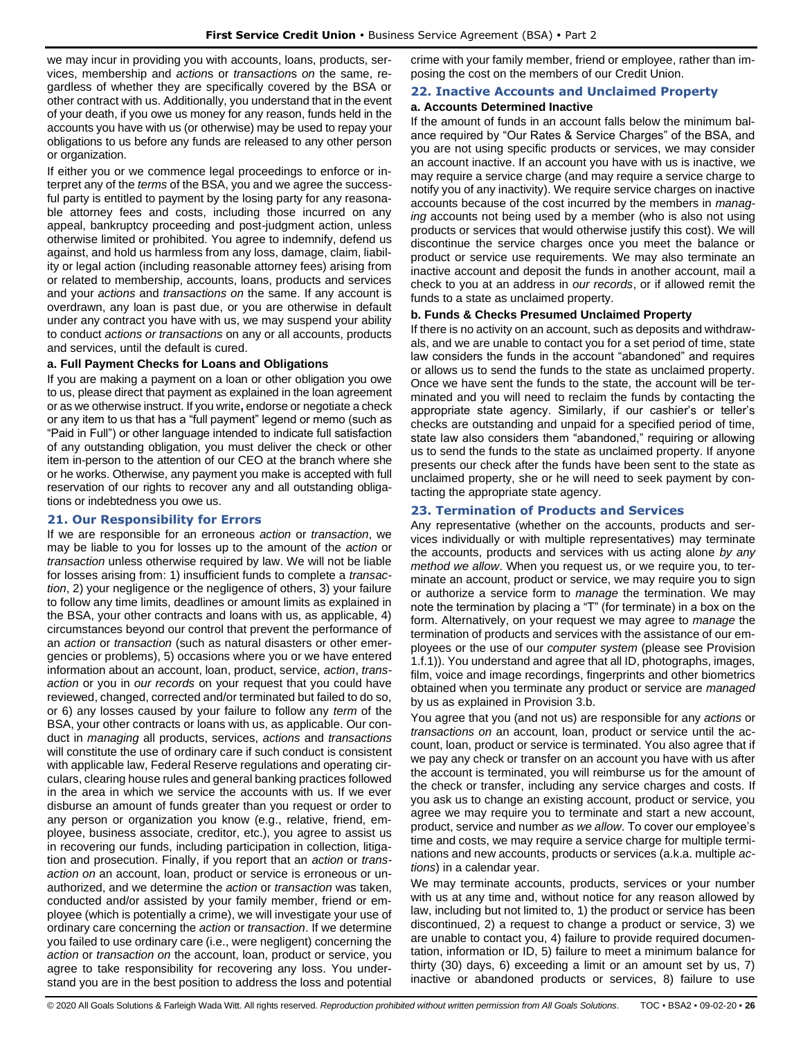we may incur in providing you with accounts, loans, products, services, membership and *action*s or *transaction*s *on* the same, regardless of whether they are specifically covered by the BSA or other contract with us. Additionally, you understand that in the event of your death, if you owe us money for any reason, funds held in the accounts you have with us (or otherwise) may be used to repay your obligations to us before any funds are released to any other person or organization.

If either you or we commence legal proceedings to enforce or interpret any of the *terms* of the BSA, you and we agree the successful party is entitled to payment by the losing party for any reasonable attorney fees and costs, including those incurred on any appeal, bankruptcy proceeding and post-judgment action, unless otherwise limited or prohibited. You agree to indemnify, defend us against, and hold us harmless from any loss, damage, claim, liability or legal action (including reasonable attorney fees) arising from or related to membership, accounts, loans, products and services and your *actions* and *transactions on* the same. If any account is overdrawn, any loan is past due, or you are otherwise in default under any contract you have with us, we may suspend your ability to conduct *actions or transactions* on any or all accounts, products and services, until the default is cured.

### **a. Full Payment Checks for Loans and Obligations**

If you are making a payment on a loan or other obligation you owe to us, please direct that payment as explained in the loan agreement or as we otherwise instruct. If you write**,** endorse or negotiate a check or any item to us that has a "full payment" legend or memo (such as "Paid in Full") or other language intended to indicate full satisfaction of any outstanding obligation, you must deliver the check or other item in-person to the attention of our CEO at the branch where she or he works. Otherwise, any payment you make is accepted with full reservation of our rights to recover any and all outstanding obligations or indebtedness you owe us.

#### <span id="page-25-0"></span>**21. Our Responsibility for Errors**

If we are responsible for an erroneous *action* or *transaction*, we may be liable to you for losses up to the amount of the *action* or *transaction* unless otherwise required by law. We will not be liable for losses arising from: 1) insufficient funds to complete a *transaction*, 2) your negligence or the negligence of others, 3) your failure to follow any time limits, deadlines or amount limits as explained in the BSA, your other contracts and loans with us, as applicable, 4) circumstances beyond our control that prevent the performance of an *action* or *transaction* (such as natural disasters or other emergencies or problems), 5) occasions where you or we have entered information about an account, loan, product, service, *action*, *transaction* or you in *our records* on your request that you could have reviewed, changed, corrected and/or terminated but failed to do so, or 6) any losses caused by your failure to follow any *term* of the BSA, your other contracts or loans with us, as applicable. Our conduct in *managing* all products, services, *actions* and *transactions* will constitute the use of ordinary care if such conduct is consistent with applicable law, Federal Reserve regulations and operating circulars, clearing house rules and general banking practices followed in the area in which we service the accounts with us. If we ever disburse an amount of funds greater than you request or order to any person or organization you know (e.g., relative, friend, employee, business associate, creditor, etc.), you agree to assist us in recovering our funds, including participation in collection, litigation and prosecution. Finally, if you report that an *action* or *transaction on* an account, loan, product or service is erroneous or unauthorized, and we determine the *action* or *transaction* was taken, conducted and/or assisted by your family member, friend or employee (which is potentially a crime), we will investigate your use of ordinary care concerning the *action* or *transaction*. If we determine you failed to use ordinary care (i.e., were negligent) concerning the *action* or *transaction on* the account, loan, product or service, you agree to take responsibility for recovering any loss. You understand you are in the best position to address the loss and potential

crime with your family member, friend or employee, rather than imposing the cost on the members of our Credit Union.

# <span id="page-25-1"></span>**22. Inactive Accounts and Unclaimed Property**

# **a. Accounts Determined Inactive**

If the amount of funds in an account falls below the minimum balance required by "Our Rates & Service Charges" of the BSA, and you are not using specific products or services, we may consider an account inactive. If an account you have with us is inactive, we may require a service charge (and may require a service charge to notify you of any inactivity). We require service charges on inactive accounts because of the cost incurred by the members in *managing* accounts not being used by a member (who is also not using products or services that would otherwise justify this cost). We will discontinue the service charges once you meet the balance or product or service use requirements. We may also terminate an inactive account and deposit the funds in another account, mail a check to you at an address in *our records*, or if allowed remit the funds to a state as unclaimed property.

#### **b. Funds & Checks Presumed Unclaimed Property**

If there is no activity on an account, such as deposits and withdrawals, and we are unable to contact you for a set period of time, state law considers the funds in the account "abandoned" and requires or allows us to send the funds to the state as unclaimed property. Once we have sent the funds to the state, the account will be terminated and you will need to reclaim the funds by contacting the appropriate state agency. Similarly, if our cashier's or teller's checks are outstanding and unpaid for a specified period of time, state law also considers them "abandoned," requiring or allowing us to send the funds to the state as unclaimed property. If anyone presents our check after the funds have been sent to the state as unclaimed property, she or he will need to seek payment by contacting the appropriate state agency.

## <span id="page-25-2"></span>**23. Termination of Products and Services**

Any representative (whether on the accounts, products and services individually or with multiple representatives) may terminate the accounts, products and services with us acting alone *by any method we allow*. When you request us, or we require you, to terminate an account, product or service, we may require you to sign or authorize a service form to *manage* the termination. We may note the termination by placing a "T" (for terminate) in a box on the form. Alternatively, on your request we may agree to *manage* the termination of products and services with the assistance of our employees or the use of our *computer system* (please see Provision 1.f.1)). You understand and agree that all ID, photographs, images, film, voice and image recordings, fingerprints and other biometrics obtained when you terminate any product or service are *managed* by us as explained in Provision 3.b.

You agree that you (and not us) are responsible for any *actions* or *transactions on* an account, loan, product or service until the account, loan, product or service is terminated. You also agree that if we pay any check or transfer on an account you have with us after the account is terminated, you will reimburse us for the amount of the check or transfer, including any service charges and costs. If you ask us to change an existing account, product or service, you agree we may require you to terminate and start a new account, product, service and number *as we allow*. To cover our employee's time and costs, we may require a service charge for multiple terminations and new accounts, products or services (a.k.a. multiple *actions*) in a calendar year.

We may terminate accounts, products, services or your number with us at any time and, without notice for any reason allowed by law, including but not limited to, 1) the product or service has been discontinued, 2) a request to change a product or service, 3) we are unable to contact you, 4) failure to provide required documentation, information or ID, 5) failure to meet a minimum balance for thirty (30) days, 6) exceeding a limit or an amount set by us, 7) inactive or abandoned products or services, 8) failure to use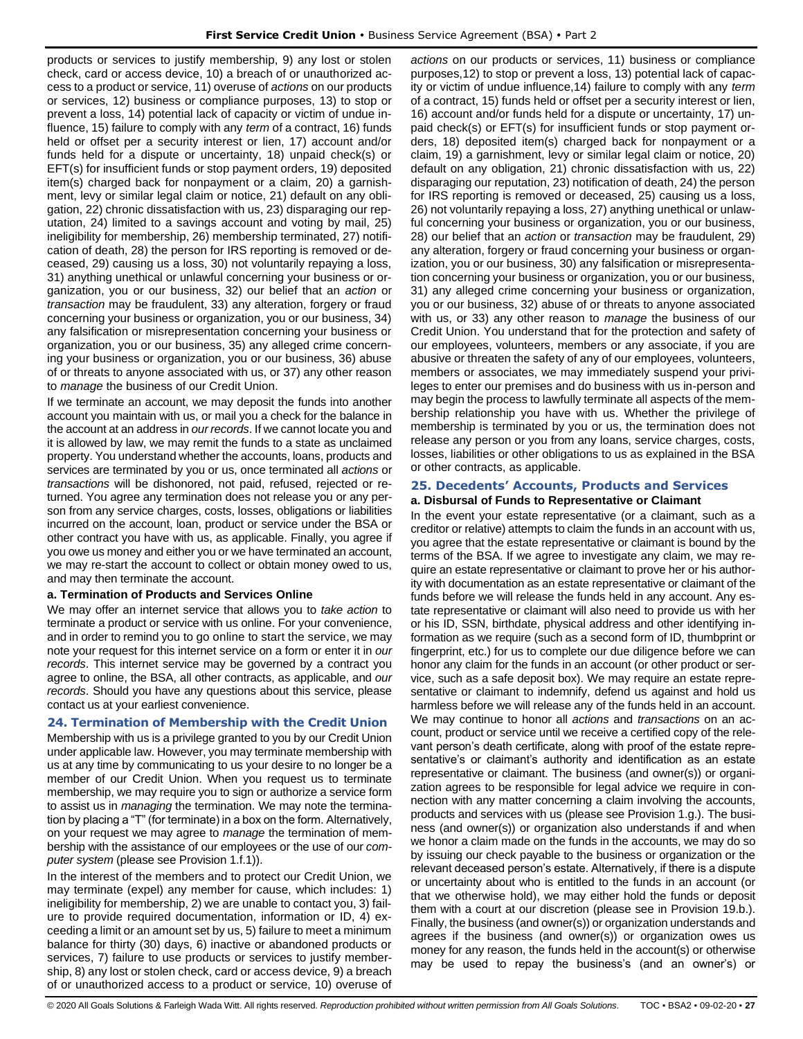products or services to justify membership, 9) any lost or stolen check, card or access device, 10) a breach of or unauthorized access to a product or service, 11) overuse of *actions* on our products or services, 12) business or compliance purposes, 13) to stop or prevent a loss, 14) potential lack of capacity or victim of undue influence, 15) failure to comply with any *term* of a contract, 16) funds held or offset per a security interest or lien, 17) account and/or funds held for a dispute or uncertainty, 18) unpaid check(s) or EFT(s) for insufficient funds or stop payment orders, 19) deposited item(s) charged back for nonpayment or a claim, 20) a garnishment, levy or similar legal claim or notice, 21) default on any obligation, 22) chronic dissatisfaction with us, 23) disparaging our reputation, 24) limited to a savings account and voting by mail, 25) ineligibility for membership, 26) membership terminated, 27) notification of death, 28) the person for IRS reporting is removed or deceased, 29) causing us a loss, 30) not voluntarily repaying a loss, 31) anything unethical or unlawful concerning your business or organization, you or our business, 32) our belief that an *action* or *transaction* may be fraudulent, 33) any alteration, forgery or fraud concerning your business or organization, you or our business, 34) any falsification or misrepresentation concerning your business or organization, you or our business, 35) any alleged crime concerning your business or organization, you or our business, 36) abuse of or threats to anyone associated with us, or 37) any other reason to *manage* the business of our Credit Union.

If we terminate an account, we may deposit the funds into another account you maintain with us, or mail you a check for the balance in the account at an address in *our records*. If we cannot locate you and it is allowed by law, we may remit the funds to a state as unclaimed property. You understand whether the accounts, loans, products and services are terminated by you or us, once terminated all *actions* or *transactions* will be dishonored, not paid, refused, rejected or returned. You agree any termination does not release you or any person from any service charges, costs, losses, obligations or liabilities incurred on the account, loan, product or service under the BSA or other contract you have with us, as applicable. Finally, you agree if you owe us money and either you or we have terminated an account, we may re-start the account to collect or obtain money owed to us, and may then terminate the account.

### **a. Termination of Products and Services Online**

We may offer an internet service that allows you to *take action* to terminate a product or service with us online. For your convenience, and in order to remind you to go online to start the service, we may note your request for this internet service on a form or enter it in *our records*. This internet service may be governed by a contract you agree to online, the BSA, all other contracts, as applicable, and *our records*. Should you have any questions about this service, please contact us at your earliest convenience.

### <span id="page-26-0"></span>**24. Termination of Membership with the Credit Union**

Membership with us is a privilege granted to you by our Credit Union under applicable law. However, you may terminate membership with us at any time by communicating to us your desire to no longer be a member of our Credit Union. When you request us to terminate membership, we may require you to sign or authorize a service form to assist us in *managing* the termination. We may note the termination by placing a "T" (for terminate) in a box on the form. Alternatively, on your request we may agree to *manage* the termination of membership with the assistance of our employees or the use of our *computer system* (please see Provision 1.f.1)).

In the interest of the members and to protect our Credit Union, we may terminate (expel) any member for cause, which includes: 1) ineligibility for membership, 2) we are unable to contact you, 3) failure to provide required documentation, information or ID, 4) exceeding a limit or an amount set by us, 5) failure to meet a minimum balance for thirty (30) days, 6) inactive or abandoned products or services, 7) failure to use products or services to justify membership, 8) any lost or stolen check, card or access device, 9) a breach of or unauthorized access to a product or service, 10) overuse of

*actions* on our products or services, 11) business or compliance purposes,12) to stop or prevent a loss, 13) potential lack of capacity or victim of undue influence,14) failure to comply with any *term* of a contract, 15) funds held or offset per a security interest or lien, 16) account and/or funds held for a dispute or uncertainty, 17) unpaid check(s) or EFT(s) for insufficient funds or stop payment orders, 18) deposited item(s) charged back for nonpayment or a claim, 19) a garnishment, levy or similar legal claim or notice, 20) default on any obligation, 21) chronic dissatisfaction with us, 22) disparaging our reputation, 23) notification of death, 24) the person for IRS reporting is removed or deceased, 25) causing us a loss, 26) not voluntarily repaying a loss, 27) anything unethical or unlawful concerning your business or organization, you or our business, 28) our belief that an *action* or *transaction* may be fraudulent, 29) any alteration, forgery or fraud concerning your business or organization, you or our business, 30) any falsification or misrepresentation concerning your business or organization, you or our business, 31) any alleged crime concerning your business or organization, you or our business, 32) abuse of or threats to anyone associated with us, or 33) any other reason to *manage* the business of our Credit Union. You understand that for the protection and safety of our employees, volunteers, members or any associate, if you are abusive or threaten the safety of any of our employees, volunteers, members or associates, we may immediately suspend your privileges to enter our premises and do business with us in-person and may begin the process to lawfully terminate all aspects of the membership relationship you have with us. Whether the privilege of membership is terminated by you or us, the termination does not release any person or you from any loans, service charges, costs, losses, liabilities or other obligations to us as explained in the BSA or other contracts, as applicable.

# <span id="page-26-1"></span>**25. Decedents' Accounts, Products and Services a. Disbursal of Funds to Representative or Claimant**

In the event your estate representative (or a claimant, such as a creditor or relative) attempts to claim the funds in an account with us, you agree that the estate representative or claimant is bound by the terms of the BSA. If we agree to investigate any claim, we may require an estate representative or claimant to prove her or his authority with documentation as an estate representative or claimant of the funds before we will release the funds held in any account. Any estate representative or claimant will also need to provide us with her or his ID, SSN, birthdate, physical address and other identifying information as we require (such as a second form of ID, thumbprint or fingerprint, etc.) for us to complete our due diligence before we can honor any claim for the funds in an account (or other product or service, such as a safe deposit box). We may require an estate representative or claimant to indemnify, defend us against and hold us harmless before we will release any of the funds held in an account. We may continue to honor all *actions* and *transactions* on an account, product or service until we receive a certified copy of the relevant person's death certificate, along with proof of the estate representative's or claimant's authority and identification as an estate representative or claimant. The business (and owner(s)) or organization agrees to be responsible for legal advice we require in connection with any matter concerning a claim involving the accounts, products and services with us (please see Provision 1.g.). The business (and owner(s)) or organization also understands if and when we honor a claim made on the funds in the accounts, we may do so by issuing our check payable to the business or organization or the relevant deceased person's estate. Alternatively, if there is a dispute or uncertainty about who is entitled to the funds in an account (or that we otherwise hold), we may either hold the funds or deposit them with a court at our discretion (please see in Provision 19.b.). Finally, the business (and owner(s)) or organization understands and agrees if the business (and owner(s)) or organization owes us money for any reason, the funds held in the account(s) or otherwise may be used to repay the business's (and an owner's) or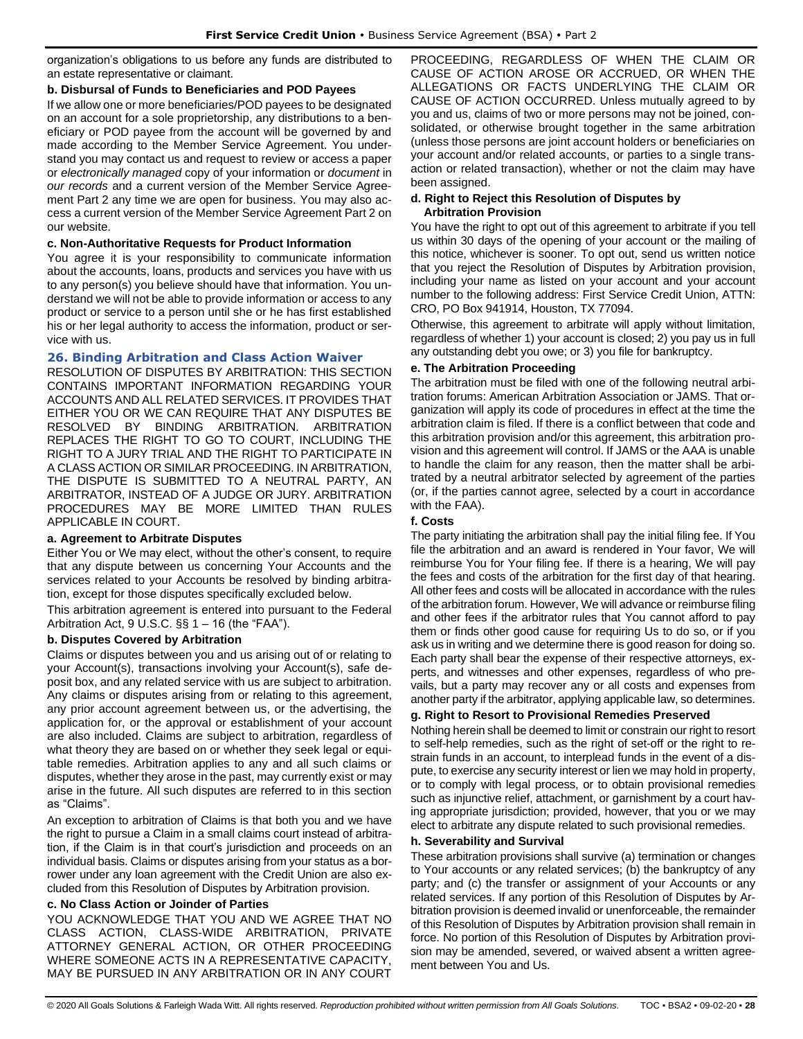organization's obligations to us before any funds are distributed to an estate representative or claimant.

### **b. Disbursal of Funds to Beneficiaries and POD Payees**

If we allow one or more beneficiaries/POD payees to be designated on an account for a sole proprietorship, any distributions to a beneficiary or POD payee from the account will be governed by and made according to the Member Service Agreement. You understand you may contact us and request to review or access a paper or *electronically managed* copy of your information or *document* in *our records* and a current version of the Member Service Agreement Part 2 any time we are open for business. You may also access a current version of the Member Service Agreement Part 2 on our website.

## **c. Non-Authoritative Requests for Product Information**

You agree it is your responsibility to communicate information about the accounts, loans, products and services you have with us to any person(s) you believe should have that information. You understand we will not be able to provide information or access to any product or service to a person until she or he has first established his or her legal authority to access the information, product or service with us.

# <span id="page-27-0"></span>**26. Binding Arbitration and Class Action Waiver**

RESOLUTION OF DISPUTES BY ARBITRATION: THIS SECTION CONTAINS IMPORTANT INFORMATION REGARDING YOUR ACCOUNTS AND ALL RELATED SERVICES. IT PROVIDES THAT EITHER YOU OR WE CAN REQUIRE THAT ANY DISPUTES BE RESOLVED BY BINDING ARBITRATION. ARBITRATION REPLACES THE RIGHT TO GO TO COURT, INCLUDING THE RIGHT TO A JURY TRIAL AND THE RIGHT TO PARTICIPATE IN A CLASS ACTION OR SIMILAR PROCEEDING. IN ARBITRATION, THE DISPUTE IS SUBMITTED TO A NEUTRAL PARTY, AN ARBITRATOR, INSTEAD OF A JUDGE OR JURY. ARBITRATION PROCEDURES MAY BE MORE LIMITED THAN RULES APPLICABLE IN COURT.

# **a. Agreement to Arbitrate Disputes**

Either You or We may elect, without the other's consent, to require that any dispute between us concerning Your Accounts and the services related to your Accounts be resolved by binding arbitration, except for those disputes specifically excluded below.

This arbitration agreement is entered into pursuant to the Federal Arbitration Act,  $9 \text{ U.S.C. }$ §§ 1 - 16 (the "FAA").

### **b. Disputes Covered by Arbitration**

Claims or disputes between you and us arising out of or relating to your Account(s), transactions involving your Account(s), safe deposit box, and any related service with us are subject to arbitration. Any claims or disputes arising from or relating to this agreement, any prior account agreement between us, or the advertising, the application for, or the approval or establishment of your account are also included. Claims are subject to arbitration, regardless of what theory they are based on or whether they seek legal or equitable remedies. Arbitration applies to any and all such claims or disputes, whether they arose in the past, may currently exist or may arise in the future. All such disputes are referred to in this section as "Claims".

An exception to arbitration of Claims is that both you and we have the right to pursue a Claim in a small claims court instead of arbitration, if the Claim is in that court's jurisdiction and proceeds on an individual basis. Claims or disputes arising from your status as a borrower under any loan agreement with the Credit Union are also excluded from this Resolution of Disputes by Arbitration provision.

### **c. No Class Action or Joinder of Parties**

YOU ACKNOWLEDGE THAT YOU AND WE AGREE THAT NO CLASS ACTION, CLASS-WIDE ARBITRATION, PRIVATE ATTORNEY GENERAL ACTION, OR OTHER PROCEEDING WHERE SOMEONE ACTS IN A REPRESENTATIVE CAPACITY, MAY BE PURSUED IN ANY ARBITRATION OR IN ANY COURT PROCEEDING, REGARDLESS OF WHEN THE CLAIM OR CAUSE OF ACTION AROSE OR ACCRUED, OR WHEN THE ALLEGATIONS OR FACTS UNDERLYING THE CLAIM OR CAUSE OF ACTION OCCURRED. Unless mutually agreed to by you and us, claims of two or more persons may not be joined, consolidated, or otherwise brought together in the same arbitration (unless those persons are joint account holders or beneficiaries on your account and/or related accounts, or parties to a single transaction or related transaction), whether or not the claim may have been assigned.

### **d. Right to Reject this Resolution of Disputes by Arbitration Provision**

You have the right to opt out of this agreement to arbitrate if you tell us within 30 days of the opening of your account or the mailing of this notice, whichever is sooner. To opt out, send us written notice that you reject the Resolution of Disputes by Arbitration provision, including your name as listed on your account and your account number to the following address: First Service Credit Union, ATTN: CRO, PO Box 941914, Houston, TX 77094.

Otherwise, this agreement to arbitrate will apply without limitation, regardless of whether 1) your account is closed; 2) you pay us in full any outstanding debt you owe; or 3) you file for bankruptcy.

## **e. The Arbitration Proceeding**

The arbitration must be filed with one of the following neutral arbitration forums: American Arbitration Association or JAMS. That organization will apply its code of procedures in effect at the time the arbitration claim is filed. If there is a conflict between that code and this arbitration provision and/or this agreement, this arbitration provision and this agreement will control. If JAMS or the AAA is unable to handle the claim for any reason, then the matter shall be arbitrated by a neutral arbitrator selected by agreement of the parties (or, if the parties cannot agree, selected by a court in accordance with the FAA).

## **f. Costs**

The party initiating the arbitration shall pay the initial filing fee. If You file the arbitration and an award is rendered in Your favor, We will reimburse You for Your filing fee. If there is a hearing, We will pay the fees and costs of the arbitration for the first day of that hearing. All other fees and costs will be allocated in accordance with the rules of the arbitration forum. However, We will advance or reimburse filing and other fees if the arbitrator rules that You cannot afford to pay them or finds other good cause for requiring Us to do so, or if you ask us in writing and we determine there is good reason for doing so. Each party shall bear the expense of their respective attorneys, experts, and witnesses and other expenses, regardless of who prevails, but a party may recover any or all costs and expenses from another party if the arbitrator, applying applicable law, so determines.

# **g. Right to Resort to Provisional Remedies Preserved**

Nothing herein shall be deemed to limit or constrain our right to resort to self-help remedies, such as the right of set-off or the right to restrain funds in an account, to interplead funds in the event of a dispute, to exercise any security interest or lien we may hold in property, or to comply with legal process, or to obtain provisional remedies such as injunctive relief, attachment, or garnishment by a court having appropriate jurisdiction; provided, however, that you or we may elect to arbitrate any dispute related to such provisional remedies.

### **h. Severability and Survival**

These arbitration provisions shall survive (a) termination or changes to Your accounts or any related services; (b) the bankruptcy of any party; and (c) the transfer or assignment of your Accounts or any related services. If any portion of this Resolution of Disputes by Arbitration provision is deemed invalid or unenforceable, the remainder of this Resolution of Disputes by Arbitration provision shall remain in force. No portion of this Resolution of Disputes by Arbitration provision may be amended, severed, or waived absent a written agreement between You and Us.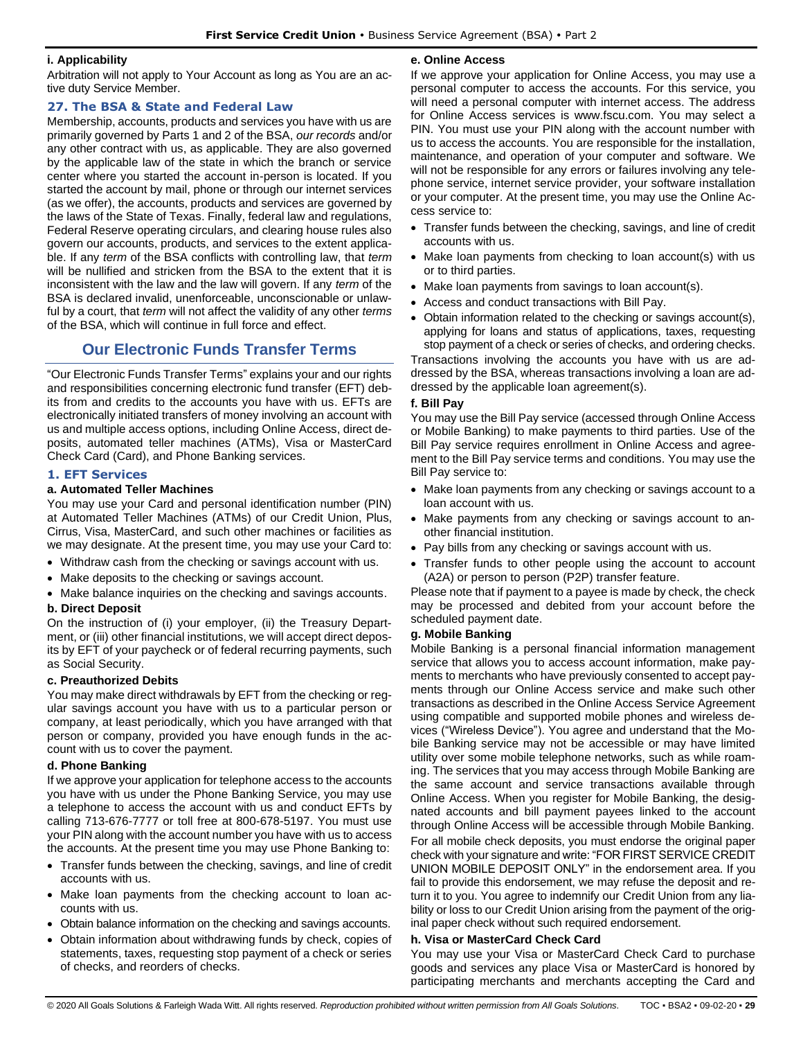#### **i. Applicability**

Arbitration will not apply to Your Account as long as You are an active duty Service Member.

#### <span id="page-28-0"></span>**27. The BSA & State and Federal Law**

Membership, accounts, products and services you have with us are primarily governed by Parts 1 and 2 of the BSA, *our records* and/or any other contract with us, as applicable. They are also governed by the applicable law of the state in which the branch or service center where you started the account in-person is located. If you started the account by mail, phone or through our internet services (as we offer), the accounts, products and services are governed by the laws of the State of Texas. Finally, federal law and regulations, Federal Reserve operating circulars, and clearing house rules also govern our accounts, products, and services to the extent applicable. If any *term* of the BSA conflicts with controlling law, that *term* will be nullified and stricken from the BSA to the extent that it is inconsistent with the law and the law will govern. If any *term* of the BSA is declared invalid, unenforceable, unconscionable or unlawful by a court, that *term* will not affect the validity of any other *terms* of the BSA, which will continue in full force and effect.

# **Our Electronic Funds Transfer Terms**

<span id="page-28-1"></span>"Our Electronic Funds Transfer Terms" explains your and our rights and responsibilities concerning electronic fund transfer (EFT) debits from and credits to the accounts you have with us. EFTs are electronically initiated transfers of money involving an account with us and multiple access options, including Online Access, direct deposits, automated teller machines (ATMs), Visa or MasterCard Check Card (Card), and Phone Banking services.

### <span id="page-28-2"></span>**1. EFT Services**

#### **a. Automated Teller Machines**

You may use your Card and personal identification number (PIN) at Automated Teller Machines (ATMs) of our Credit Union, Plus, Cirrus, Visa, MasterCard, and such other machines or facilities as we may designate. At the present time, you may use your Card to:

- Withdraw cash from the checking or savings account with us.
- Make deposits to the checking or savings account.
- Make balance inquiries on the checking and savings accounts.

#### **b. Direct Deposit**

On the instruction of (i) your employer, (ii) the Treasury Department, or (iii) other financial institutions, we will accept direct deposits by EFT of your paycheck or of federal recurring payments, such as Social Security.

### **c. Preauthorized Debits**

You may make direct withdrawals by EFT from the checking or regular savings account you have with us to a particular person or company, at least periodically, which you have arranged with that person or company, provided you have enough funds in the account with us to cover the payment.

#### **d. Phone Banking**

If we approve your application for telephone access to the accounts you have with us under the Phone Banking Service, you may use a telephone to access the account with us and conduct EFTs by calling 713-676-7777 or toll free at 800-678-5197. You must use your PIN along with the account number you have with us to access the accounts. At the present time you may use Phone Banking to:

- Transfer funds between the checking, savings, and line of credit accounts with us.
- Make loan payments from the checking account to loan accounts with us.
- Obtain balance information on the checking and savings accounts.
- Obtain information about withdrawing funds by check, copies of statements, taxes, requesting stop payment of a check or series of checks, and reorders of checks.

#### **e. Online Access**

If we approve your application for Online Access, you may use a personal computer to access the accounts. For this service, you will need a personal computer with internet access. The address for Online Access services is www.fscu.com. You may select a PIN. You must use your PIN along with the account number with us to access the accounts. You are responsible for the installation, maintenance, and operation of your computer and software. We will not be responsible for any errors or failures involving any telephone service, internet service provider, your software installation or your computer. At the present time, you may use the Online Access service to:

- Transfer funds between the checking, savings, and line of credit accounts with us.
- Make loan payments from checking to loan account(s) with us or to third parties.
- Make loan payments from savings to loan account(s).
- Access and conduct transactions with Bill Pay.
- Obtain information related to the checking or savings account(s), applying for loans and status of applications, taxes, requesting stop payment of a check or series of checks, and ordering checks.

Transactions involving the accounts you have with us are addressed by the BSA, whereas transactions involving a loan are addressed by the applicable loan agreement(s).

### **f. Bill Pay**

You may use the Bill Pay service (accessed through Online Access or Mobile Banking) to make payments to third parties. Use of the Bill Pay service requires enrollment in Online Access and agreement to the Bill Pay service terms and conditions. You may use the Bill Pay service to:

- Make loan payments from any checking or savings account to a loan account with us.
- Make payments from any checking or savings account to another financial institution.
- Pay bills from any checking or savings account with us.
- Transfer funds to other people using the account to account (A2A) or person to person (P2P) transfer feature.

Please note that if payment to a payee is made by check, the check may be processed and debited from your account before the scheduled payment date.

### **g. Mobile Banking**

Mobile Banking is a personal financial information management service that allows you to access account information, make payments to merchants who have previously consented to accept payments through our Online Access service and make such other transactions as described in the Online Access Service Agreement using compatible and supported mobile phones and wireless devices ("Wireless Device"). You agree and understand that the Mobile Banking service may not be accessible or may have limited utility over some mobile telephone networks, such as while roaming. The services that you may access through Mobile Banking are the same account and service transactions available through Online Access. When you register for Mobile Banking, the designated accounts and bill payment payees linked to the account through Online Access will be accessible through Mobile Banking. For all mobile check deposits, you must endorse the original paper check with your signature and write: "FOR FIRST SERVICE CREDIT UNION MOBILE DEPOSIT ONLY" in the endorsement area. If you fail to provide this endorsement, we may refuse the deposit and return it to you. You agree to indemnify our Credit Union from any liability or loss to our Credit Union arising from the payment of the original paper check without such required endorsement.

### **h. Visa or MasterCard Check Card**

You may use your Visa or MasterCard Check Card to purchase goods and services any place Visa or MasterCard is honored by participating merchants and merchants accepting the Card and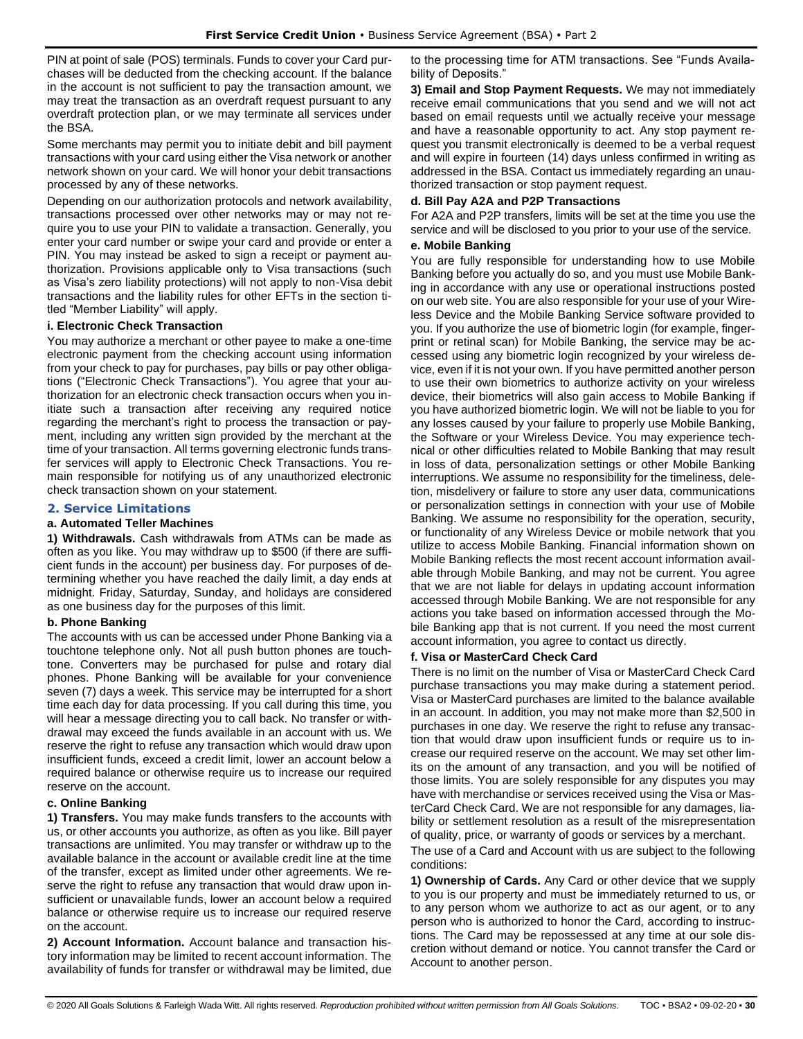PIN at point of sale (POS) terminals. Funds to cover your Card purchases will be deducted from the checking account. If the balance in the account is not sufficient to pay the transaction amount, we may treat the transaction as an overdraft request pursuant to any overdraft protection plan, or we may terminate all services under the BSA.

Some merchants may permit you to initiate debit and bill payment transactions with your card using either the Visa network or another network shown on your card. We will honor your debit transactions processed by any of these networks.

Depending on our authorization protocols and network availability, transactions processed over other networks may or may not require you to use your PIN to validate a transaction. Generally, you enter your card number or swipe your card and provide or enter a PIN. You may instead be asked to sign a receipt or payment authorization. Provisions applicable only to Visa transactions (such as Visa's zero liability protections) will not apply to non-Visa debit transactions and the liability rules for other EFTs in the section titled "Member Liability" will apply.

## **i. Electronic Check Transaction**

You may authorize a merchant or other payee to make a one-time electronic payment from the checking account using information from your check to pay for purchases, pay bills or pay other obligations ("Electronic Check Transactions"). You agree that your authorization for an electronic check transaction occurs when you initiate such a transaction after receiving any required notice regarding the merchant's right to process the transaction or payment, including any written sign provided by the merchant at the time of your transaction. All terms governing electronic funds transfer services will apply to Electronic Check Transactions. You remain responsible for notifying us of any unauthorized electronic check transaction shown on your statement.

# <span id="page-29-0"></span>**2. Service Limitations**

### **a. Automated Teller Machines**

**1) Withdrawals.** Cash withdrawals from ATMs can be made as often as you like. You may withdraw up to \$500 (if there are sufficient funds in the account) per business day. For purposes of determining whether you have reached the daily limit, a day ends at midnight. Friday, Saturday, Sunday, and holidays are considered as one business day for the purposes of this limit.

### **b. Phone Banking**

The accounts with us can be accessed under Phone Banking via a touchtone telephone only. Not all push button phones are touchtone. Converters may be purchased for pulse and rotary dial phones. Phone Banking will be available for your convenience seven (7) days a week. This service may be interrupted for a short time each day for data processing. If you call during this time, you will hear a message directing you to call back. No transfer or withdrawal may exceed the funds available in an account with us. We reserve the right to refuse any transaction which would draw upon insufficient funds, exceed a credit limit, lower an account below a required balance or otherwise require us to increase our required reserve on the account.

### **c. Online Banking**

**1) Transfers.** You may make funds transfers to the accounts with us, or other accounts you authorize, as often as you like. Bill payer transactions are unlimited. You may transfer or withdraw up to the available balance in the account or available credit line at the time of the transfer, except as limited under other agreements. We reserve the right to refuse any transaction that would draw upon insufficient or unavailable funds, lower an account below a required balance or otherwise require us to increase our required reserve on the account.

**2) Account Information.** Account balance and transaction history information may be limited to recent account information. The availability of funds for transfer or withdrawal may be limited, due to the processing time for ATM transactions. See "Funds Availability of Deposits."

**3) Email and Stop Payment Requests.** We may not immediately receive email communications that you send and we will not act based on email requests until we actually receive your message and have a reasonable opportunity to act. Any stop payment request you transmit electronically is deemed to be a verbal request and will expire in fourteen (14) days unless confirmed in writing as addressed in the BSA. Contact us immediately regarding an unauthorized transaction or stop payment request.

### **d. Bill Pay A2A and P2P Transactions**

For A2A and P2P transfers, limits will be set at the time you use the service and will be disclosed to you prior to your use of the service.

## **e. Mobile Banking**

You are fully responsible for understanding how to use Mobile Banking before you actually do so, and you must use Mobile Banking in accordance with any use or operational instructions posted on our web site. You are also responsible for your use of your Wireless Device and the Mobile Banking Service software provided to you. If you authorize the use of biometric login (for example, fingerprint or retinal scan) for Mobile Banking, the service may be accessed using any biometric login recognized by your wireless device, even if it is not your own. If you have permitted another person to use their own biometrics to authorize activity on your wireless device, their biometrics will also gain access to Mobile Banking if you have authorized biometric login. We will not be liable to you for any losses caused by your failure to properly use Mobile Banking, the Software or your Wireless Device. You may experience technical or other difficulties related to Mobile Banking that may result in loss of data, personalization settings or other Mobile Banking interruptions. We assume no responsibility for the timeliness, deletion, misdelivery or failure to store any user data, communications or personalization settings in connection with your use of Mobile Banking. We assume no responsibility for the operation, security, or functionality of any Wireless Device or mobile network that you utilize to access Mobile Banking. Financial information shown on Mobile Banking reflects the most recent account information available through Mobile Banking, and may not be current. You agree that we are not liable for delays in updating account information accessed through Mobile Banking. We are not responsible for any actions you take based on information accessed through the Mobile Banking app that is not current. If you need the most current account information, you agree to contact us directly.

# **f. Visa or MasterCard Check Card**

There is no limit on the number of Visa or MasterCard Check Card purchase transactions you may make during a statement period. Visa or MasterCard purchases are limited to the balance available in an account. In addition, you may not make more than \$2,500 in purchases in one day. We reserve the right to refuse any transaction that would draw upon insufficient funds or require us to increase our required reserve on the account. We may set other limits on the amount of any transaction, and you will be notified of those limits. You are solely responsible for any disputes you may have with merchandise or services received using the Visa or MasterCard Check Card. We are not responsible for any damages, liability or settlement resolution as a result of the misrepresentation of quality, price, or warranty of goods or services by a merchant.

The use of a Card and Account with us are subject to the following conditions:

**1) Ownership of Cards.** Any Card or other device that we supply to you is our property and must be immediately returned to us, or to any person whom we authorize to act as our agent, or to any person who is authorized to honor the Card, according to instructions. The Card may be repossessed at any time at our sole discretion without demand or notice. You cannot transfer the Card or Account to another person.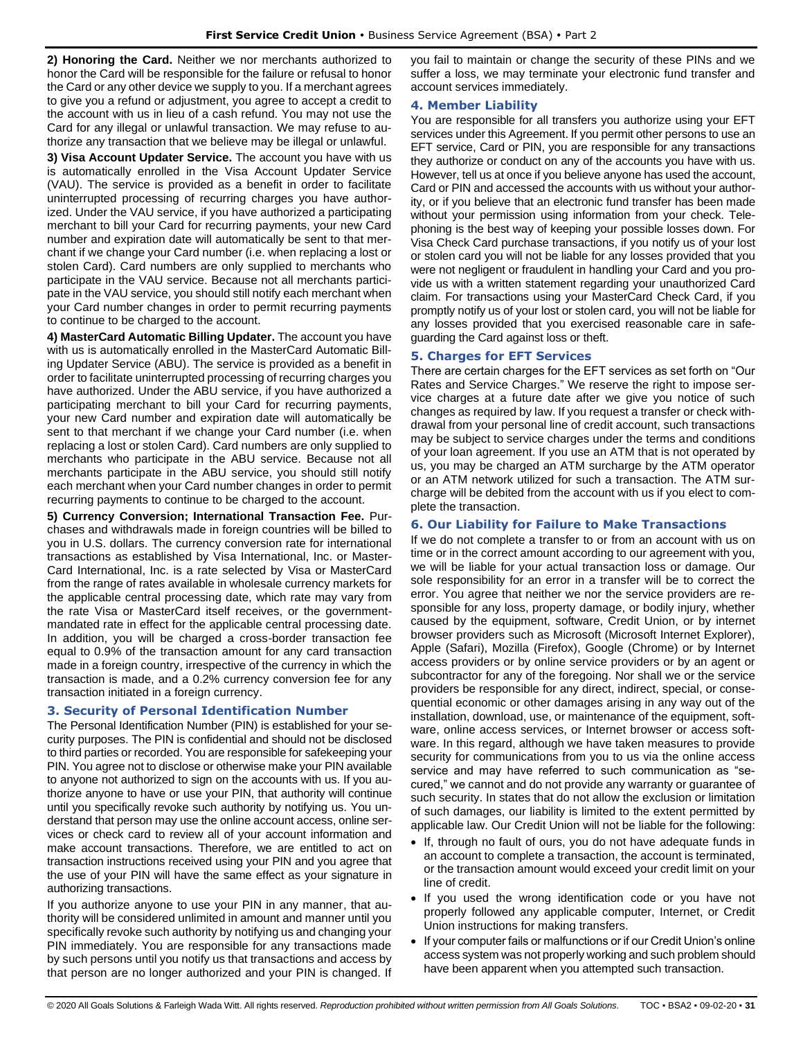**2) Honoring the Card.** Neither we nor merchants authorized to honor the Card will be responsible for the failure or refusal to honor the Card or any other device we supply to you. If a merchant agrees to give you a refund or adjustment, you agree to accept a credit to the account with us in lieu of a cash refund. You may not use the Card for any illegal or unlawful transaction. We may refuse to authorize any transaction that we believe may be illegal or unlawful.

**3) Visa Account Updater Service.** The account you have with us is automatically enrolled in the Visa Account Updater Service (VAU). The service is provided as a benefit in order to facilitate uninterrupted processing of recurring charges you have authorized. Under the VAU service, if you have authorized a participating merchant to bill your Card for recurring payments, your new Card number and expiration date will automatically be sent to that merchant if we change your Card number (i.e. when replacing a lost or stolen Card). Card numbers are only supplied to merchants who participate in the VAU service. Because not all merchants participate in the VAU service, you should still notify each merchant when your Card number changes in order to permit recurring payments to continue to be charged to the account.

**4) MasterCard Automatic Billing Updater.** The account you have with us is automatically enrolled in the MasterCard Automatic Billing Updater Service (ABU). The service is provided as a benefit in order to facilitate uninterrupted processing of recurring charges you have authorized. Under the ABU service, if you have authorized a participating merchant to bill your Card for recurring payments, your new Card number and expiration date will automatically be sent to that merchant if we change your Card number (i.e. when replacing a lost or stolen Card). Card numbers are only supplied to merchants who participate in the ABU service. Because not all merchants participate in the ABU service, you should still notify each merchant when your Card number changes in order to permit recurring payments to continue to be charged to the account.

**5) Currency Conversion; International Transaction Fee.** Purchases and withdrawals made in foreign countries will be billed to you in U.S. dollars. The currency conversion rate for international transactions as established by Visa International, Inc. or Master-Card International, Inc. is a rate selected by Visa or MasterCard from the range of rates available in wholesale currency markets for the applicable central processing date, which rate may vary from the rate Visa or MasterCard itself receives, or the governmentmandated rate in effect for the applicable central processing date. In addition, you will be charged a cross-border transaction fee equal to 0.9% of the transaction amount for any card transaction made in a foreign country, irrespective of the currency in which the transaction is made, and a 0.2% currency conversion fee for any transaction initiated in a foreign currency.

# <span id="page-30-0"></span>**3. Security of Personal Identification Number**

The Personal Identification Number (PIN) is established for your security purposes. The PIN is confidential and should not be disclosed to third parties or recorded. You are responsible for safekeeping your PIN. You agree not to disclose or otherwise make your PIN available to anyone not authorized to sign on the accounts with us. If you authorize anyone to have or use your PIN, that authority will continue until you specifically revoke such authority by notifying us. You understand that person may use the online account access, online services or check card to review all of your account information and make account transactions. Therefore, we are entitled to act on transaction instructions received using your PIN and you agree that the use of your PIN will have the same effect as your signature in authorizing transactions.

If you authorize anyone to use your PIN in any manner, that authority will be considered unlimited in amount and manner until you specifically revoke such authority by notifying us and changing your PIN immediately. You are responsible for any transactions made by such persons until you notify us that transactions and access by that person are no longer authorized and your PIN is changed. If you fail to maintain or change the security of these PINs and we suffer a loss, we may terminate your electronic fund transfer and account services immediately.

### <span id="page-30-1"></span>**4. Member Liability**

You are responsible for all transfers you authorize using your EFT services under this Agreement. If you permit other persons to use an EFT service, Card or PIN, you are responsible for any transactions they authorize or conduct on any of the accounts you have with us. However, tell us at once if you believe anyone has used the account, Card or PIN and accessed the accounts with us without your authority, or if you believe that an electronic fund transfer has been made without your permission using information from your check. Telephoning is the best way of keeping your possible losses down. For Visa Check Card purchase transactions, if you notify us of your lost or stolen card you will not be liable for any losses provided that you were not negligent or fraudulent in handling your Card and you provide us with a written statement regarding your unauthorized Card claim. For transactions using your MasterCard Check Card, if you promptly notify us of your lost or stolen card, you will not be liable for any losses provided that you exercised reasonable care in safeguarding the Card against loss or theft.

### <span id="page-30-2"></span>**5. Charges for EFT Services**

There are certain charges for the EFT services as set forth on "Our Rates and Service Charges." We reserve the right to impose service charges at a future date after we give you notice of such changes as required by law. If you request a transfer or check withdrawal from your personal line of credit account, such transactions may be subject to service charges under the terms and conditions of your loan agreement. If you use an ATM that is not operated by us, you may be charged an ATM surcharge by the ATM operator or an ATM network utilized for such a transaction. The ATM surcharge will be debited from the account with us if you elect to complete the transaction.

### <span id="page-30-3"></span>**6. Our Liability for Failure to Make Transactions**

If we do not complete a transfer to or from an account with us on time or in the correct amount according to our agreement with you, we will be liable for your actual transaction loss or damage. Our sole responsibility for an error in a transfer will be to correct the error. You agree that neither we nor the service providers are responsible for any loss, property damage, or bodily injury, whether caused by the equipment, software, Credit Union, or by internet browser providers such as Microsoft (Microsoft Internet Explorer), Apple (Safari), Mozilla (Firefox), Google (Chrome) or by Internet access providers or by online service providers or by an agent or subcontractor for any of the foregoing. Nor shall we or the service providers be responsible for any direct, indirect, special, or consequential economic or other damages arising in any way out of the installation, download, use, or maintenance of the equipment, software, online access services, or Internet browser or access software. In this regard, although we have taken measures to provide security for communications from you to us via the online access service and may have referred to such communication as "secured," we cannot and do not provide any warranty or guarantee of such security. In states that do not allow the exclusion or limitation of such damages, our liability is limited to the extent permitted by applicable law. Our Credit Union will not be liable for the following:

- If, through no fault of ours, you do not have adequate funds in an account to complete a transaction, the account is terminated, or the transaction amount would exceed your credit limit on your line of credit.
- If you used the wrong identification code or you have not properly followed any applicable computer, Internet, or Credit Union instructions for making transfers.
- If your computer fails or malfunctions or if our Credit Union's online access system was not properly working and such problem should have been apparent when you attempted such transaction.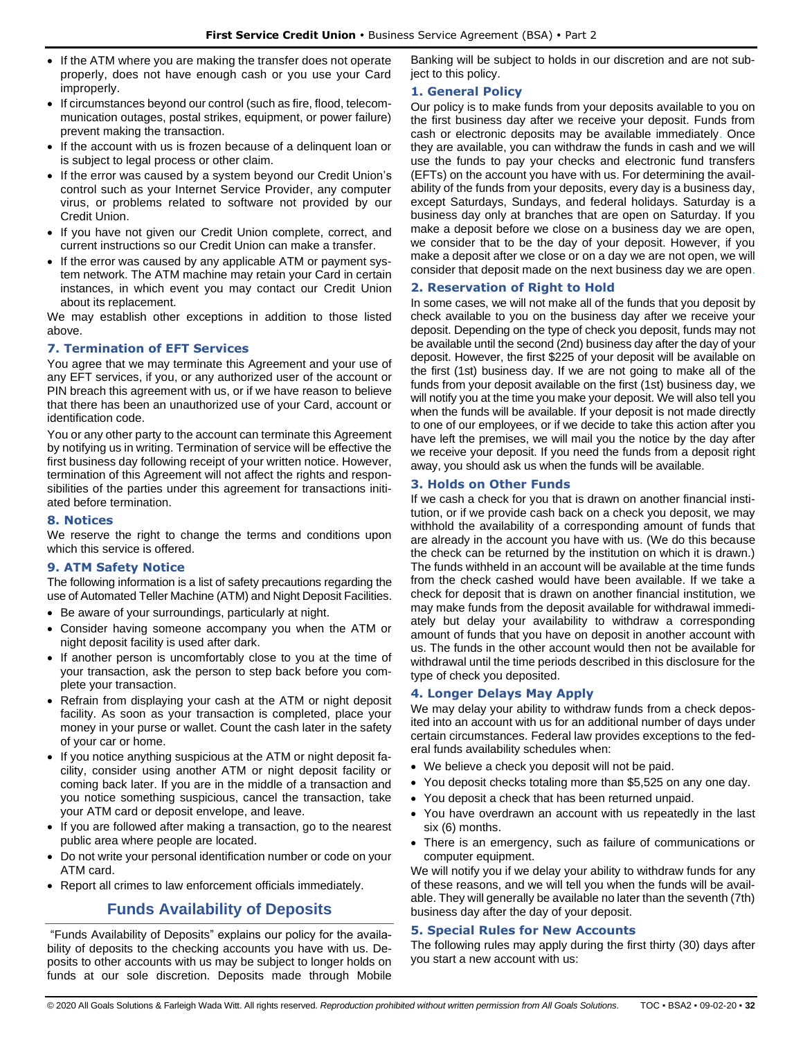- If the ATM where you are making the transfer does not operate properly, does not have enough cash or you use your Card improperly.
- If circumstances beyond our control (such as fire, flood, telecommunication outages, postal strikes, equipment, or power failure) prevent making the transaction.
- If the account with us is frozen because of a delinquent loan or is subject to legal process or other claim.
- If the error was caused by a system beyond our Credit Union's control such as your Internet Service Provider, any computer virus, or problems related to software not provided by our Credit Union.
- If you have not given our Credit Union complete, correct, and current instructions so our Credit Union can make a transfer.
- If the error was caused by any applicable ATM or payment system network. The ATM machine may retain your Card in certain instances, in which event you may contact our Credit Union about its replacement.

We may establish other exceptions in addition to those listed above.

### <span id="page-31-0"></span>**7. Termination of EFT Services**

You agree that we may terminate this Agreement and your use of any EFT services, if you, or any authorized user of the account or PIN breach this agreement with us, or if we have reason to believe that there has been an unauthorized use of your Card, account or identification code.

You or any other party to the account can terminate this Agreement by notifying us in writing. Termination of service will be effective the first business day following receipt of your written notice. However, termination of this Agreement will not affect the rights and responsibilities of the parties under this agreement for transactions initiated before termination.

#### <span id="page-31-1"></span>**8. Notices**

We reserve the right to change the terms and conditions upon which this service is offered.

#### <span id="page-31-2"></span>**9. ATM Safety Notice**

The following information is a list of safety precautions regarding the use of Automated Teller Machine (ATM) and Night Deposit Facilities.

- Be aware of your surroundings, particularly at night.
- Consider having someone accompany you when the ATM or night deposit facility is used after dark.
- If another person is uncomfortably close to you at the time of your transaction, ask the person to step back before you complete your transaction.
- Refrain from displaying your cash at the ATM or night deposit facility. As soon as your transaction is completed, place your money in your purse or wallet. Count the cash later in the safety of your car or home.
- If you notice anything suspicious at the ATM or night deposit facility, consider using another ATM or night deposit facility or coming back later. If you are in the middle of a transaction and you notice something suspicious, cancel the transaction, take your ATM card or deposit envelope, and leave.
- If you are followed after making a transaction, go to the nearest public area where people are located.
- Do not write your personal identification number or code on your ATM card.
- <span id="page-31-3"></span>• Report all crimes to law enforcement officials immediately.

# **Funds Availability of Deposits**

"Funds Availability of Deposits" explains our policy for the availability of deposits to the checking accounts you have with us. Deposits to other accounts with us may be subject to longer holds on funds at our sole discretion. Deposits made through Mobile

Banking will be subject to holds in our discretion and are not subject to this policy.

#### <span id="page-31-4"></span>**1. General Policy**

Our policy is to make funds from your deposits available to you on the first business day after we receive your deposit. Funds from cash or electronic deposits may be available immediately. Once they are available, you can withdraw the funds in cash and we will use the funds to pay your checks and electronic fund transfers (EFTs) on the account you have with us. For determining the availability of the funds from your deposits, every day is a business day, except Saturdays, Sundays, and federal holidays. Saturday is a business day only at branches that are open on Saturday. If you make a deposit before we close on a business day we are open, we consider that to be the day of your deposit. However, if you make a deposit after we close or on a day we are not open, we will consider that deposit made on the next business day we are open.

### <span id="page-31-5"></span>**2. Reservation of Right to Hold**

In some cases, we will not make all of the funds that you deposit by check available to you on the business day after we receive your deposit. Depending on the type of check you deposit, funds may not be available until the second (2nd) business day after the day of your deposit. However, the first \$225 of your deposit will be available on the first (1st) business day. If we are not going to make all of the funds from your deposit available on the first (1st) business day, we will notify you at the time you make your deposit. We will also tell you when the funds will be available. If your deposit is not made directly to one of our employees, or if we decide to take this action after you have left the premises, we will mail you the notice by the day after we receive your deposit. If you need the funds from a deposit right away, you should ask us when the funds will be available.

#### <span id="page-31-6"></span>**3. Holds on Other Funds**

If we cash a check for you that is drawn on another financial institution, or if we provide cash back on a check you deposit, we may withhold the availability of a corresponding amount of funds that are already in the account you have with us. (We do this because the check can be returned by the institution on which it is drawn.) The funds withheld in an account will be available at the time funds from the check cashed would have been available. If we take a check for deposit that is drawn on another financial institution, we may make funds from the deposit available for withdrawal immediately but delay your availability to withdraw a corresponding amount of funds that you have on deposit in another account with us. The funds in the other account would then not be available for withdrawal until the time periods described in this disclosure for the type of check you deposited.

#### <span id="page-31-7"></span>**4. Longer Delays May Apply**

We may delay your ability to withdraw funds from a check deposited into an account with us for an additional number of days under certain circumstances. Federal law provides exceptions to the federal funds availability schedules when:

- We believe a check you deposit will not be paid.
- You deposit checks totaling more than \$5,525 on any one day.
- You deposit a check that has been returned unpaid.
- You have overdrawn an account with us repeatedly in the last six (6) months.
- There is an emergency, such as failure of communications or computer equipment.

We will notify you if we delay your ability to withdraw funds for any of these reasons, and we will tell you when the funds will be available. They will generally be available no later than the seventh (7th) business day after the day of your deposit.

#### <span id="page-31-8"></span>**5. Special Rules for New Accounts**

The following rules may apply during the first thirty (30) days after you start a new account with us: